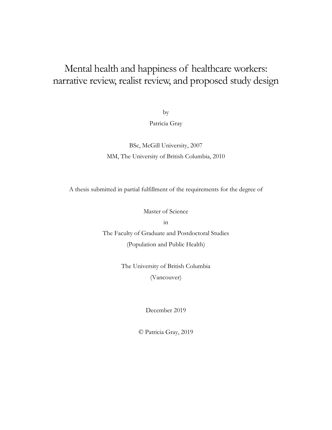# Mental health and happiness of healthcare workers: narrative review, realist review, and proposed study design

by

Patricia Gray

BSc, McGill University, 2007 MM, The University of British Columbia, 2010

A thesis submitted in partial fulfillment of the requirements for the degree of

Master of Science

in

The Faculty of Graduate and Postdoctoral Studies (Population and Public Health)

> The University of British Columbia (Vancouver)

> > December 2019

© Patricia Gray, 2019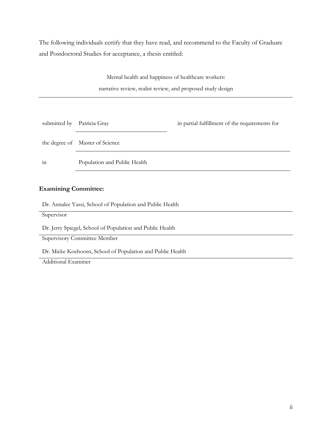The following individuals certify that they have read, and recommend to the Faculty of Graduate and Postdoctoral Studies for acceptance, a thesis entitled:

> Mental health and happiness of healthcare workers: narrative review, realist review, and proposed study design

| submitted by   | Patricia Gray                   | in partial fulfillment of the requirements for |
|----------------|---------------------------------|------------------------------------------------|
|                | the degree of Master of Science |                                                |
| $\cdot$<br>111 | Population and Public Health    |                                                |

### **Examining Committee:**

Dr. Annalee Yassi, School of Population and Public Health

Supervisor

Dr. Jerry Spiegel, School of Population and Public Health

Supervisory Committee Member

Dr. Mieke Koehoorn, School of Population and Public Health

Additional Examiner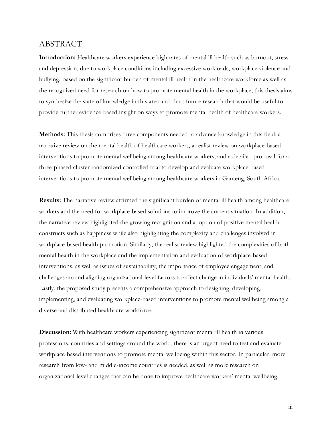# ABSTRACT

**Introduction:** Healthcare workers experience high rates of mental ill health such as burnout, stress and depression, due to workplace conditions including excessive workloads, workplace violence and bullying. Based on the significant burden of mental ill health in the healthcare workforce as well as the recognized need for research on how to promote mental health in the workplace, this thesis aims to synthesize the state of knowledge in this area and chart future research that would be useful to provide further evidence-based insight on ways to promote mental health of healthcare workers.

**Methods:** This thesis comprises three components needed to advance knowledge in this field: a narrative review on the mental health of healthcare workers, a realist review on workplace-based interventions to promote mental wellbeing among healthcare workers, and a detailed proposal for a three-phased cluster randomized controlled trial to develop and evaluate workplace-based interventions to promote mental wellbeing among healthcare workers in Gauteng, South Africa.

**Results:** The narrative review affirmed the significant burden of mental ill health among healthcare workers and the need for workplace-based solutions to improve the current situation. In addition, the narrative review highlighted the growing recognition and adoption of positive mental health constructs such as happiness while also highlighting the complexity and challenges involved in workplace-based health promotion. Similarly, the realist review highlighted the complexities of both mental health in the workplace and the implementation and evaluation of workplace-based interventions, as well as issues of sustainability, the importance of employee engagement, and challenges around aligning organizational-level factors to affect change in individuals' mental health. Lastly, the proposed study presents a comprehensive approach to designing, developing, implementing, and evaluating workplace-based interventions to promote mental wellbeing among a diverse and distributed healthcare workforce.

**Discussion:** With healthcare workers experiencing significant mental ill health in various professions, countries and settings around the world, there is an urgent need to test and evaluate workplace-based interventions to promote mental wellbeing within this sector. In particular, more research from low- and middle-income countries is needed, as well as more research on organizational-level changes that can be done to improve healthcare workers' mental wellbeing.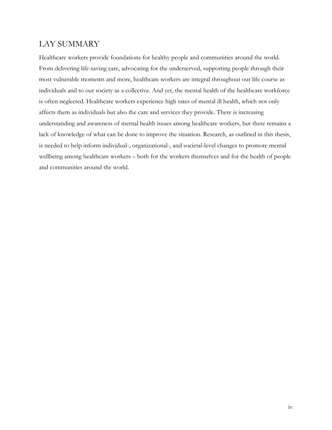# LAY SUMMARY

Healthcare workers provide foundations for healthy people and communities around the world. From delivering life-saving care, advocating for the underserved, supporting people through their most vulnerable moments and more, healthcare workers are integral throughout our life course as individuals and to our society as a collective. And yet, the mental health of the healthcare workforce is often neglected. Healthcare workers experience high rates of mental ill health, which not only affects them as individuals but also the care and services they provide. There is increasing understanding and awareness of mental health issues among healthcare workers, but there remains a lack of knowledge of what can be done to improve the situation. Research, as outlined in this thesis, is needed to help inform individual-, organizational-, and societal-level changes to promote mental wellbeing among healthcare workers – both for the workers themselves and for the health of people and communities around the world.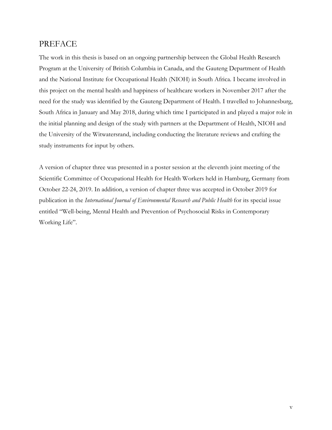# PREFACE

The work in this thesis is based on an ongoing partnership between the Global Health Research Program at the University of British Columbia in Canada, and the Gauteng Department of Health and the National Institute for Occupational Health (NIOH) in South Africa. I became involved in this project on the mental health and happiness of healthcare workers in November 2017 after the need for the study was identified by the Gauteng Department of Health. I travelled to Johannesburg, South Africa in January and May 2018, during which time I participated in and played a major role in the initial planning and design of the study with partners at the Department of Health, NIOH and the University of the Witwatersrand, including conducting the literature reviews and crafting the study instruments for input by others.

A version of chapter three was presented in a poster session at the eleventh joint meeting of the Scientific Committee of Occupational Health for Health Workers held in Hamburg, Germany from October 22-24, 2019. In addition, a version of chapter three was accepted in October 2019 for publication in the *International Journal of Environmental Research and Public Health* for its special issue entitled "Well-being, Mental Health and Prevention of Psychosocial Risks in Contemporary Working Life".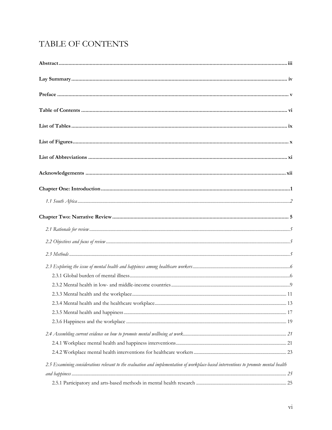# TABLE OF CONTENTS

| 2.5 Examining considerations relevant to the evaluation and implementation of workplace-based interventions to promote mental health |  |
|--------------------------------------------------------------------------------------------------------------------------------------|--|
|                                                                                                                                      |  |
|                                                                                                                                      |  |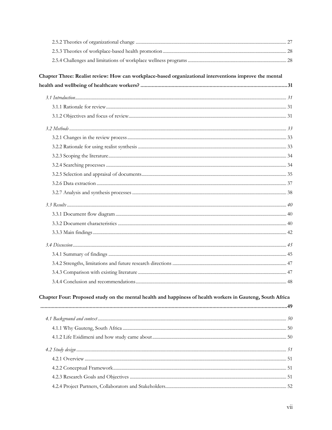| Chapter Four: Proposed study on the mental health and happiness of health workers in Gauteng, South Africa |  |  |
|------------------------------------------------------------------------------------------------------------|--|--|
|                                                                                                            |  |  |
|                                                                                                            |  |  |
|                                                                                                            |  |  |
|                                                                                                            |  |  |
|                                                                                                            |  |  |
|                                                                                                            |  |  |
|                                                                                                            |  |  |
|                                                                                                            |  |  |
|                                                                                                            |  |  |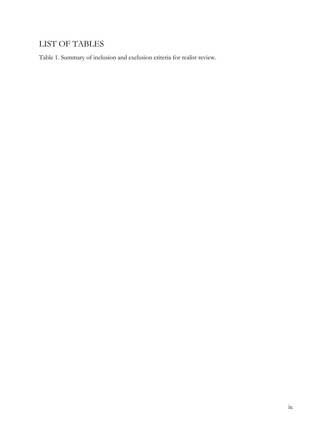# LIST OF TABLES

Table 1. Summary of inclusion and exclusion criteria for realist review.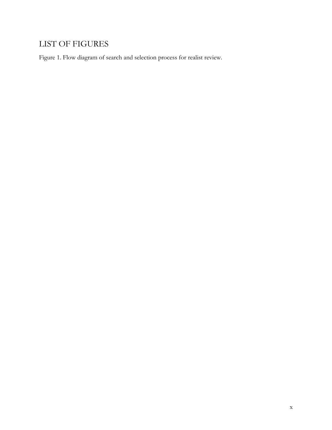# LIST OF FIGURES

Figure 1. Flow diagram of search and selection process for realist review.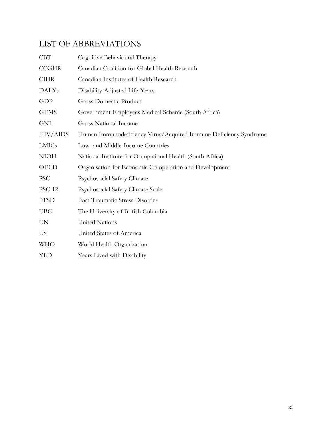# LIST OF ABBREVIATIONS

| <b>CBT</b>      | Cognitive Behavioural Therapy                                    |
|-----------------|------------------------------------------------------------------|
| <b>CCGHR</b>    | Canadian Coalition for Global Health Research                    |
| <b>CIHR</b>     | Canadian Institutes of Health Research                           |
| <b>DALYs</b>    | Disability-Adjusted Life-Years                                   |
| GDP             | <b>Gross Domestic Product</b>                                    |
| <b>GEMS</b>     | Government Employees Medical Scheme (South Africa)               |
| <b>GNI</b>      | <b>Gross National Income</b>                                     |
| <b>HIV/AIDS</b> | Human Immunodeficiency Virus/Acquired Immune Deficiency Syndrome |
| <b>LMICs</b>    | Low- and Middle-Income Countries                                 |
| <b>NIOH</b>     | National Institute for Occupational Health (South Africa)        |
| <b>OECD</b>     | Organisation for Economic Co-operation and Development           |
| <b>PSC</b>      | <b>Psychosocial Safety Climate</b>                               |
| <b>PSC-12</b>   | Psychosocial Safety Climate Scale                                |
| <b>PTSD</b>     | Post-Traumatic Stress Disorder                                   |
| <b>UBC</b>      | The University of British Columbia                               |
| <b>UN</b>       | United Nations                                                   |
| US              | United States of America                                         |
| <b>WHO</b>      | World Health Organization                                        |
| YLD             | Years Lived with Disability                                      |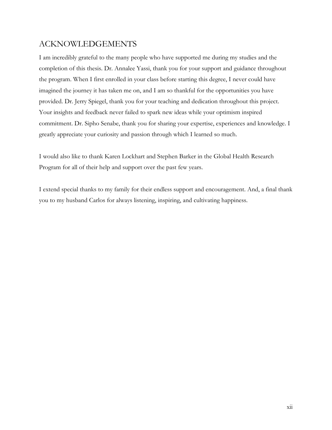# ACKNOWLEDGEMENTS

I am incredibly grateful to the many people who have supported me during my studies and the completion of this thesis. Dr. Annalee Yassi, thank you for your support and guidance throughout the program. When I first enrolled in your class before starting this degree, I never could have imagined the journey it has taken me on, and I am so thankful for the opportunities you have provided. Dr. Jerry Spiegel, thank you for your teaching and dedication throughout this project. Your insights and feedback never failed to spark new ideas while your optimism inspired commitment. Dr. Sipho Senabe, thank you for sharing your expertise, experiences and knowledge. I greatly appreciate your curiosity and passion through which I learned so much.

I would also like to thank Karen Lockhart and Stephen Barker in the Global Health Research Program for all of their help and support over the past few years.

I extend special thanks to my family for their endless support and encouragement. And, a final thank you to my husband Carlos for always listening, inspiring, and cultivating happiness.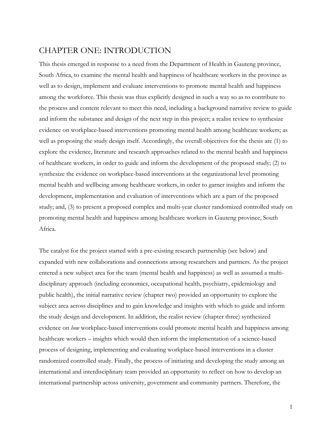# CHAPTER ONE: INTRODUCTION

This thesis emerged in response to a need from the Department of Health in Gauteng province, South Africa, to examine the mental health and happiness of healthcare workers in the province as well as to design, implement and evaluate interventions to promote mental health and happiness among the workforce. This thesis was thus explicitly designed in such a way so as to contribute to the process and content relevant to meet this need, including a background narrative review to guide and inform the substance and design of the next step in this project; a realist review to synthesize evidence on workplace-based interventions promoting mental health among healthcare workers; as well as proposing the study design itself. Accordingly, the overall objectives for the thesis are (1) to explore the evidence, literature and research approaches related to the mental health and happiness of healthcare workers, in order to guide and inform the development of the proposed study; (2) to synthesize the evidence on workplace-based interventions at the organizational level promoting mental health and wellbeing among healthcare workers, in order to garner insights and inform the development, implementation and evaluation of interventions which are a part of the proposed study; and, (3) to present a proposed complex and multi-year cluster randomized controlled study on promoting mental health and happiness among healthcare workers in Gauteng province, South Africa.

The catalyst for the project started with a pre-existing research partnership (see below) and expanded with new collaborations and connections among researchers and partners. As the project entered a new subject area for the team (mental health and happiness) as well as assumed a multidisciplinary approach (including economics, occupational health, psychiatry, epidemiology and public health), the initial narrative review (chapter two) provided an opportunity to explore the subject area across disciplines and to gain knowledge and insights with which to guide and inform the study design and development. In addition, the realist review (chapter three) synthesized evidence on *how* workplace-based interventions could promote mental health and happiness among healthcare workers – insights which would then inform the implementation of a science-based process of designing, implementing and evaluating workplace-based interventions in a cluster randomized controlled study. Finally, the process of initiating and developing the study among an international and interdisciplinary team provided an opportunity to reflect on how to develop an international partnership across university, government and community partners. Therefore, the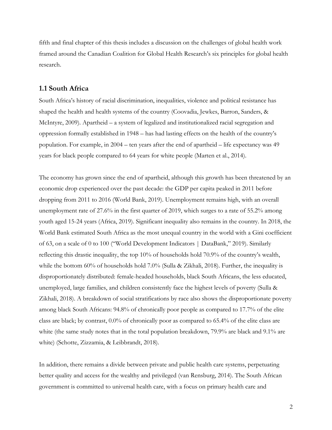fifth and final chapter of this thesis includes a discussion on the challenges of global health work framed around the Canadian Coalition for Global Health Research's six principles for global health research.

## **1.1 South Africa**

South Africa's history of racial discrimination, inequalities, violence and political resistance has shaped the health and health systems of the country (Coovadia, Jewkes, Barron, Sanders, & McIntyre, 2009). Apartheid – a system of legalized and institutionalized racial segregation and oppression formally established in 1948 – has had lasting effects on the health of the country's population. For example, in 2004 – ten years after the end of apartheid – life expectancy was 49 years for black people compared to 64 years for white people (Marten et al., 2014).

The economy has grown since the end of apartheid, although this growth has been threatened by an economic drop experienced over the past decade: the GDP per capita peaked in 2011 before dropping from 2011 to 2016 (World Bank, 2019). Unemployment remains high, with an overall unemployment rate of 27.6% in the first quarter of 2019, which surges to a rate of 55.2% among youth aged 15-24 years (Africa, 2019). Significant inequality also remains in the country. In 2018, the World Bank estimated South Africa as the most unequal country in the world with a Gini coefficient of 63, on a scale of 0 to 100 ("World Development Indicators | DataBank," 2019). Similarly reflecting this drastic inequality, the top 10% of households hold 70.9% of the country's wealth, while the bottom 60% of households hold 7.0% (Sulla & Zikhali, 2018). Further, the inequality is disproportionately distributed: female-headed households, black South Africans, the less educated, unemployed, large families, and children consistently face the highest levels of poverty (Sulla & Zikhali, 2018). A breakdown of social stratifications by race also shows the disproportionate poverty among black South Africans: 94.8% of chronically poor people as compared to 17.7% of the elite class are black; by contrast, 0.0% of chronically poor as compared to 65.4% of the elite class are white (the same study notes that in the total population breakdown, 79.9% are black and 9.1% are white) (Schotte, Zizzamia, & Leibbrandt, 2018).

In addition, there remains a divide between private and public health care systems, perpetuating better quality and access for the wealthy and privileged (van Rensburg, 2014). The South African government is committed to universal health care, with a focus on primary health care and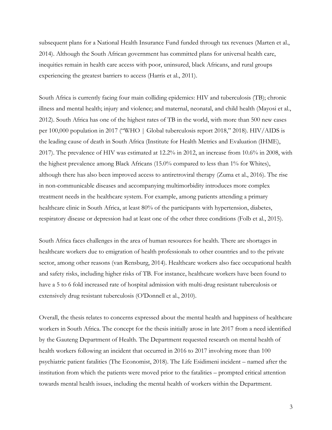subsequent plans for a National Health Insurance Fund funded through tax revenues (Marten et al., 2014). Although the South African government has committed plans for universal health care, inequities remain in health care access with poor, uninsured, black Africans, and rural groups experiencing the greatest barriers to access (Harris et al., 2011).

South Africa is currently facing four main colliding epidemics: HIV and tuberculosis (TB); chronic illness and mental health; injury and violence; and maternal, neonatal, and child health (Mayosi et al., 2012). South Africa has one of the highest rates of TB in the world, with more than 500 new cases per 100,000 population in 2017 ("WHO | Global tuberculosis report 2018," 2018). HIV/AIDS is the leading cause of death in South Africa (Institute for Health Metrics and Evaluation (IHME), 2017). The prevalence of HIV was estimated at 12.2% in 2012, an increase from 10.6% in 2008, with the highest prevalence among Black Africans (15.0% compared to less than 1% for Whites), although there has also been improved access to antiretroviral therapy (Zuma et al., 2016). The rise in non-communicable diseases and accompanying multimorbidity introduces more complex treatment needs in the healthcare system. For example, among patients attending a primary healthcare clinic in South Africa, at least 80% of the participants with hypertension, diabetes, respiratory disease or depression had at least one of the other three conditions (Folb et al., 2015).

South Africa faces challenges in the area of human resources for health. There are shortages in healthcare workers due to emigration of health professionals to other countries and to the private sector, among other reasons (van Rensburg, 2014). Healthcare workers also face occupational health and safety risks, including higher risks of TB. For instance, healthcare workers have been found to have a 5 to 6 fold increased rate of hospital admission with multi-drug resistant tuberculosis or extensively drug resistant tuberculosis (O'Donnell et al., 2010).

Overall, the thesis relates to concerns expressed about the mental health and happiness of healthcare workers in South Africa. The concept for the thesis initially arose in late 2017 from a need identified by the Gauteng Department of Health. The Department requested research on mental health of health workers following an incident that occurred in 2016 to 2017 involving more than 100 psychiatric patient fatalities (The Economist, 2018). The Life Esidimeni incident – named after the institution from which the patients were moved prior to the fatalities – prompted critical attention towards mental health issues, including the mental health of workers within the Department.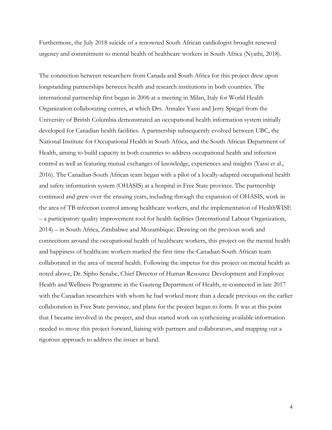Furthermore, the July 2018 suicide of a renowned South African cardiologist brought renewed urgency and commitment to mental health of healthcare workers in South Africa (Nyathi, 2018).

The connection between researchers from Canada and South Africa for this project drew upon longstanding partnerships between health and research institutions in both countries. The international partnership first began in 2006 at a meeting in Milan, Italy for World Health Organization collaborating centres, at which Drs. Annalee Yassi and Jerry Spiegel from the University of British Columbia demonstrated an occupational health information system initially developed for Canadian health facilities. A partnership subsequently evolved between UBC, the National Institute for Occupational Health in South Africa, and the South African Department of Health, aiming to build capacity in both countries to address occupational health and infection control as well as featuring mutual exchanges of knowledge, experiences and insights (Yassi et al., 2016). The Canadian-South African team began with a pilot of a locally-adapted occupational health and safety information system (OHASIS) at a hospital in Free State province. The partnership continued and grew over the ensuing years, including through the expansion of OHASIS, work in the area of TB infection control among healthcare workers, and the implementation of HealthWISE – a participatory quality improvement tool for health facilities (International Labour Organization, 2014) – in South Africa, Zimbabwe and Mozambique. Drawing on the previous work and connections around the occupational health of healthcare workers, this project on the mental health and happiness of healthcare workers marked the first time the Canadian-South African team collaborated in the area of mental health. Following the impetus for this project on mental health as noted above, Dr. Sipho Senabe, Chief Director of Human Resource Development and Employee Health and Wellness Programme in the Gauteng Department of Health, re-connected in late 2017 with the Canadian researchers with whom he had worked more than a decade previous on the earlier collaboration in Free State province, and plans for the project began to form. It was at this point that I became involved in the project, and thus started work on synthesizing available information needed to move this project forward, liaising with partners and collaborators, and mapping out a rigorous approach to address the issues at hand.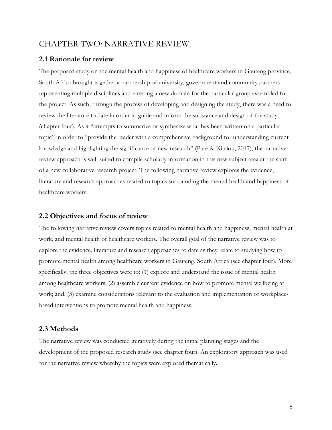## CHAPTER TWO: NARRATIVE REVIEW

## **2.1 Rationale for review**

The proposed study on the mental health and happiness of healthcare workers in Gauteng province, South Africa brought together a partnership of university, government and community partners representing multiple disciplines and entering a new domain for the particular group assembled for the project. As such, through the process of developing and designing the study, there was a need to review the literature to date in order to guide and inform the substance and design of the study (chapter four). As it "attempts to summarize or synthesize what has been written on a particular topic" in order to "provide the reader with a comprehensive background for understanding current knowledge and highlighting the significance of new research" (Paré & Kitsiou, 2017), the narrative review approach is well suited to compile scholarly information in this new subject area at the start of a new collaborative research project. The following narrative review explores the evidence, literature and research approaches related to topics surrounding the mental health and happiness of healthcare workers.

## **2.2 Objectives and focus of review**

The following narrative review covers topics related to mental health and happiness, mental health at work, and mental health of healthcare workers. The overall goal of the narrative review was to explore the evidence, literature and research approaches to date as they relate to studying how to promote mental health among healthcare workers in Gauteng, South Africa (see chapter four). More specifically, the three objectives were to: (1) explore and understand the issue of mental health among healthcare workers; (2) assemble current evidence on how to promote mental wellbeing at work; and, (3) examine considerations relevant to the evaluation and implementation of workplacebased interventions to promote mental health and happiness.

## **2.3 Methods**

The narrative review was conducted iteratively during the initial planning stages and the development of the proposed research study (see chapter four). An exploratory approach was used for the narrative review whereby the topics were explored thematically.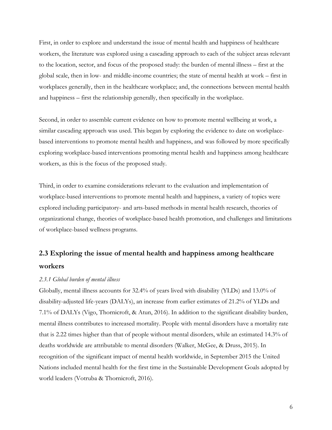First, in order to explore and understand the issue of mental health and happiness of healthcare workers, the literature was explored using a cascading approach to each of the subject areas relevant to the location, sector, and focus of the proposed study: the burden of mental illness – first at the global scale, then in low- and middle-income countries; the state of mental health at work – first in workplaces generally, then in the healthcare workplace; and, the connections between mental health and happiness – first the relationship generally, then specifically in the workplace.

Second, in order to assemble current evidence on how to promote mental wellbeing at work, a similar cascading approach was used. This began by exploring the evidence to date on workplacebased interventions to promote mental health and happiness, and was followed by more specifically exploring workplace-based interventions promoting mental health and happiness among healthcare workers, as this is the focus of the proposed study.

Third, in order to examine considerations relevant to the evaluation and implementation of workplace-based interventions to promote mental health and happiness, a variety of topics were explored including participatory- and arts-based methods in mental health research, theories of organizational change, theories of workplace-based health promotion, and challenges and limitations of workplace-based wellness programs.

# **2.3 Exploring the issue of mental health and happiness among healthcare workers**

### *2.3.1 Global burden of mental illness*

Globally, mental illness accounts for 32.4% of years lived with disability (YLDs) and 13.0% of disability-adjusted life-years (DALYs), an increase from earlier estimates of 21.2% of YLDs and 7.1% of DALYs (Vigo, Thornicroft, & Atun, 2016). In addition to the significant disability burden, mental illness contributes to increased mortality. People with mental disorders have a mortality rate that is 2.22 times higher than that of people without mental disorders, while an estimated 14.3% of deaths worldwide are attributable to mental disorders (Walker, McGee, & Druss, 2015). In recognition of the significant impact of mental health worldwide, in September 2015 the United Nations included mental health for the first time in the Sustainable Development Goals adopted by world leaders (Votruba & Thornicroft, 2016).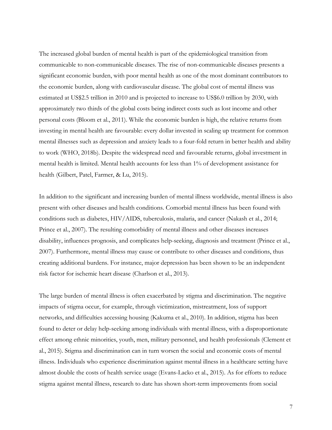The increased global burden of mental health is part of the epidemiological transition from communicable to non-communicable diseases. The rise of non-communicable diseases presents a significant economic burden, with poor mental health as one of the most dominant contributors to the economic burden, along with cardiovascular disease. The global cost of mental illness was estimated at US\$2.5 trillion in 2010 and is projected to increase to US\$6.0 trillion by 2030, with approximately two thirds of the global costs being indirect costs such as lost income and other personal costs (Bloom et al., 2011). While the economic burden is high, the relative returns from investing in mental health are favourable: every dollar invested in scaling up treatment for common mental illnesses such as depression and anxiety leads to a four-fold return in better health and ability to work (WHO, 2018b). Despite the widespread need and favourable returns, global investment in mental health is limited. Mental health accounts for less than 1% of development assistance for health (Gilbert, Patel, Farmer, & Lu, 2015).

In addition to the significant and increasing burden of mental illness worldwide, mental illness is also present with other diseases and health conditions. Comorbid mental illness has been found with conditions such as diabetes, HIV/AIDS, tuberculosis, malaria, and cancer (Nakash et al., 2014; Prince et al., 2007). The resulting comorbidity of mental illness and other diseases increases disability, influences prognosis, and complicates help-seeking, diagnosis and treatment (Prince et al., 2007). Furthermore, mental illness may cause or contribute to other diseases and conditions, thus creating additional burdens. For instance, major depression has been shown to be an independent risk factor for ischemic heart disease (Charlson et al., 2013).

The large burden of mental illness is often exacerbated by stigma and discrimination. The negative impacts of stigma occur, for example, through victimization, mistreatment, loss of support networks, and difficulties accessing housing (Kakuma et al., 2010). In addition, stigma has been found to deter or delay help-seeking among individuals with mental illness, with a disproportionate effect among ethnic minorities, youth, men, military personnel, and health professionals (Clement et al., 2015). Stigma and discrimination can in turn worsen the social and economic costs of mental illness. Individuals who experience discrimination against mental illness in a healthcare setting have almost double the costs of health service usage (Evans-Lacko et al., 2015). As for efforts to reduce stigma against mental illness, research to date has shown short-term improvements from social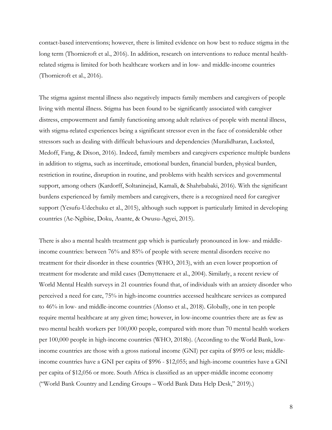contact-based interventions; however, there is limited evidence on how best to reduce stigma in the long term (Thornicroft et al., 2016). In addition, research on interventions to reduce mental healthrelated stigma is limited for both healthcare workers and in low- and middle-income countries (Thornicroft et al., 2016).

The stigma against mental illness also negatively impacts family members and caregivers of people living with mental illness. Stigma has been found to be significantly associated with caregiver distress, empowerment and family functioning among adult relatives of people with mental illness, with stigma-related experiences being a significant stressor even in the face of considerable other stressors such as dealing with difficult behaviours and dependencies (Muralidharan, Lucksted, Medoff, Fang, & Dixon, 2016). Indeed, family members and caregivers experience multiple burdens in addition to stigma, such as incertitude, emotional burden, financial burden, physical burden, restriction in routine, disruption in routine, and problems with health services and governmental support, among others (Kardorff, Soltaninejad, Kamali, & Shahrbabaki, 2016). With the significant burdens experienced by family members and caregivers, there is a recognized need for caregiver support (Yesufu-Udechuku et al., 2015), although such support is particularly limited in developing countries (Ae-Ngibise, Doku, Asante, & Owusu-Agyei, 2015).

There is also a mental health treatment gap which is particularly pronounced in low- and middleincome countries: between 76% and 85% of people with severe mental disorders receive no treatment for their disorder in these countries (WHO, 2013), with an even lower proportion of treatment for moderate and mild cases (Demyttenaere et al., 2004). Similarly, a recent review of World Mental Health surveys in 21 countries found that, of individuals with an anxiety disorder who perceived a need for care, 75% in high-income countries accessed healthcare services as compared to 46% in low- and middle-income countries (Alonso et al., 2018). Globally, one in ten people require mental healthcare at any given time; however, in low-income countries there are as few as two mental health workers per 100,000 people, compared with more than 70 mental health workers per 100,000 people in high-income countries (WHO, 2018b). (According to the World Bank, lowincome countries are those with a gross national income (GNI) per capita of \$995 or less; middleincome countries have a GNI per capita of \$996 - \$12,055; and high-income countries have a GNI per capita of \$12,056 or more. South Africa is classified as an upper-middle income economy ("World Bank Country and Lending Groups – World Bank Data Help Desk," 2019).)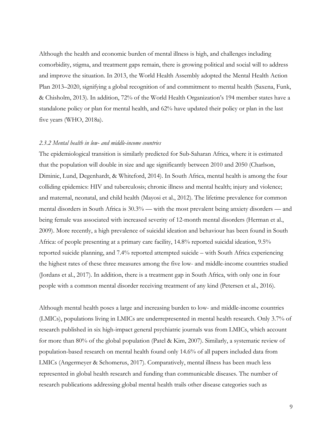Although the health and economic burden of mental illness is high, and challenges including comorbidity, stigma, and treatment gaps remain, there is growing political and social will to address and improve the situation. In 2013, the World Health Assembly adopted the Mental Health Action Plan 2013–2020, signifying a global recognition of and commitment to mental health (Saxena, Funk, & Chisholm, 2013). In addition, 72% of the World Health Organization's 194 member states have a standalone policy or plan for mental health, and 62% have updated their policy or plan in the last five years (WHO, 2018a).

### *2.3.2 Mental health in low- and middle-income countries*

The epidemiological transition is similarly predicted for Sub-Saharan Africa, where it is estimated that the population will double in size and age significantly between 2010 and 2050 (Charlson, Diminic, Lund, Degenhardt, & Whiteford, 2014). In South Africa, mental health is among the four colliding epidemics: HIV and tuberculosis; chronic illness and mental health; injury and violence; and maternal, neonatal, and child health (Mayosi et al., 2012). The lifetime prevalence for common mental disorders in South Africa is 30.3% — with the most prevalent being anxiety disorders — and being female was associated with increased severity of 12-month mental disorders (Herman et al., 2009). More recently, a high prevalence of suicidal ideation and behaviour has been found in South Africa: of people presenting at a primary care facility, 14.8% reported suicidal ideation, 9.5% reported suicide planning, and 7.4% reported attempted suicide – with South Africa experiencing the highest rates of these three measures among the five low- and middle-income countries studied (Jordans et al., 2017). In addition, there is a treatment gap in South Africa, with only one in four people with a common mental disorder receiving treatment of any kind (Petersen et al., 2016).

Although mental health poses a large and increasing burden to low- and middle-income countries (LMICs), populations living in LMICs are underrepresented in mental health research. Only 3.7% of research published in six high-impact general psychiatric journals was from LMICs, which account for more than 80% of the global population (Patel & Kim, 2007). Similarly, a systematic review of population-based research on mental health found only 14.6% of all papers included data from LMICs (Angermeyer & Schomerus, 2017). Comparatively, mental illness has been much less represented in global health research and funding than communicable diseases. The number of research publications addressing global mental health trails other disease categories such as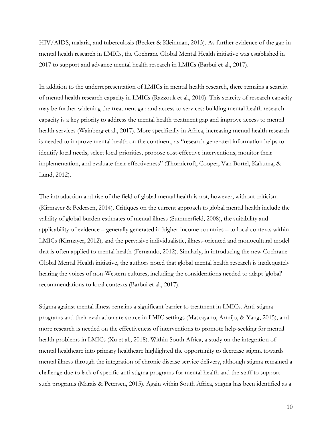HIV/AIDS, malaria, and tuberculosis (Becker & Kleinman, 2013). As further evidence of the gap in mental health research in LMICs, the Cochrane Global Mental Health initiative was established in 2017 to support and advance mental health research in LMICs (Barbui et al., 2017).

In addition to the underrepresentation of LMICs in mental health research, there remains a scarcity of mental health research capacity in LMICs (Razzouk et al., 2010). This scarcity of research capacity may be further widening the treatment gap and access to services: building mental health research capacity is a key priority to address the mental health treatment gap and improve access to mental health services (Wainberg et al., 2017). More specifically in Africa, increasing mental health research is needed to improve mental health on the continent, as "research-generated information helps to identify local needs, select local priorities, propose cost-effective interventions, monitor their implementation, and evaluate their effectiveness" (Thornicroft, Cooper, Van Bortel, Kakuma, & Lund, 2012).

The introduction and rise of the field of global mental health is not, however, without criticism (Kirmayer & Pedersen, 2014). Critiques on the current approach to global mental health include the validity of global burden estimates of mental illness (Summerfield, 2008), the suitability and applicability of evidence – generally generated in higher-income countries – to local contexts within LMICs (Kirmayer, 2012), and the pervasive individualistic, illness-oriented and monocultural model that is often applied to mental health (Fernando, 2012). Similarly, in introducing the new Cochrane Global Mental Health initiative, the authors noted that global mental health research is inadequately hearing the voices of non-Western cultures, including the considerations needed to adapt 'global' recommendations to local contexts (Barbui et al., 2017).

Stigma against mental illness remains a significant barrier to treatment in LMICs. Anti-stigma programs and their evaluation are scarce in LMIC settings (Mascayano, Armijo, & Yang, 2015), and more research is needed on the effectiveness of interventions to promote help-seeking for mental health problems in LMICs (Xu et al., 2018). Within South Africa, a study on the integration of mental healthcare into primary healthcare highlighted the opportunity to decrease stigma towards mental illness through the integration of chronic disease service delivery, although stigma remained a challenge due to lack of specific anti-stigma programs for mental health and the staff to support such programs (Marais & Petersen, 2015). Again within South Africa, stigma has been identified as a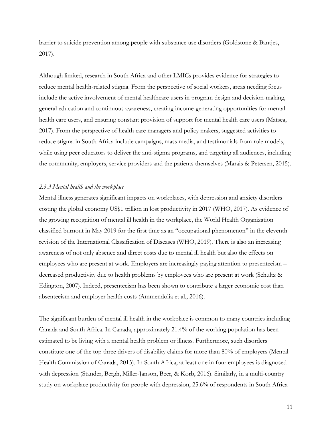barrier to suicide prevention among people with substance use disorders (Goldstone & Bantjes, 2017).

Although limited, research in South Africa and other LMICs provides evidence for strategies to reduce mental health-related stigma. From the perspective of social workers, areas needing focus include the active involvement of mental healthcare users in program design and decision-making, general education and continuous awareness, creating income-generating opportunities for mental health care users, and ensuring constant provision of support for mental health care users (Matsea, 2017). From the perspective of health care managers and policy makers, suggested activities to reduce stigma in South Africa include campaigns, mass media, and testimonials from role models, while using peer educators to deliver the anti-stigma programs, and targeting all audiences, including the community, employers, service providers and the patients themselves (Marais & Petersen, 2015).

#### *2.3.3 Mental health and the workplace*

Mental illness generates significant impacts on workplaces, with depression and anxiety disorders costing the global economy US\$1 trillion in lost productivity in 2017 (WHO, 2017). As evidence of the growing recognition of mental ill health in the workplace, the World Health Organization classified burnout in May 2019 for the first time as an "occupational phenomenon" in the eleventh revision of the International Classification of Diseases (WHO, 2019). There is also an increasing awareness of not only absence and direct costs due to mental ill health but also the effects on employees who are present at work. Employers are increasingly paying attention to presenteeism – decreased productivity due to health problems by employees who are present at work (Schultz & Edington, 2007). Indeed, presenteeism has been shown to contribute a larger economic cost than absenteeism and employer health costs (Ammendolia et al., 2016).

The significant burden of mental ill health in the workplace is common to many countries including Canada and South Africa. In Canada, approximately 21.4% of the working population has been estimated to be living with a mental health problem or illness. Furthermore, such disorders constitute one of the top three drivers of disability claims for more than 80% of employers (Mental Health Commission of Canada, 2013). In South Africa, at least one in four employees is diagnosed with depression (Stander, Bergh, Miller-Janson, Beer, & Korb, 2016). Similarly, in a multi-country study on workplace productivity for people with depression, 25.6% of respondents in South Africa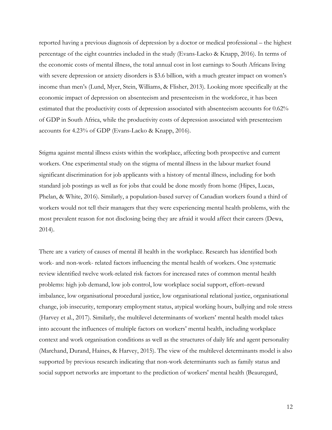reported having a previous diagnosis of depression by a doctor or medical professional – the highest percentage of the eight countries included in the study (Evans-Lacko & Knapp, 2016). In terms of the economic costs of mental illness, the total annual cost in lost earnings to South Africans living with severe depression or anxiety disorders is \$3.6 billion, with a much greater impact on women's income than men's (Lund, Myer, Stein, Williams, & Flisher, 2013). Looking more specifically at the economic impact of depression on absenteeism and presenteeism in the workforce, it has been estimated that the productivity costs of depression associated with absenteeism accounts for 0.62% of GDP in South Africa, while the productivity costs of depression associated with presenteeism accounts for 4.23% of GDP (Evans-Lacko & Knapp, 2016).

Stigma against mental illness exists within the workplace, affecting both prospective and current workers. One experimental study on the stigma of mental illness in the labour market found significant discrimination for job applicants with a history of mental illness, including for both standard job postings as well as for jobs that could be done mostly from home (Hipes, Lucas, Phelan, & White, 2016). Similarly, a population-based survey of Canadian workers found a third of workers would not tell their managers that they were experiencing mental health problems, with the most prevalent reason for not disclosing being they are afraid it would affect their careers (Dewa, 2014).

There are a variety of causes of mental ill health in the workplace. Research has identified both work- and non-work- related factors influencing the mental health of workers. One systematic review identified twelve work-related risk factors for increased rates of common mental health problems: high job demand, low job control, low workplace social support, effort–reward imbalance, low organisational procedural justice, low organisational relational justice, organisational change, job insecurity, temporary employment status, atypical working hours, bullying and role stress (Harvey et al., 2017). Similarly, the multilevel determinants of workers' mental health model takes into account the influences of multiple factors on workers' mental health, including workplace context and work organisation conditions as well as the structures of daily life and agent personality (Marchand, Durand, Haines, & Harvey, 2015). The view of the multilevel determinants model is also supported by previous research indicating that non-work determinants such as family status and social support networks are important to the prediction of workers' mental health (Beauregard,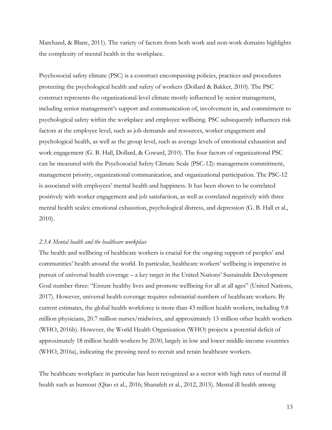Marchand, & Blanc, 2011). The variety of factors from both work and non-work domains highlights the complexity of mental health in the workplace.

Psychosocial safety climate (PSC) is a construct encompassing policies, practices and procedures protecting the psychological health and safety of workers (Dollard & Bakker, 2010). The PSC construct represents the organizational-level climate mostly influenced by senior management, including senior management's support and communication of, involvement in, and commitment to psychological safety within the workplace and employee wellbeing. PSC subsequently influences risk factors at the employee level, such as job demands and resources, worker engagement and psychological health, as well as the group level, such as average levels of emotional exhaustion and work engagement (G. B. Hall, Dollard, & Coward, 2010). The four factors of organizational PSC can be measured with the Psychosocial Safety Climate Scale (PSC-12): management commitment, management priority, organizational communication, and organizational participation. The PSC-12 is associated with employees' mental health and happiness. It has been shown to be correlated positively with worker engagement and job satisfaction, as well as correlated negatively with three mental health scales: emotional exhaustion, psychological distress, and depression (G. B. Hall et al., 2010).

## *2.3.4 Mental health and the healthcare workplace*

The health and wellbeing of healthcare workers is crucial for the ongoing support of peoples' and communities' health around the world. In particular, healthcare workers' wellbeing is imperative in pursuit of universal health coverage – a key target in the United Nations' Sustainable Development Goal number three: "Ensure healthy lives and promote wellbeing for all at all ages" (United Nations, 2017). However, universal health coverage requires substantial numbers of healthcare workers. By current estimates, the global health workforce is more than 43 million health workers, including 9.8 million physicians, 20.7 million nurses/midwives, and approximately 13 million other health workers (WHO, 2016b). However, the World Health Organization (WHO) projects a potential deficit of approximately 18 million health workers by 2030, largely in low and lower middle-income countries (WHO, 2016a), indicating the pressing need to recruit and retain healthcare workers.

The healthcare workplace in particular has been recognized as a sector with high rates of mental ill health such as burnout (Qiao et al., 2016; Shanafelt et al., 2012, 2015). Mental ill health among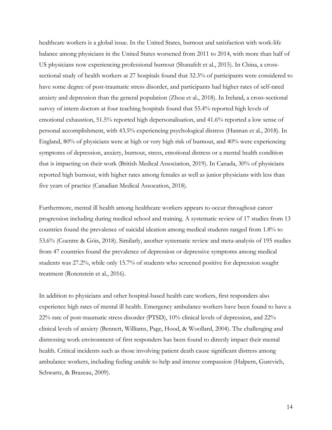healthcare workers is a global issue. In the United States, burnout and satisfaction with work-life balance among physicians in the United States worsened from 2011 to 2014, with more than half of US physicians now experiencing professional burnout (Shanafelt et al., 2015). In China, a crosssectional study of health workers at 27 hospitals found that 32.3% of participants were considered to have some degree of post-traumatic stress disorder, and participants had higher rates of self-rated anxiety and depression than the general population (Zhou et al., 2018). In Ireland, a cross-sectional survey of intern doctors at four teaching hospitals found that 55.4% reported high levels of emotional exhaustion, 51.5% reported high depersonalisation, and 41.6% reported a low sense of personal accomplishment, with 43.5% experiencing psychological distress (Hannan et al., 2018). In England, 80% of physicians were at high or very high risk of burnout, and 40% were experiencing symptoms of depression, anxiety, burnout, stress, emotional distress or a mental health condition that is impacting on their work (British Medical Association, 2019). In Canada, 30% of physicians reported high burnout, with higher rates among females as well as junior physicians with less than five years of practice (Canadian Medical Assocation, 2018).

Furthermore, mental ill health among healthcare workers appears to occur throughout career progression including during medical school and training. A systematic review of 17 studies from 13 countries found the prevalence of suicidal ideation among medical students ranged from 1.8% to 53.6% (Coentre & Góis, 2018). Similarly, another systematic review and meta-analysis of 195 studies from 47 countries found the prevalence of depression or depressive symptoms among medical students was 27.2%, while only 15.7% of students who screened positive for depression sought treatment (Rotenstein et al., 2016).

In addition to physicians and other hospital-based health care workers, first responders also experience high rates of mental ill health. Emergency ambulance workers have been found to have a 22% rate of post-traumatic stress disorder (PTSD), 10% clinical levels of depression, and 22% clinical levels of anxiety (Bennett, Williams, Page, Hood, & Woollard, 2004). The challenging and distressing work environment of first responders has been found to directly impact their mental health. Critical incidents such as those involving patient death cause significant distress among ambulance workers, including feeling unable to help and intense compassion (Halpern, Gurevich, Schwartz, & Brazeau, 2009).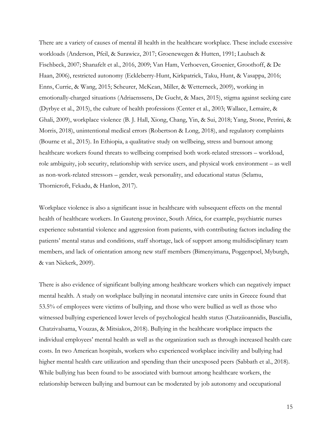There are a variety of causes of mental ill health in the healthcare workplace. These include excessive workloads (Anderson, Pfeil, & Surawicz, 2017; Groenewegen & Hutten, 1991; Laubach & Fischbeck, 2007; Shanafelt et al., 2016, 2009; Van Ham, Verhoeven, Groenier, Groothoff, & De Haan, 2006), restricted autonomy (Eckleberry-Hunt, Kirkpatrick, Taku, Hunt, & Vasappa, 2016; Enns, Currie, & Wang, 2015; Scheurer, McKean, Miller, & Wetterneck, 2009), working in emotionally-charged situations (Adriaenssens, De Gucht, & Maes, 2015), stigma against seeking care (Dyrbye et al., 2015), the culture of health professions (Center et al., 2003; Wallace, Lemaire, & Ghali, 2009), workplace violence (B. J. Hall, Xiong, Chang, Yin, & Sui, 2018; Yang, Stone, Petrini, & Morris, 2018), unintentional medical errors (Robertson & Long, 2018), and regulatory complaints (Bourne et al., 2015). In Ethiopia, a qualitative study on wellbeing, stress and burnout among healthcare workers found threats to wellbeing comprised both work-related stressors – workload, role ambiguity, job security, relationship with service users, and physical work environment – as well as non-work-related stressors – gender, weak personality, and educational status (Selamu, Thornicroft, Fekadu, & Hanlon, 2017).

Workplace violence is also a significant issue in healthcare with subsequent effects on the mental health of healthcare workers. In Gauteng province, South Africa, for example, psychiatric nurses experience substantial violence and aggression from patients, with contributing factors including the patients' mental status and conditions, staff shortage, lack of support among multidisciplinary team members, and lack of orientation among new staff members (Bimenyimana, Poggenpoel, Myburgh, & van Niekerk, 2009).

There is also evidence of significant bullying among healthcare workers which can negatively impact mental health. A study on workplace bullying in neonatal intensive care units in Greece found that 53.5% of employees were victims of bullying, and those who were bullied as well as those who witnessed bullying experienced lower levels of psychological health status (Chatziioannidis, Bascialla, Chatzivalsama, Vouzas, & Mitsiakos, 2018). Bullying in the healthcare workplace impacts the individual employees' mental health as well as the organization such as through increased health care costs. In two American hospitals, workers who experienced workplace incivility and bullying had higher mental health care utilization and spending than their unexposed peers (Sabbath et al., 2018). While bullying has been found to be associated with burnout among healthcare workers, the relationship between bullying and burnout can be moderated by job autonomy and occupational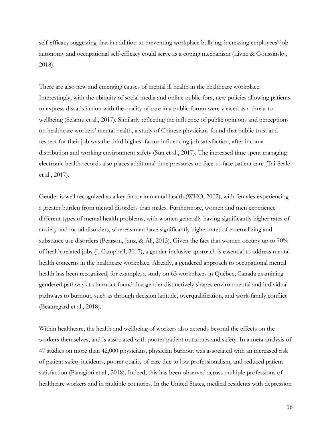self-efficacy suggesting that in addition to preventing workplace bullying, increasing employees' job autonomy and occupational self-efficacy could serve as a coping mechanism (Livne & Goussinsky, 2018).

There are also new and emerging causes of mental ill health in the healthcare workplace. Interestingly, with the ubiquity of social media and online public fora, new policies allowing patients to express dissatisfaction with the quality of care in a public forum were viewed as a threat to wellbeing (Selamu et al., 2017). Similarly reflecting the influence of public opinions and perceptions on healthcare workers' mental health, a study of Chinese physicians found that public trust and respect for their job was the third highest factor influencing job satisfaction, after income distribution and working environment safety (Sun et al., 2017). The increased time spent managing electronic health records also places additional time pressures on face-to-face patient care (Tai-Seale et al., 2017).

Gender is well recognized as a key factor in mental health (WHO, 2002), with females experiencing a greater burden from mental disorders than males. Furthermore, women and men experience different types of mental health problems, with women generally having significantly higher rates of anxiety and mood disorders, whereas men have significantly higher rates of externalizing and substance use disorders (Pearson, Janz, & Ali, 2013). Given the fact that women occupy up to 70% of health-related jobs (J. Campbell, 2017), a gender-inclusive approach is essential to address mental health concerns in the healthcare workplace. Already, a gendered approach to occupational mental health has been recognized; for example, a study on 63 workplaces in Québec, Canada examining gendered pathways to burnout found that gender distinctively shapes environmental and individual pathways to burnout, such as through decision latitude, overqualification, and work-family conflict (Beauregard et al., 2018).

Within healthcare, the health and wellbeing of workers also extends beyond the effects on the workers themselves, and is associated with poorer patient outcomes and safety. In a meta-analysis of 47 studies on more than 42,000 physicians, physician burnout was associated with an increased risk of patient safety incidents, poorer quality of care due to low professionalism, and reduced patient satisfaction (Panagioti et al., 2018). Indeed, this has been observed across multiple professions of healthcare workers and in multiple countries. In the United States, medical residents with depression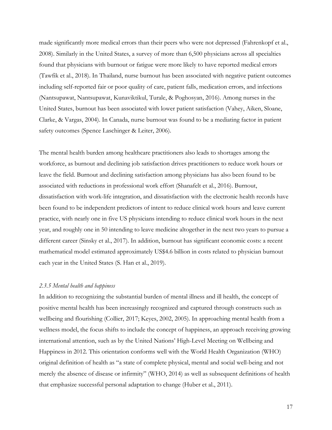made significantly more medical errors than their peers who were not depressed (Fahrenkopf et al., 2008). Similarly in the United States, a survey of more than 6,500 physicians across all specialties found that physicians with burnout or fatigue were more likely to have reported medical errors (Tawfik et al., 2018). In Thailand, nurse burnout has been associated with negative patient outcomes including self-reported fair or poor quality of care, patient falls, medication errors, and infections (Nantsupawat, Nantsupawat, Kunaviktikul, Turale, & Poghosyan, 2016). Among nurses in the United States, burnout has been associated with lower patient satisfaction (Vahey, Aiken, Sloane, Clarke, & Vargas, 2004). In Canada, nurse burnout was found to be a mediating factor in patient safety outcomes (Spence Laschinger & Leiter, 2006).

The mental health burden among healthcare practitioners also leads to shortages among the workforce, as burnout and declining job satisfaction drives practitioners to reduce work hours or leave the field. Burnout and declining satisfaction among physicians has also been found to be associated with reductions in professional work effort (Shanafelt et al., 2016). Burnout, dissatisfaction with work-life integration, and dissatisfaction with the electronic health records have been found to be independent predictors of intent to reduce clinical work hours and leave current practice, with nearly one in five US physicians intending to reduce clinical work hours in the next year, and roughly one in 50 intending to leave medicine altogether in the next two years to pursue a different career (Sinsky et al., 2017). In addition, burnout has significant economic costs: a recent mathematical model estimated approximately US\$4.6 billion in costs related to physician burnout each year in the United States (S. Han et al., 2019).

#### *2.3.5 Mental health and happiness*

In addition to recognizing the substantial burden of mental illness and ill health, the concept of positive mental health has been increasingly recognized and captured through constructs such as wellbeing and flourishing (Collier, 2017; Keyes, 2002, 2005). In approaching mental health from a wellness model, the focus shifts to include the concept of happiness, an approach receiving growing international attention, such as by the United Nations' High-Level Meeting on Wellbeing and Happiness in 2012. This orientation conforms well with the World Health Organization (WHO) original definition of health as "a state of complete physical, mental and social well-being and not merely the absence of disease or infirmity" (WHO, 2014) as well as subsequent definitions of health that emphasize successful personal adaptation to change (Huber et al., 2011).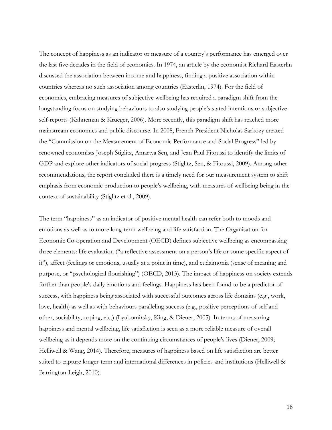The concept of happiness as an indicator or measure of a country's performance has emerged over the last five decades in the field of economics. In 1974, an article by the economist Richard Easterlin discussed the association between income and happiness, finding a positive association within countries whereas no such association among countries (Easterlin, 1974). For the field of economics, embracing measures of subjective wellbeing has required a paradigm shift from the longstanding focus on studying behaviours to also studying people's stated intentions or subjective self-reports (Kahneman & Krueger, 2006). More recently, this paradigm shift has reached more mainstream economics and public discourse. In 2008, French President Nicholas Sarkozy created the "Commission on the Measurement of Economic Performance and Social Progress" led by renowned economists Joseph Stiglitz, Amartya Sen, and Jean Paul Fitoussi to identify the limits of GDP and explore other indicators of social progress (Stiglitz, Sen, & Fitoussi, 2009). Among other recommendations, the report concluded there is a timely need for our measurement system to shift emphasis from economic production to people's wellbeing, with measures of wellbeing being in the context of sustainability (Stiglitz et al., 2009).

The term "happiness" as an indicator of positive mental health can refer both to moods and emotions as well as to more long-term wellbeing and life satisfaction. The Organisation for Economic Co-operation and Development (OECD) defines subjective wellbeing as encompassing three elements: life evaluation ("a reflective assessment on a person's life or some specific aspect of it"), affect (feelings or emotions, usually at a point in time), and eudaimonia (sense of meaning and purpose, or "psychological flourishing") (OECD, 2013). The impact of happiness on society extends further than people's daily emotions and feelings. Happiness has been found to be a predictor of success, with happiness being associated with successful outcomes across life domains (e.g., work, love, health) as well as with behaviours paralleling success (e.g., positive perceptions of self and other, sociability, coping, etc.) (Lyubomirsky, King, & Diener, 2005). In terms of measuring happiness and mental wellbeing, life satisfaction is seen as a more reliable measure of overall wellbeing as it depends more on the continuing circumstances of people's lives (Diener, 2009; Helliwell & Wang, 2014). Therefore, measures of happiness based on life satisfaction are better suited to capture longer-term and international differences in policies and institutions (Helliwell & Barrington-Leigh, 2010).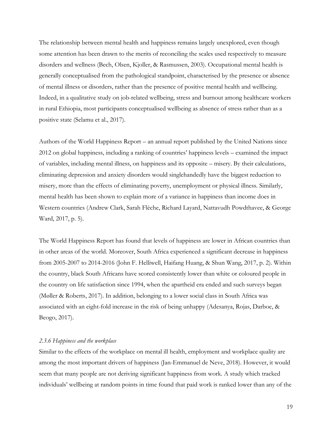The relationship between mental health and happiness remains largely unexplored, even though some attention has been drawn to the merits of reconciling the scales used respectively to measure disorders and wellness (Bech, Olsen, Kjoller, & Rasmussen, 2003). Occupational mental health is generally conceptualised from the pathological standpoint, characterised by the presence or absence of mental illness or disorders, rather than the presence of positive mental health and wellbeing. Indeed, in a qualitative study on job-related wellbeing, stress and burnout among healthcare workers in rural Ethiopia, most participants conceptualised wellbeing as absence of stress rather than as a positive state (Selamu et al., 2017).

Authors of the World Happiness Report – an annual report published by the United Nations since 2012 on global happiness, including a ranking of countries' happiness levels – examined the impact of variables, including mental illness, on happiness and its opposite – misery. By their calculations, eliminating depression and anxiety disorders would singlehandedly have the biggest reduction to misery, more than the effects of eliminating poverty, unemployment or physical illness. Similarly, mental health has been shown to explain more of a variance in happiness than income does in Western countries (Andrew Clark, Sarah Flèche, Richard Layard, Nattavudh Powdthavee, & George Ward, 2017, p. 5).

The World Happiness Report has found that levels of happiness are lower in African countries than in other areas of the world. Moreover, South Africa experienced a significant decrease in happiness from 2005-2007 to 2014-2016 (John F. Helliwell, Haifang Huang, & Shun Wang, 2017, p. 2). Within the country, black South Africans have scored consistently lower than white or coloured people in the country on life satisfaction since 1994, when the apartheid era ended and such surveys began (Møller & Roberts, 2017). In addition, belonging to a lower social class in South Africa was associated with an eight-fold increase in the risk of being unhappy (Adesanya, Rojas, Darboe, & Beogo, 2017).

## *2.3.6 Happiness and the workplace*

Similar to the effects of the workplace on mental ill health, employment and workplace quality are among the most important drivers of happiness (Jan-Emmanuel de Neve, 2018). However, it would seem that many people are not deriving significant happiness from work. A study which tracked individuals' wellbeing at random points in time found that paid work is ranked lower than any of the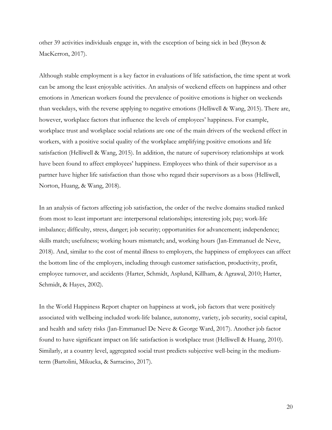other 39 activities individuals engage in, with the exception of being sick in bed (Bryson & MacKerron, 2017).

Although stable employment is a key factor in evaluations of life satisfaction, the time spent at work can be among the least enjoyable activities. An analysis of weekend effects on happiness and other emotions in American workers found the prevalence of positive emotions is higher on weekends than weekdays, with the reverse applying to negative emotions (Helliwell & Wang, 2015). There are, however, workplace factors that influence the levels of employees' happiness. For example, workplace trust and workplace social relations are one of the main drivers of the weekend effect in workers, with a positive social quality of the workplace amplifying positive emotions and life satisfaction (Helliwell & Wang, 2015). In addition, the nature of supervisory relationships at work have been found to affect employees' happiness. Employees who think of their supervisor as a partner have higher life satisfaction than those who regard their supervisors as a boss (Helliwell, Norton, Huang, & Wang, 2018).

In an analysis of factors affecting job satisfaction, the order of the twelve domains studied ranked from most to least important are: interpersonal relationships; interesting job; pay; work-life imbalance; difficulty, stress, danger; job security; opportunities for advancement; independence; skills match; usefulness; working hours mismatch; and, working hours (Jan-Emmanuel de Neve, 2018). And, similar to the cost of mental illness to employers, the happiness of employees can affect the bottom line of the employers, including through customer satisfaction, productivity, profit, employee turnover, and accidents (Harter, Schmidt, Asplund, Killham, & Agrawal, 2010; Harter, Schmidt, & Hayes, 2002).

In the World Happiness Report chapter on happiness at work, job factors that were positively associated with wellbeing included work-life balance, autonomy, variety, job security, social capital, and health and safety risks (Jan-Emmanuel De Neve & George Ward, 2017). Another job factor found to have significant impact on life satisfaction is workplace trust (Helliwell & Huang, 2010). Similarly, at a country level, aggregated social trust predicts subjective well-being in the mediumterm (Bartolini, Mikucka, & Sarracino, 2017).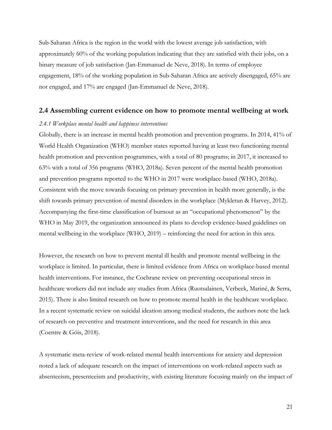Sub-Saharan Africa is the region in the world with the lowest average job satisfaction, with approximately 60% of the working population indicating that they are satisfied with their jobs, on a binary measure of job satisfaction (Jan-Emmanuel de Neve, 2018). In terms of employee engagement, 18% of the working population in Sub-Saharan Africa are actively disengaged, 65% are not engaged, and 17% are engaged (Jan-Emmanuel de Neve, 2018).

## **2.4 Assembling current evidence on how to promote mental wellbeing at work**

### *2.4.1 Workplace mental health and happiness interventions*

Globally, there is an increase in mental health promotion and prevention programs. In 2014, 41% of World Health Organization (WHO) member states reported having at least two functioning mental health promotion and prevention programmes, with a total of 80 programs; in 2017, it increased to 63% with a total of 356 programs (WHO, 2018a). Seven percent of the mental health promotion and prevention programs reported to the WHO in 2017 were workplace-based (WHO, 2018a). Consistent with the move towards focusing on primary prevention in health more generally, is the shift towards primary prevention of mental disorders in the workplace (Mykletun & Harvey, 2012). Accompanying the first-time classification of burnout as an "occupational phenomenon" by the WHO in May 2019, the organization announced its plans to develop evidence-based guidelines on mental wellbeing in the workplace (WHO, 2019) – reinforcing the need for action in this area.

However, the research on how to prevent mental ill health and promote mental wellbeing in the workplace is limited. In particular, there is limited evidence from Africa on workplace-based mental health interventions. For instance, the Cochrane review on preventing occupational stress in healthcare workers did not include any studies from Africa (Ruotsalainen, Verbeek, Mariné, & Serra, 2015). There is also limited research on how to promote mental health in the healthcare workplace. In a recent systematic review on suicidal ideation among medical students, the authors note the lack of research on preventive and treatment interventions, and the need for research in this area (Coentre & Góis, 2018).

A systematic meta-review of work-related mental health interventions for anxiety and depression noted a lack of adequate research on the impact of interventions on work-related aspects such as absenteeism, presenteeism and productivity, with existing literature focusing mainly on the impact of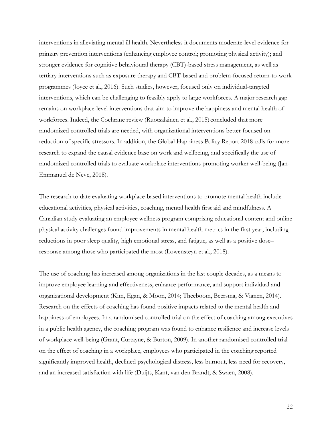interventions in alleviating mental ill health. Nevertheless it documents moderate-level evidence for primary prevention interventions (enhancing employee control; promoting physical activity); and stronger evidence for cognitive behavioural therapy (CBT)-based stress management, as well as tertiary interventions such as exposure therapy and CBT-based and problem-focused return-to-work programmes (Joyce et al., 2016). Such studies, however, focused only on individual-targeted interventions, which can be challenging to feasibly apply to large workforces. A major research gap remains on workplace-level interventions that aim to improve the happiness and mental health of workforces. Indeed, the Cochrane review (Ruotsalainen et al., 2015) concluded that more randomized controlled trials are needed, with organizational interventions better focused on reduction of specific stressors. In addition, the Global Happiness Policy Report 2018 calls for more research to expand the causal evidence base on work and wellbeing, and specifically the use of randomized controlled trials to evaluate workplace interventions promoting worker well-being (Jan-Emmanuel de Neve, 2018).

The research to date evaluating workplace-based interventions to promote mental health include educational activities, physical activities, coaching, mental health first aid and mindfulness. A Canadian study evaluating an employee wellness program comprising educational content and online physical activity challenges found improvements in mental health metrics in the first year, including reductions in poor sleep quality, high emotional stress, and fatigue, as well as a positive dose– response among those who participated the most (Lowensteyn et al., 2018).

The use of coaching has increased among organizations in the last couple decades, as a means to improve employee learning and effectiveness, enhance performance, and support individual and organizational development (Kim, Egan, & Moon, 2014; Theeboom, Beersma, & Vianen, 2014). Research on the effects of coaching has found positive impacts related to the mental health and happiness of employees. In a randomised controlled trial on the effect of coaching among executives in a public health agency, the coaching program was found to enhance resilience and increase levels of workplace well-being (Grant, Curtayne, & Burton, 2009). In another randomised controlled trial on the effect of coaching in a workplace, employees who participated in the coaching reported significantly improved health, declined psychological distress, less burnout, less need for recovery, and an increased satisfaction with life (Duijts, Kant, van den Brandt, & Swaen, 2008).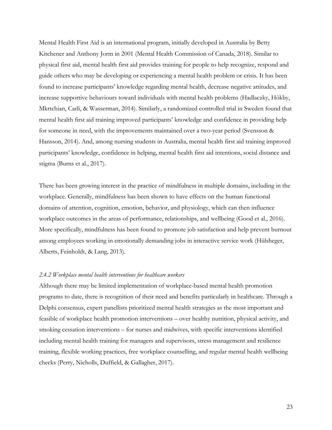Mental Health First Aid is an international program, initially developed in Australia by Betty Kitchener and Anthony Jorm in 2001 (Mental Health Commission of Canada, 2018). Similar to physical first aid, mental health first aid provides training for people to help recognize, respond and guide others who may be developing or experiencing a mental health problem or crisis. It has been found to increase participants' knowledge regarding mental health, decrease negative attitudes, and increase supportive behaviours toward individuals with mental health problems (Hadlaczky, Hökby, Mkrtchian, Carli, & Wasserman, 2014). Similarly, a randomized controlled trial in Sweden found that mental health first aid training improved participants' knowledge and confidence in providing help for someone in need, with the improvements maintained over a two-year period (Svensson & Hansson, 2014). And, among nursing students in Australia, mental health first aid training improved participants' knowledge, confidence in helping, mental health first aid intentions, social distance and stigma (Burns et al., 2017).

There has been growing interest in the practice of mindfulness in multiple domains, including in the workplace. Generally, mindfulness has been shown to have effects on the human functional domains of attention, cognition, emotion, behavior, and physiology, which can then influence workplace outcomes in the areas of performance, relationships, and wellbeing (Good et al., 2016). More specifically, mindfulness has been found to promote job satisfaction and help prevent burnout among employees working in emotionally demanding jobs in interactive service work (Hülsheger, Alberts, Feinholdt, & Lang, 2013).

## *2.4.2 Workplace mental health interventions for healthcare workers*

Although there may be limited implementation of workplace-based mental health promotion programs to date, there is recognition of their need and benefits particularly in healthcare. Through a Delphi consensus, expert panellists prioritized mental health strategies as the most important and feasible of workplace health promotion interventions – over healthy nutrition, physical activity, and smoking cessation interventions – for nurses and midwives, with specific interventions identified including mental health training for managers and supervisors, stress management and resilience training, flexible working practices, free workplace counselling, and regular mental health wellbeing checks (Perry, Nicholls, Duffield, & Gallagher, 2017).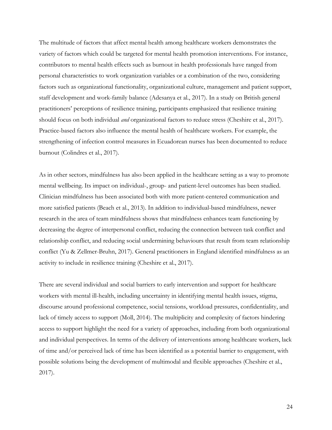The multitude of factors that affect mental health among healthcare workers demonstrates the variety of factors which could be targeted for mental health promotion interventions. For instance, contributors to mental health effects such as burnout in health professionals have ranged from personal characteristics to work organization variables or a combination of the two, considering factors such as organizational functionality, organizational culture, management and patient support, staff development and work-family balance (Adesanya et al., 2017). In a study on British general practitioners' perceptions of resilience training, participants emphasized that resilience training should focus on both individual *and* organizational factors to reduce stress (Cheshire et al., 2017). Practice-based factors also influence the mental health of healthcare workers. For example, the strengthening of infection control measures in Ecuadorean nurses has been documented to reduce burnout (Colindres et al., 2017).

As in other sectors, mindfulness has also been applied in the healthcare setting as a way to promote mental wellbeing. Its impact on individual-, group- and patient-level outcomes has been studied. Clinician mindfulness has been associated both with more patient-centered communication and more satisfied patients (Beach et al., 2013). In addition to individual-based mindfulness, newer research in the area of team mindfulness shows that mindfulness enhances team functioning by decreasing the degree of interpersonal conflict, reducing the connection between task conflict and relationship conflict, and reducing social undermining behaviours that result from team relationship conflict (Yu & Zellmer-Bruhn, 2017). General practitioners in England identified mindfulness as an activity to include in resilience training (Cheshire et al., 2017).

There are several individual and social barriers to early intervention and support for healthcare workers with mental ill-health, including uncertainty in identifying mental health issues, stigma, discourse around professional competence, social tensions, workload pressures, confidentiality, and lack of timely access to support (Moll, 2014). The multiplicity and complexity of factors hindering access to support highlight the need for a variety of approaches, including from both organizational and individual perspectives. In terms of the delivery of interventions among healthcare workers, lack of time and/or perceived lack of time has been identified as a potential barrier to engagement, with possible solutions being the development of multimodal and flexible approaches (Cheshire et al., 2017).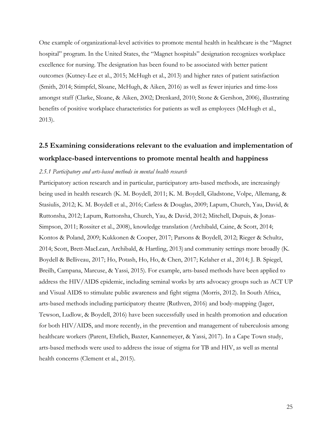One example of organizational-level activities to promote mental health in healthcare is the "Magnet hospital" program. In the United States, the "Magnet hospitals" designation recognizes workplace excellence for nursing. The designation has been found to be associated with better patient outcomes (Kutney-Lee et al., 2015; McHugh et al., 2013) and higher rates of patient satisfaction (Smith, 2014; Stimpfel, Sloane, McHugh, & Aiken, 2016) as well as fewer injuries and time-loss amongst staff (Clarke, Sloane, & Aiken, 2002; Drenkard, 2010; Stone & Gershon, 2006), illustrating benefits of positive workplace characteristics for patients as well as employees (McHugh et al., 2013).

# **2.5 Examining considerations relevant to the evaluation and implementation of workplace-based interventions to promote mental health and happiness**

### *2.5.1 Participatory and arts-based methods in mental health research*

Participatory action research and in particular, participatory arts-based methods, are increasingly being used in health research (K. M. Boydell, 2011; K. M. Boydell, Gladstone, Volpe, Allemang, & Stasiulis, 2012; K. M. Boydell et al., 2016; Carless & Douglas, 2009; Lapum, Church, Yau, David, & Ruttonsha, 2012; Lapum, Ruttonsha, Church, Yau, & David, 2012; Mitchell, Dupuis, & Jonas-Simpson, 2011; Rossiter et al., 2008), knowledge translation (Archibald, Caine, & Scott, 2014; Kontos & Poland, 2009; Kukkonen & Cooper, 2017; Parsons & Boydell, 2012; Rieger & Schultz, 2014; Scott, Brett-MacLean, Archibald, & Hartling, 2013) and community settings more broadly (K. Boydell & Belliveau, 2017; Ho, Potash, Ho, Ho, & Chen, 2017; Kelaher et al., 2014; J. B. Spiegel, Breilh, Campana, Marcuse, & Yassi, 2015). For example, arts-based methods have been applied to address the HIV/AIDS epidemic, including seminal works by arts advocacy groups such as ACT UP and Visual AIDS to stimulate public awareness and fight stigma (Morris, 2012). In South Africa, arts-based methods including participatory theatre (Ruthven, 2016) and body-mapping (Jager, Tewson, Ludlow, & Boydell, 2016) have been successfully used in health promotion and education for both HIV/AIDS, and more recently, in the prevention and management of tuberculosis among healthcare workers (Parent, Ehrlich, Baxter, Kannemeyer, & Yassi, 2017). In a Cape Town study, arts-based methods were used to address the issue of stigma for TB and HIV, as well as mental health concerns (Clement et al., 2015).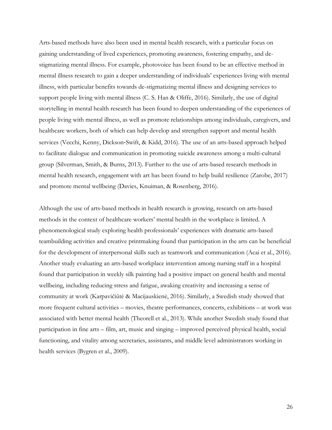Arts-based methods have also been used in mental health research, with a particular focus on gaining understanding of lived experiences, promoting awareness, fostering empathy, and destigmatizing mental illness. For example, photovoice has been found to be an effective method in mental illness research to gain a deeper understanding of individuals' experiences living with mental illness, with particular benefits towards de-stigmatizing mental illness and designing services to support people living with mental illness (C. S. Han & Oliffe, 2016). Similarly, the use of digital storytelling in mental health research has been found to deepen understanding of the experiences of people living with mental illness, as well as promote relationships among individuals, caregivers, and healthcare workers, both of which can help develop and strengthen support and mental health services (Vecchi, Kenny, Dickson-Swift, & Kidd, 2016). The use of an arts-based approach helped to facilitate dialogue and communication in promoting suicide awareness among a multi-cultural group (Silverman, Smith, & Burns, 2013). Further to the use of arts-based research methods in mental health research, engagement with art has been found to help build resilience (Zarobe, 2017) and promote mental wellbeing (Davies, Knuiman, & Rosenberg, 2016).

Although the use of arts-based methods in health research is growing, research on arts-based methods in the context of healthcare workers' mental health in the workplace is limited. A phenomenological study exploring health professionals' experiences with dramatic arts-based teambuilding activities and creative printmaking found that participation in the arts can be beneficial for the development of interpersonal skills such as teamwork and communication (Acai et al., 2016). Another study evaluating an arts-based workplace intervention among nursing staff in a hospital found that participation in weekly silk painting had a positive impact on general health and mental wellbeing, including reducing stress and fatigue, awaking creativity and increasing a sense of community at work (Karpavičiūtė & Macijauskienė, 2016). Similarly, a Swedish study showed that more frequent cultural activities – movies, theatre performances, concerts, exhibitions – at work was associated with better mental health (Theorell et al., 2013). While another Swedish study found that participation in fine arts – film, art, music and singing – improved perceived physical health, social functioning, and vitality among secretaries, assistants, and middle level administrators working in health services (Bygren et al., 2009).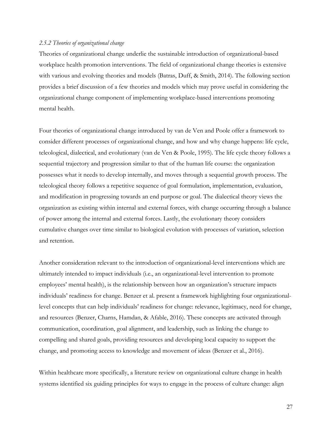#### *2.5.2 Theories of organizational change*

Theories of organizational change underlie the sustainable introduction of organizational-based workplace health promotion interventions. The field of organizational change theories is extensive with various and evolving theories and models (Batras, Duff, & Smith, 2014). The following section provides a brief discussion of a few theories and models which may prove useful in considering the organizational change component of implementing workplace-based interventions promoting mental health.

Four theories of organizational change introduced by van de Ven and Poole offer a framework to consider different processes of organizational change, and how and why change happens: life cycle, teleological, dialectical, and evolutionary (van de Ven & Poole, 1995). The life cycle theory follows a sequential trajectory and progression similar to that of the human life course: the organization possesses what it needs to develop internally, and moves through a sequential growth process. The teleological theory follows a repetitive sequence of goal formulation, implementation, evaluation, and modification in progressing towards an end purpose or goal. The dialectical theory views the organization as existing within internal and external forces, with change occurring through a balance of power among the internal and external forces. Lastly, the evolutionary theory considers cumulative changes over time similar to biological evolution with processes of variation, selection and retention.

Another consideration relevant to the introduction of organizational-level interventions which are ultimately intended to impact individuals (i.e., an organizational-level intervention to promote employees' mental health), is the relationship between how an organization's structure impacts individuals' readiness for change. Benzer et al. present a framework highlighting four organizationallevel concepts that can help individuals' readiness for change: relevance, legitimacy, need for change, and resources (Benzer, Charns, Hamdan, & Afable, 2016). These concepts are activated through communication, coordination, goal alignment, and leadership, such as linking the change to compelling and shared goals, providing resources and developing local capacity to support the change, and promoting access to knowledge and movement of ideas (Benzer et al., 2016).

Within healthcare more specifically, a literature review on organizational culture change in health systems identified six guiding principles for ways to engage in the process of culture change: align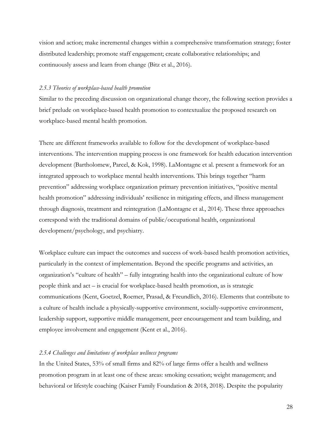vision and action; make incremental changes within a comprehensive transformation strategy; foster distributed leadership; promote staff engagement; create collaborative relationships; and continuously assess and learn from change (Bitz et al., 2016).

#### *2.5.3 Theories of workplace-based health promotion*

Similar to the preceding discussion on organizational change theory, the following section provides a brief prelude on workplace-based health promotion to contextualize the proposed research on workplace-based mental health promotion.

There are different frameworks available to follow for the development of workplace-based interventions. The intervention mapping process is one framework for health education intervention development (Bartholomew, Parcel, & Kok, 1998). LaMontagne et al. present a framework for an integrated approach to workplace mental health interventions. This brings together "harm prevention" addressing workplace organization primary prevention initiatives, "positive mental health promotion" addressing individuals' resilience in mitigating effects, and illness management through diagnosis, treatment and reintegration (LaMontagne et al., 2014). These three approaches correspond with the traditional domains of public/occupational health, organizational development/psychology, and psychiatry.

Workplace culture can impact the outcomes and success of work-based health promotion activities, particularly in the context of implementation. Beyond the specific programs and activities, an organization's "culture of health" – fully integrating health into the organizational culture of how people think and act – is crucial for workplace-based health promotion, as is strategic communications (Kent, Goetzel, Roemer, Prasad, & Freundlich, 2016). Elements that contribute to a culture of health include a physically-supportive environment, socially-supportive environment, leadership support, supportive middle management, peer encouragement and team building, and employee involvement and engagement (Kent et al., 2016).

#### *2.5.4 Challenges and limitations of workplace wellness programs*

In the United States, 53% of small firms and 82% of large firms offer a health and wellness promotion program in at least one of these areas: smoking cessation; weight management; and behavioral or lifestyle coaching (Kaiser Family Foundation & 2018, 2018). Despite the popularity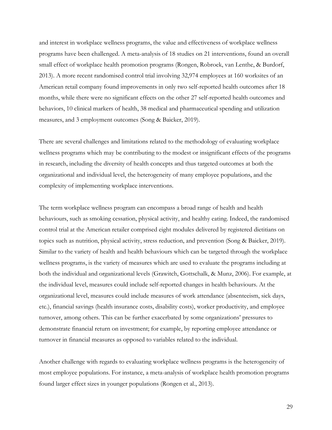and interest in workplace wellness programs, the value and effectiveness of workplace wellness programs have been challenged. A meta-analysis of 18 studies on 21 interventions, found an overall small effect of workplace health promotion programs (Rongen, Robroek, van Lenthe, & Burdorf, 2013). A more recent randomised control trial involving 32,974 employees at 160 worksites of an American retail company found improvements in only two self-reported health outcomes after 18 months, while there were no significant effects on the other 27 self-reported health outcomes and behaviors, 10 clinical markers of health, 38 medical and pharmaceutical spending and utilization measures, and 3 employment outcomes (Song & Baicker, 2019).

There are several challenges and limitations related to the methodology of evaluating workplace wellness programs which may be contributing to the modest or insignificant effects of the programs in research, including the diversity of health concepts and thus targeted outcomes at both the organizational and individual level, the heterogeneity of many employee populations, and the complexity of implementing workplace interventions.

The term workplace wellness program can encompass a broad range of health and health behaviours, such as smoking cessation, physical activity, and healthy eating. Indeed, the randomised control trial at the American retailer comprised eight modules delivered by registered dietitians on topics such as nutrition, physical activity, stress reduction, and prevention (Song & Baicker, 2019). Similar to the variety of health and health behaviours which can be targeted through the workplace wellness programs, is the variety of measures which are used to evaluate the programs including at both the individual and organizational levels (Grawitch, Gottschalk, & Munz, 2006). For example, at the individual level, measures could include self-reported changes in health behaviours. At the organizational level, measures could include measures of work attendance (absenteeism, sick days, etc.), financial savings (health insurance costs, disability costs), worker productivity, and employee turnover, among others. This can be further exacerbated by some organizations' pressures to demonstrate financial return on investment; for example, by reporting employee attendance or turnover in financial measures as opposed to variables related to the individual.

Another challenge with regards to evaluating workplace wellness programs is the heterogeneity of most employee populations. For instance, a meta-analysis of workplace health promotion programs found larger effect sizes in younger populations (Rongen et al., 2013).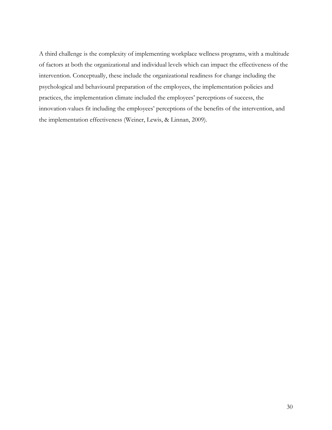A third challenge is the complexity of implementing workplace wellness programs, with a multitude of factors at both the organizational and individual levels which can impact the effectiveness of the intervention. Conceptually, these include the organizational readiness for change including the psychological and behavioural preparation of the employees, the implementation policies and practices, the implementation climate included the employees' perceptions of success, the innovation-values fit including the employees' perceptions of the benefits of the intervention, and the implementation effectiveness (Weiner, Lewis, & Linnan, 2009).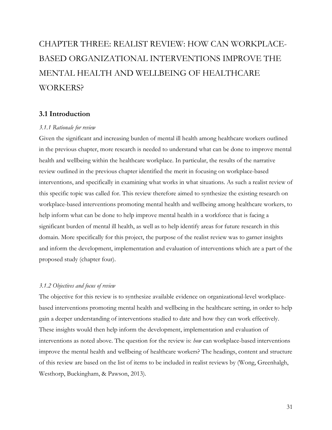# CHAPTER THREE: REALIST REVIEW: HOW CAN WORKPLACE-BASED ORGANIZATIONAL INTERVENTIONS IMPROVE THE MENTAL HEALTH AND WELLBEING OF HEALTHCARE WORKERS?

# **3.1 Introduction**

#### *3.1.1 Rationale for review*

Given the significant and increasing burden of mental ill health among healthcare workers outlined in the previous chapter, more research is needed to understand what can be done to improve mental health and wellbeing within the healthcare workplace. In particular, the results of the narrative review outlined in the previous chapter identified the merit in focusing on workplace-based interventions, and specifically in examining what works in what situations. As such a realist review of this specific topic was called for. This review therefore aimed to synthesize the existing research on workplace-based interventions promoting mental health and wellbeing among healthcare workers, to help inform what can be done to help improve mental health in a workforce that is facing a significant burden of mental ill health, as well as to help identify areas for future research in this domain. More specifically for this project, the purpose of the realist review was to garner insights and inform the development, implementation and evaluation of interventions which are a part of the proposed study (chapter four).

# *3.1.2 Objectives and focus of review*

The objective for this review is to synthesize available evidence on organizational-level workplacebased interventions promoting mental health and wellbeing in the healthcare setting, in order to help gain a deeper understanding of interventions studied to date and how they can work effectively. These insights would then help inform the development, implementation and evaluation of interventions as noted above. The question for the review is: *how* can workplace-based interventions improve the mental health and wellbeing of healthcare workers? The headings, content and structure of this review are based on the list of items to be included in realist reviews by (Wong, Greenhalgh, Westhorp, Buckingham, & Pawson, 2013).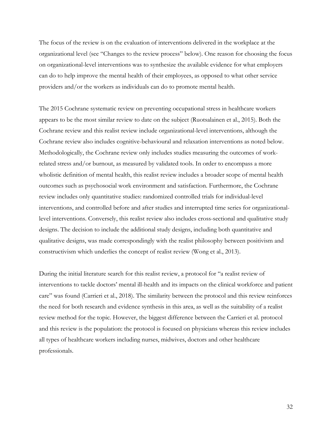The focus of the review is on the evaluation of interventions delivered in the workplace at the organizational level (see "Changes to the review process" below). One reason for choosing the focus on organizational-level interventions was to synthesize the available evidence for what employers can do to help improve the mental health of their employees, as opposed to what other service providers and/or the workers as individuals can do to promote mental health.

The 2015 Cochrane systematic review on preventing occupational stress in healthcare workers appears to be the most similar review to date on the subject (Ruotsalainen et al., 2015). Both the Cochrane review and this realist review include organizational-level interventions, although the Cochrane review also includes cognitive-behavioural and relaxation interventions as noted below. Methodologically, the Cochrane review only includes studies measuring the outcomes of workrelated stress and/or burnout, as measured by validated tools. In order to encompass a more wholistic definition of mental health, this realist review includes a broader scope of mental health outcomes such as psychosocial work environment and satisfaction. Furthermore, the Cochrane review includes only quantitative studies: randomized controlled trials for individual-level interventions, and controlled before and after studies and interrupted time series for organizationallevel interventions. Conversely, this realist review also includes cross-sectional and qualitative study designs. The decision to include the additional study designs, including both quantitative and qualitative designs, was made correspondingly with the realist philosophy between positivism and constructivism which underlies the concept of realist review (Wong et al., 2013).

During the initial literature search for this realist review, a protocol for "a realist review of interventions to tackle doctors' mental ill-health and its impacts on the clinical workforce and patient care" was found (Carrieri et al., 2018). The similarity between the protocol and this review reinforces the need for both research and evidence synthesis in this area, as well as the suitability of a realist review method for the topic. However, the biggest difference between the Carrieri et al. protocol and this review is the population: the protocol is focused on physicians whereas this review includes all types of healthcare workers including nurses, midwives, doctors and other healthcare professionals.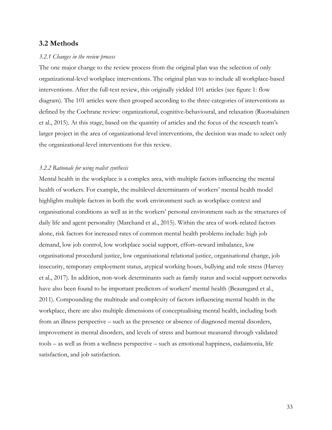# **3.2 Methods**

#### *3.2.1 Changes in the review process*

The one major change to the review process from the original plan was the selection of only organizational-level workplace interventions. The original plan was to include all workplace-based interventions. After the full-text review, this originally yielded 101 articles (see figure 1: flow diagram). The 101 articles were then grouped according to the three categories of interventions as defined by the Cochrane review: organizational, cognitive-behavioural, and relaxation (Ruotsalainen et al., 2015). At this stage, based on the quantity of articles and the focus of the research team's larger project in the area of organizational-level interventions, the decision was made to select only the organizational-level interventions for this review.

#### *3.2.2 Rationale for using realist synthesis*

Mental health in the workplace is a complex area, with multiple factors influencing the mental health of workers. For example, the multilevel determinants of workers' mental health model highlights multiple factors in both the work environment such as workplace context and organisational conditions as well as in the workers' personal environment such as the structures of daily life and agent personality (Marchand et al., 2015). Within the area of work-related factors alone, risk factors for increased rates of common mental health problems include: high job demand, low job control, low workplace social support, effort–reward imbalance, low organisational procedural justice, low organisational relational justice, organisational change, job insecurity, temporary employment status, atypical working hours, bullying and role stress (Harvey et al., 2017). In addition, non-work determinants such as family status and social support networks have also been found to be important predictors of workers' mental health (Beauregard et al., 2011). Compounding the multitude and complexity of factors influencing mental health in the workplace, there are also multiple dimensions of conceptualising mental health, including both from an illness perspective – such as the presence or absence of diagnosed mental disorders, improvement in mental disorders, and levels of stress and burnout measured through validated tools – as well as from a wellness perspective – such as emotional happiness, eudaimonia, life satisfaction, and job satisfaction.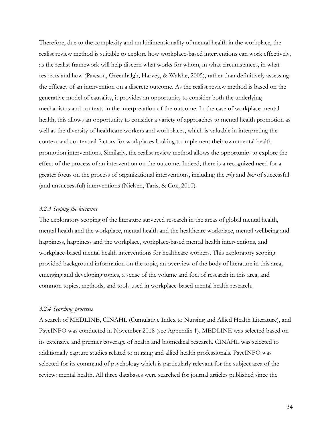Therefore, due to the complexity and multidimensionality of mental health in the workplace, the realist review method is suitable to explore how workplace-based interventions can work effectively, as the realist framework will help discern what works for whom, in what circumstances, in what respects and how (Pawson, Greenhalgh, Harvey, & Walshe, 2005), rather than definitively assessing the efficacy of an intervention on a discrete outcome. As the realist review method is based on the generative model of causality, it provides an opportunity to consider both the underlying mechanisms and contexts in the interpretation of the outcome. In the case of workplace mental health, this allows an opportunity to consider a variety of approaches to mental health promotion as well as the diversity of healthcare workers and workplaces, which is valuable in interpreting the context and contextual factors for workplaces looking to implement their own mental health promotion interventions. Similarly, the realist review method allows the opportunity to explore the effect of the process of an intervention on the outcome. Indeed, there is a recognized need for a greater focus on the process of organizational interventions, including the *why* and *how* of successful (and unsuccessful) interventions (Nielsen, Taris, & Cox, 2010).

# *3.2.3 Scoping the literature*

The exploratory scoping of the literature surveyed research in the areas of global mental health, mental health and the workplace, mental health and the healthcare workplace, mental wellbeing and happiness, happiness and the workplace, workplace-based mental health interventions, and workplace-based mental health interventions for healthcare workers. This exploratory scoping provided background information on the topic, an overview of the body of literature in this area, emerging and developing topics, a sense of the volume and foci of research in this area, and common topics, methods, and tools used in workplace-based mental health research.

#### *3.2.4 Searching processes*

A search of MEDLINE, CINAHL (Cumulative Index to Nursing and Allied Health Literature), and PsycINFO was conducted in November 2018 (see Appendix 1). MEDLINE was selected based on its extensive and premier coverage of health and biomedical research. CINAHL was selected to additionally capture studies related to nursing and allied health professionals. PsycINFO was selected for its command of psychology which is particularly relevant for the subject area of the review: mental health. All three databases were searched for journal articles published since the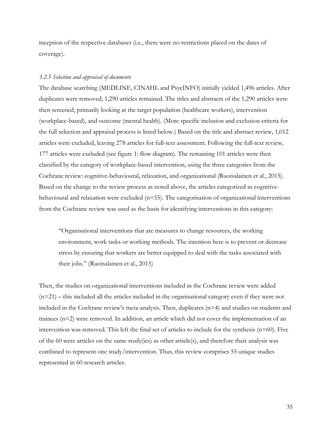inception of the respective databases (i.e., there were no restrictions placed on the dates of coverage).

#### *3.2.5 Selection and appraisal of documents*

The database searching (MEDLINE, CINAHL and PsycINFO) initially yielded 1,496 articles. After duplicates were removed, 1,290 articles remained. The titles and abstracts of the 1,290 articles were then screened, primarily looking at the target population (healthcare workers), intervention (workplace-based), and outcome (mental health). (More specific inclusion and exclusion criteria for the full selection and appraisal process is listed below.) Based on the title and abstract review, 1,012 articles were excluded, leaving 278 articles for full-text assessment. Following the full-text review, 177 articles were excluded (see figure 1: flow diagram). The remaining 101 articles were then classified by the category of workplace-based intervention, using the three categories from the Cochrane review: cognitive-behavioural, relaxation, and organizational (Ruotsalainen et al., 2015). Based on the change to the review process as noted above, the articles categorized as cognitivebehavioural and relaxation were excluded  $(n=55)$ . The categorisation of organizational interventions from the Cochrane review was used as the basis for identifying interventions in this category:

"Organisational interventions that are measures to change resources, the working environment, work tasks or working methods. The intention here is to prevent or decrease stress by ensuring that workers are better equipped to deal with the tasks associated with their jobs." (Ruotsalainen et al., 2015)

Then, the studies on organizational interventions included in the Cochrane review were added (n=21) – this included all the articles included in the organisational category even if they were not included in the Cochrane review's meta-analysis. Then, duplicates (n=4) and studies on students and trainees (n=2) were removed. In addition, an article which did not cover the implementation of an intervention was removed. This left the final set of articles to include for the synthesis (n=60). Five of the 60 were articles on the same study(ies) as other article(s), and therefore their analysis was combined to represent one study/intervention. Thus, this review comprises 55 unique studies represented in 60 research articles.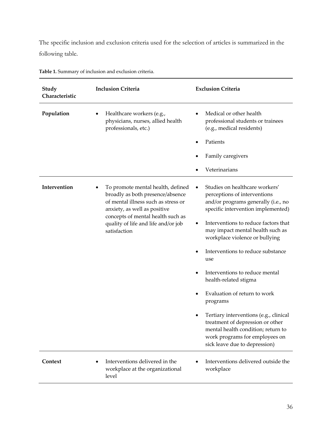The specific inclusion and exclusion criteria used for the selection of articles is summarized in the following table.

| Study<br>Characteristic | <b>Inclusion Criteria</b>                                                                                                                                                                                                                | <b>Exclusion Criteria</b>                                                                                                                                                                                                                                                                                                                                                                                                                                                                                                                                                                                                                         |
|-------------------------|------------------------------------------------------------------------------------------------------------------------------------------------------------------------------------------------------------------------------------------|---------------------------------------------------------------------------------------------------------------------------------------------------------------------------------------------------------------------------------------------------------------------------------------------------------------------------------------------------------------------------------------------------------------------------------------------------------------------------------------------------------------------------------------------------------------------------------------------------------------------------------------------------|
| Population              | Healthcare workers (e.g.,<br>٠<br>physicians, nurses, allied health<br>professionals, etc.)                                                                                                                                              | Medical or other health<br>$\bullet$<br>professional students or trainees<br>(e.g., medical residents)<br>Patients<br>٠<br>Family caregivers<br>Veterinarians                                                                                                                                                                                                                                                                                                                                                                                                                                                                                     |
| Intervention            | To promote mental health, defined<br>broadly as both presence/absence<br>of mental illness such as stress or<br>anxiety, as well as positive<br>concepts of mental health such as<br>quality of life and life and/or job<br>satisfaction | Studies on healthcare workers'<br>$\bullet$<br>perceptions of interventions<br>and/or programs generally (i.e., no<br>specific intervention implemented)<br>Interventions to reduce factors that<br>٠<br>may impact mental health such as<br>workplace violence or bullying<br>Interventions to reduce substance<br>$\bullet$<br>use<br>Interventions to reduce mental<br>٠<br>health-related stigma<br>Evaluation of return to work<br>٠<br>programs<br>Tertiary interventions (e.g., clinical<br>٠<br>treatment of depression or other<br>mental health condition; return to<br>work programs for employees on<br>sick leave due to depression) |
| Context                 | Interventions delivered in the<br>workplace at the organizational<br>level                                                                                                                                                               | Interventions delivered outside the<br>workplace                                                                                                                                                                                                                                                                                                                                                                                                                                                                                                                                                                                                  |

**Table 1.** Summary of inclusion and exclusion criteria.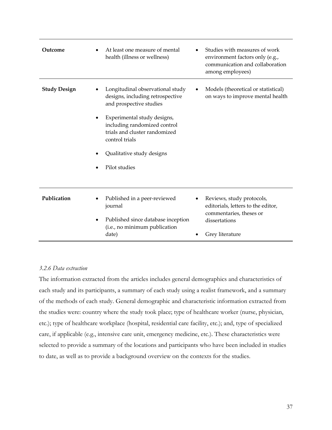| Outcome             | At least one measure of mental<br>health (illness or wellness)                                                                                                                                                                                                  | Studies with measures of work<br>environment factors only (e.g.,<br>communication and collaboration<br>among employees)        |
|---------------------|-----------------------------------------------------------------------------------------------------------------------------------------------------------------------------------------------------------------------------------------------------------------|--------------------------------------------------------------------------------------------------------------------------------|
| <b>Study Design</b> | Longitudinal observational study<br>designs, including retrospective<br>and prospective studies<br>Experimental study designs,<br>including randomized control<br>trials and cluster randomized<br>control trials<br>Qualitative study designs<br>Pilot studies | Models (theoretical or statistical)<br>on ways to improve mental health                                                        |
| Publication         | Published in a peer-reviewed<br>journal<br>Published since database inception<br>(i.e., no minimum publication<br>date)                                                                                                                                         | Reviews, study protocols,<br>editorials, letters to the editor,<br>commentaries, theses or<br>dissertations<br>Grey literature |

# *3.2.6 Data extraction*

The information extracted from the articles includes general demographics and characteristics of each study and its participants, a summary of each study using a realist framework, and a summary of the methods of each study. General demographic and characteristic information extracted from the studies were: country where the study took place; type of healthcare worker (nurse, physician, etc.); type of healthcare workplace (hospital, residential care facility, etc.); and, type of specialized care, if applicable (e.g., intensive care unit, emergency medicine, etc.). These characteristics were selected to provide a summary of the locations and participants who have been included in studies to date, as well as to provide a background overview on the contexts for the studies.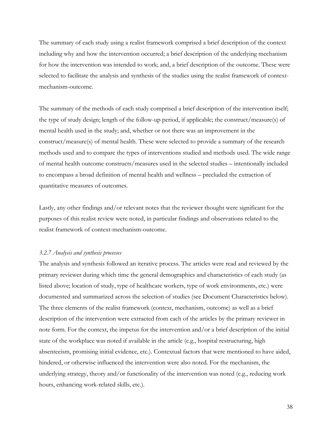The summary of each study using a realist framework comprised a brief description of the context including why and how the intervention occurred; a brief description of the underlying mechanism for how the intervention was intended to work; and, a brief description of the outcome. These were selected to facilitate the analysis and synthesis of the studies using the realist framework of contextmechanism-outcome.

The summary of the methods of each study comprised a brief description of the intervention itself; the type of study design; length of the follow-up period, if applicable; the construct/measure(s) of mental health used in the study; and, whether or not there was an improvement in the construct/measure(s) of mental health. These were selected to provide a summary of the research methods used and to compare the types of interventions studied and methods used. The wide range of mental health outcome constructs/measures used in the selected studies – intentionally included to encompass a broad definition of mental health and wellness – precluded the extraction of quantitative measures of outcomes.

Lastly, any other findings and/or relevant notes that the reviewer thought were significant for the purposes of this realist review were noted, in particular findings and observations related to the realist framework of context-mechanism-outcome.

#### *3.2.7 Analysis and synthesis processes*

The analysis and synthesis followed an iterative process. The articles were read and reviewed by the primary reviewer during which time the general demographics and characteristics of each study (as listed above; location of study, type of healthcare workers, type of work environments, etc.) were documented and summarized across the selection of studies (see Document Characteristics below). The three elements of the realist framework (context, mechanism, outcome) as well as a brief description of the intervention were extracted from each of the articles by the primary reviewer in note form. For the context, the impetus for the intervention and/or a brief description of the initial state of the workplace was noted if available in the article (e.g., hospital restructuring, high absenteeism, promising initial evidence, etc.). Contextual factors that were mentioned to have aided, hindered, or otherwise influenced the intervention were also noted. For the mechanism, the underlying strategy, theory and/or functionality of the intervention was noted (e.g., reducing work hours, enhancing work-related skills, etc.).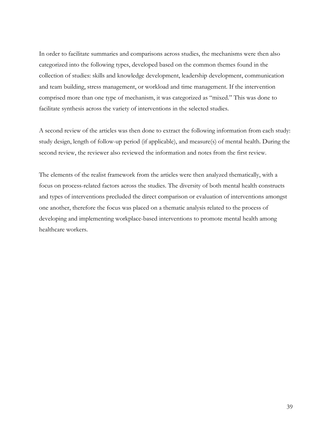In order to facilitate summaries and comparisons across studies, the mechanisms were then also categorized into the following types, developed based on the common themes found in the collection of studies: skills and knowledge development, leadership development, communication and team building, stress management, or workload and time management. If the intervention comprised more than one type of mechanism, it was categorized as "mixed." This was done to facilitate synthesis across the variety of interventions in the selected studies.

A second review of the articles was then done to extract the following information from each study: study design, length of follow-up period (if applicable), and measure(s) of mental health. During the second review, the reviewer also reviewed the information and notes from the first review.

The elements of the realist framework from the articles were then analyzed thematically, with a focus on process-related factors across the studies. The diversity of both mental health constructs and types of interventions precluded the direct comparison or evaluation of interventions amongst one another, therefore the focus was placed on a thematic analysis related to the process of developing and implementing workplace-based interventions to promote mental health among healthcare workers.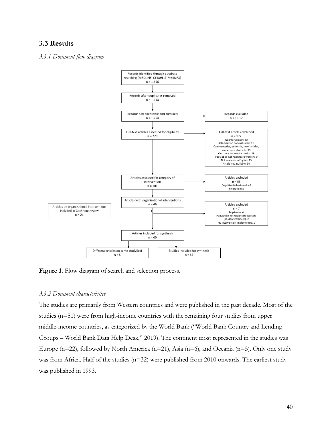# **3.3 Results**

#### *3.3.1 Document flow diagram*



Figure 1. Flow diagram of search and selection process.

# *3.3.2 Document characteristics*

The studies are primarily from Western countries and were published in the past decade. Most of the studies (n=51) were from high-income countries with the remaining four studies from upper middle-income countries, as categorized by the World Bank ("World Bank Country and Lending Groups – World Bank Data Help Desk," 2019). The continent most represented in the studies was Europe (n=22), followed by North America (n=21), Asia (n=6), and Oceania (n=5). Only one study was from Africa. Half of the studies (n=32) were published from 2010 onwards. The earliest study was published in 1993.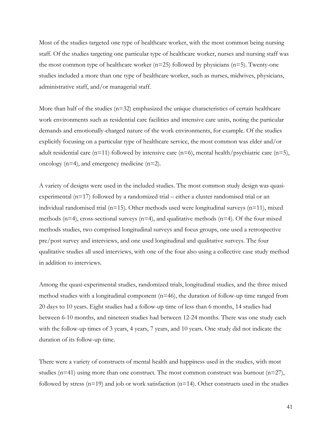Most of the studies targeted one type of healthcare worker, with the most common being nursing staff. Of the studies targeting one particular type of healthcare worker, nurses and nursing staff was the most common type of healthcare worker  $(n=25)$  followed by physicians  $(n=5)$ . Twenty-one studies included a more than one type of healthcare worker, such as nurses, midwives, physicians, administrative staff, and/or managerial staff.

More than half of the studies  $(n=32)$  emphasized the unique characteristics of certain healthcare work environments such as residential care facilities and intensive care units, noting the particular demands and emotionally-charged nature of the work environments, for example. Of the studies explicitly focusing on a particular type of healthcare service, the most common was elder and/or adult residential care (n=11) followed by intensive care (n=6), mental health/psychiatric care (n=5), oncology (n=4), and emergency medicine (n=2).

A variety of designs were used in the included studies. The most common study design was quasiexperimental (n=17) followed by a randomized trial – either a cluster randomised trial or an individual randomised trial ( $n=15$ ). Other methods used were longitudinal surveys ( $n=11$ ), mixed methods ( $n=4$ ), cross-sectional surveys ( $n=4$ ), and qualitative methods ( $n=4$ ). Of the four mixed methods studies, two comprised longitudinal surveys and focus groups, one used a retrospective pre/post survey and interviews, and one used longitudinal and qualitative surveys. The four qualitative studies all used interviews, with one of the four also using a collective case study method in addition to interviews.

Among the quasi-experimental studies, randomized trials, longitudinal studies, and the three mixed method studies with a longitudinal component  $(n=46)$ , the duration of follow-up time ranged from 20 days to 10 years. Eight studies had a follow-up time of less than 6 months, 14 studies had between 6-10 months, and nineteen studies had between 12-24 months. There was one study each with the follow-up times of 3 years, 4 years, 7 years, and 10 years. One study did not indicate the duration of its follow-up time.

There were a variety of constructs of mental health and happiness used in the studies, with most studies ( $n=41$ ) using more than one construct. The most common construct was burnout ( $n=27$ ), followed by stress  $(n=19)$  and job or work satisfaction  $(n=14)$ . Other constructs used in the studies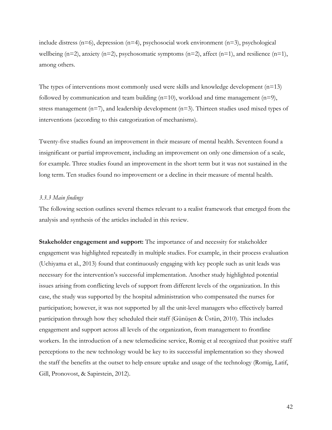include distress ( $n=6$ ), depression ( $n=4$ ), psychosocial work environment ( $n=3$ ), psychological wellbeing  $(n=2)$ , anxiety  $(n=2)$ , psychosomatic symptoms  $(n=2)$ , affect  $(n=1)$ , and resilience  $(n=1)$ , among others.

The types of interventions most commonly used were skills and knowledge development  $(n=13)$ followed by communication and team building  $(n=10)$ , workload and time management  $(n=9)$ , stress management  $(n=7)$ , and leadership development  $(n=3)$ . Thirteen studies used mixed types of interventions (according to this categorization of mechanisms).

Twenty-five studies found an improvement in their measure of mental health. Seventeen found a insignificant or partial improvement, including an improvement on only one dimension of a scale, for example. Three studies found an improvement in the short term but it was not sustained in the long term. Ten studies found no improvement or a decline in their measure of mental health.

#### *3.3.3 Main findings*

The following section outlines several themes relevant to a realist framework that emerged from the analysis and synthesis of the articles included in this review.

**Stakeholder engagement and support:** The importance of and necessity for stakeholder engagement was highlighted repeatedly in multiple studies. For example, in their process evaluation (Uchiyama et al., 2013) found that continuously engaging with key people such as unit leads was necessary for the intervention's successful implementation. Another study highlighted potential issues arising from conflicting levels of support from different levels of the organization. In this case, the study was supported by the hospital administration who compensated the nurses for participation; however, it was not supported by all the unit-level managers who effectively barred participation through how they scheduled their staff (Günüşen & Üstün, 2010). This includes engagement and support across all levels of the organization, from management to frontline workers. In the introduction of a new telemedicine service, Romig et al recognized that positive staff perceptions to the new technology would be key to its successful implementation so they showed the staff the benefits at the outset to help ensure uptake and usage of the technology (Romig, Latif, Gill, Pronovost, & Sapirstein, 2012).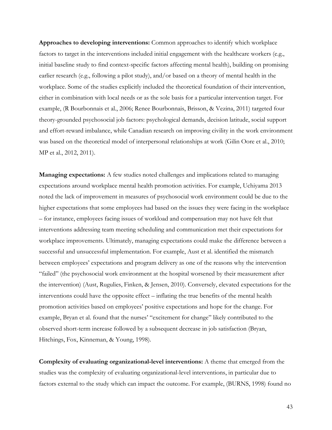**Approaches to developing interventions:** Common approaches to identify which workplace factors to target in the interventions included initial engagement with the healthcare workers (e.g., initial baseline study to find context-specific factors affecting mental health), building on promising earlier research (e.g., following a pilot study), and/or based on a theory of mental health in the workplace. Some of the studies explicitly included the theoretical foundation of their intervention, either in combination with local needs or as the sole basis for a particular intervention target. For example, (R Bourbonnais et al., 2006; Renee Bourbonnais, Brisson, & Vezina, 2011) targeted four theory-grounded psychosocial job factors: psychological demands, decision latitude, social support and effort-reward imbalance, while Canadian research on improving civility in the work environment was based on the theoretical model of interpersonal relationships at work (Gilin Oore et al., 2010; MP et al., 2012, 2011).

**Managing expectations:** A few studies noted challenges and implications related to managing expectations around workplace mental health promotion activities. For example, Uchiyama 2013 noted the lack of improvement in measures of psychosocial work environment could be due to the higher expectations that some employees had based on the issues they were facing in the workplace – for instance, employees facing issues of workload and compensation may not have felt that interventions addressing team meeting scheduling and communication met their expectations for workplace improvements. Ultimately, managing expectations could make the difference between a successful and unsuccessful implementation. For example, Aust et al. identified the mismatch between employees' expectations and program delivery as one of the reasons why the intervention "failed" (the psychosocial work environment at the hospital worsened by their measurement after the intervention) (Aust, Rugulies, Finken, & Jensen, 2010). Conversely, elevated expectations for the interventions could have the opposite effect – inflating the true benefits of the mental health promotion activities based on employees' positive expectations and hope for the change. For example, Bryan et al. found that the nurses' "excitement for change" likely contributed to the observed short-term increase followed by a subsequent decrease in job satisfaction (Bryan, Hitchings, Fox, Kinneman, & Young, 1998).

**Complexity of evaluating organizational-level interventions:** A theme that emerged from the studies was the complexity of evaluating organizational-level interventions, in particular due to factors external to the study which can impact the outcome. For example, (BURNS, 1998) found no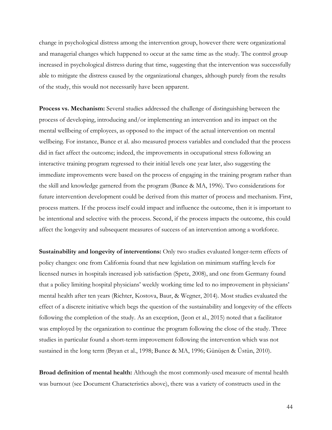change in psychological distress among the intervention group, however there were organizational and managerial changes which happened to occur at the same time as the study. The control group increased in psychological distress during that time, suggesting that the intervention was successfully able to mitigate the distress caused by the organizational changes, although purely from the results of the study, this would not necessarily have been apparent.

**Process vs. Mechanism:** Several studies addressed the challenge of distinguishing between the process of developing, introducing and/or implementing an intervention and its impact on the mental wellbeing of employees, as opposed to the impact of the actual intervention on mental wellbeing. For instance, Bunce et al. also measured process variables and concluded that the process did in fact affect the outcome; indeed, the improvements in occupational stress following an interactive training program regressed to their initial levels one year later, also suggesting the immediate improvements were based on the process of engaging in the training program rather than the skill and knowledge garnered from the program (Bunce & MA, 1996). Two considerations for future intervention development could be derived from this matter of process and mechanism. First, process matters. If the process itself could impact and influence the outcome, then it is important to be intentional and selective with the process. Second, if the process impacts the outcome, this could affect the longevity and subsequent measures of success of an intervention among a workforce.

**Sustainability and longevity of interventions:** Only two studies evaluated longer-term effects of policy changes: one from California found that new legislation on minimum staffing levels for licensed nurses in hospitals increased job satisfaction (Spetz, 2008), and one from Germany found that a policy limiting hospital physicians' weekly working time led to no improvement in physicians' mental health after ten years (Richter, Kostova, Baur, & Wegner, 2014). Most studies evaluated the effect of a discrete initiative which begs the question of the sustainability and longevity of the effects following the completion of the study. As an exception, (Jeon et al., 2015) noted that a facilitator was employed by the organization to continue the program following the close of the study. Three studies in particular found a short-term improvement following the intervention which was not sustained in the long term (Bryan et al., 1998; Bunce & MA, 1996; Günüşen & Üstün, 2010).

**Broad definition of mental health:** Although the most commonly-used measure of mental health was burnout (see Document Characteristics above), there was a variety of constructs used in the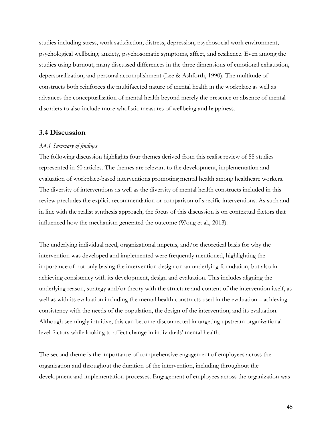studies including stress, work satisfaction, distress, depression, psychosocial work environment, psychological wellbeing, anxiety, psychosomatic symptoms, affect, and resilience. Even among the studies using burnout, many discussed differences in the three dimensions of emotional exhaustion, depersonalization, and personal accomplishment (Lee & Ashforth, 1990). The multitude of constructs both reinforces the multifaceted nature of mental health in the workplace as well as advances the conceptualisation of mental health beyond merely the presence or absence of mental disorders to also include more wholistic measures of wellbeing and happiness.

# **3.4 Discussion**

#### *3.4.1 Summary of findings*

The following discussion highlights four themes derived from this realist review of 55 studies represented in 60 articles. The themes are relevant to the development, implementation and evaluation of workplace-based interventions promoting mental health among healthcare workers. The diversity of interventions as well as the diversity of mental health constructs included in this review precludes the explicit recommendation or comparison of specific interventions. As such and in line with the realist synthesis approach, the focus of this discussion is on contextual factors that influenced how the mechanism generated the outcome (Wong et al., 2013).

The underlying individual need, organizational impetus, and/or theoretical basis for why the intervention was developed and implemented were frequently mentioned, highlighting the importance of not only basing the intervention design on an underlying foundation, but also in achieving consistency with its development, design and evaluation. This includes aligning the underlying reason, strategy and/or theory with the structure and content of the intervention itself, as well as with its evaluation including the mental health constructs used in the evaluation – achieving consistency with the needs of the population, the design of the intervention, and its evaluation. Although seemingly intuitive, this can become disconnected in targeting upstream organizationallevel factors while looking to affect change in individuals' mental health.

The second theme is the importance of comprehensive engagement of employees across the organization and throughout the duration of the intervention, including throughout the development and implementation processes. Engagement of employees across the organization was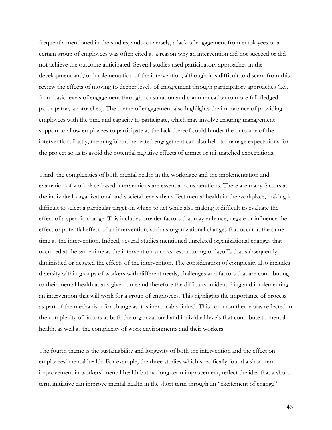frequently mentioned in the studies; and, conversely, a lack of engagement from employees or a certain group of employees was often cited as a reason why an intervention did not succeed or did not achieve the outcome anticipated. Several studies used participatory approaches in the development and/or implementation of the intervention, although it is difficult to discern from this review the effects of moving to deeper levels of engagement through participatory approaches (i.e., from basic levels of engagement through consultation and communication to more full-fledged participatory approaches). The theme of engagement also highlights the importance of providing employees with the time and capacity to participate, which may involve ensuring management support to allow employees to participate as the lack thereof could hinder the outcome of the intervention. Lastly, meaningful and repeated engagement can also help to manage expectations for the project so as to avoid the potential negative effects of unmet or mismatched expectations.

Third, the complexities of both mental health in the workplace and the implementation and evaluation of workplace-based interventions are essential considerations. There are many factors at the individual, organizational and societal levels that affect mental health in the workplace, making it difficult to select a particular target on which to act while also making it difficult to evaluate the effect of a specific change. This includes broader factors that may enhance, negate or influence the effect or potential effect of an intervention, such as organizational changes that occur at the same time as the intervention. Indeed, several studies mentioned unrelated organizational changes that occurred at the same time as the intervention such as restructuring or layoffs that subsequently diminished or negated the effects of the intervention. The consideration of complexity also includes diversity within groups of workers with different needs, challenges and factors that are contributing to their mental health at any given time and therefore the difficulty in identifying and implementing an intervention that will work for a group of employees. This highlights the importance of process as part of the mechanism for change as it is inextricably linked. This common theme was reflected in the complexity of factors at both the organizational and individual levels that contribute to mental health, as well as the complexity of work environments and their workers.

The fourth theme is the sustainability and longevity of both the intervention and the effect on employees' mental health. For example, the three studies which specifically found a short-term improvement in workers' mental health but no long-term improvement, reflect the idea that a shortterm initiative can improve mental health in the short term through an "excitement of change"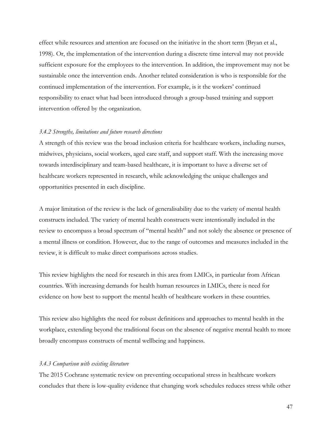effect while resources and attention are focused on the initiative in the short term (Bryan et al., 1998). Or, the implementation of the intervention during a discrete time interval may not provide sufficient exposure for the employees to the intervention. In addition, the improvement may not be sustainable once the intervention ends. Another related consideration is who is responsible for the continued implementation of the intervention. For example, is it the workers' continued responsibility to enact what had been introduced through a group-based training and support intervention offered by the organization.

#### *3.4.2 Strengths, limitations and future research directions*

A strength of this review was the broad inclusion criteria for healthcare workers, including nurses, midwives, physicians, social workers, aged care staff, and support staff. With the increasing move towards interdisciplinary and team-based healthcare, it is important to have a diverse set of healthcare workers represented in research, while acknowledging the unique challenges and opportunities presented in each discipline.

A major limitation of the review is the lack of generalisability due to the variety of mental health constructs included. The variety of mental health constructs were intentionally included in the review to encompass a broad spectrum of "mental health" and not solely the absence or presence of a mental illness or condition. However, due to the range of outcomes and measures included in the review, it is difficult to make direct comparisons across studies.

This review highlights the need for research in this area from LMICs, in particular from African countries. With increasing demands for health human resources in LMICs, there is need for evidence on how best to support the mental health of healthcare workers in these countries.

This review also highlights the need for robust definitions and approaches to mental health in the workplace, extending beyond the traditional focus on the absence of negative mental health to more broadly encompass constructs of mental wellbeing and happiness.

#### *3.4.3 Comparison with existing literature*

The 2015 Cochrane systematic review on preventing occupational stress in healthcare workers concludes that there is low-quality evidence that changing work schedules reduces stress while other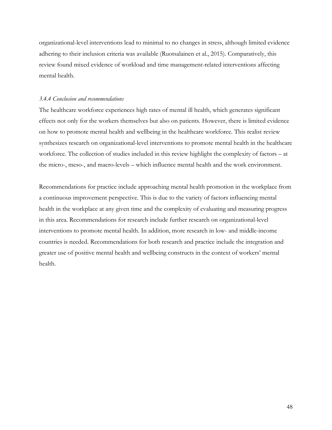organizational-level interventions lead to minimal to no changes in stress, although limited evidence adhering to their inclusion criteria was available (Ruotsalainen et al., 2015). Comparatively, this review found mixed evidence of workload and time management-related interventions affecting mental health.

#### *3.4.4 Conclusion and recommendations*

The healthcare workforce experiences high rates of mental ill health, which generates significant effects not only for the workers themselves but also on patients. However, there is limited evidence on how to promote mental health and wellbeing in the healthcare workforce. This realist review synthesizes research on organizational-level interventions to promote mental health in the healthcare workforce. The collection of studies included in this review highlight the complexity of factors – at the micro-, meso-, and macro-levels – which influence mental health and the work environment.

Recommendations for practice include approaching mental health promotion in the workplace from a continuous improvement perspective. This is due to the variety of factors influencing mental health in the workplace at any given time and the complexity of evaluating and measuring progress in this area. Recommendations for research include further research on organizational-level interventions to promote mental health. In addition, more research in low- and middle-income countries is needed. Recommendations for both research and practice include the integration and greater use of positive mental health and wellbeing constructs in the context of workers' mental health.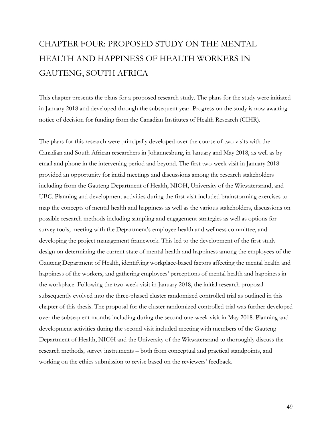# CHAPTER FOUR: PROPOSED STUDY ON THE MENTAL HEALTH AND HAPPINESS OF HEALTH WORKERS IN GAUTENG, SOUTH AFRICA

This chapter presents the plans for a proposed research study. The plans for the study were initiated in January 2018 and developed through the subsequent year. Progress on the study is now awaiting notice of decision for funding from the Canadian Institutes of Health Research (CIHR).

The plans for this research were principally developed over the course of two visits with the Canadian and South African researchers in Johannesburg, in January and May 2018, as well as by email and phone in the intervening period and beyond. The first two-week visit in January 2018 provided an opportunity for initial meetings and discussions among the research stakeholders including from the Gauteng Department of Health, NIOH, University of the Witwatersrand, and UBC. Planning and development activities during the first visit included brainstorming exercises to map the concepts of mental health and happiness as well as the various stakeholders, discussions on possible research methods including sampling and engagement strategies as well as options for survey tools, meeting with the Department's employee health and wellness committee, and developing the project management framework. This led to the development of the first study design on determining the current state of mental health and happiness among the employees of the Gauteng Department of Health, identifying workplace-based factors affecting the mental health and happiness of the workers, and gathering employees' perceptions of mental health and happiness in the workplace. Following the two-week visit in January 2018, the initial research proposal subsequently evolved into the three-phased cluster randomized controlled trial as outlined in this chapter of this thesis. The proposal for the cluster randomized controlled trial was further developed over the subsequent months including during the second one-week visit in May 2018. Planning and development activities during the second visit included meeting with members of the Gauteng Department of Health, NIOH and the University of the Witwatersrand to thoroughly discuss the research methods, survey instruments – both from conceptual and practical standpoints, and working on the ethics submission to revise based on the reviewers' feedback.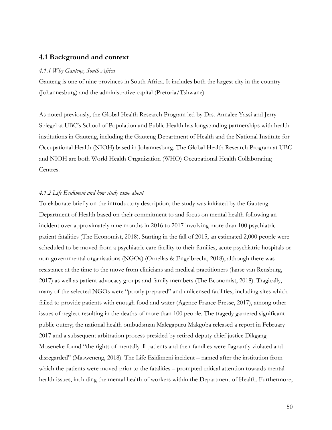# **4.1 Background and context**

#### *4.1.1 Why Gauteng, South Africa*

Gauteng is one of nine provinces in South Africa. It includes both the largest city in the country (Johannesburg) and the administrative capital (Pretoria/Tshwane).

As noted previously, the Global Health Research Program led by Drs. Annalee Yassi and Jerry Spiegel at UBC's School of Population and Public Health has longstanding partnerships with health institutions in Gauteng, including the Gauteng Department of Health and the National Institute for Occupational Health (NIOH) based in Johannesburg. The Global Health Research Program at UBC and NIOH are both World Health Organization (WHO) Occupational Health Collaborating Centres.

# *4.1.2 Life Esidimeni and how study came about*

To elaborate briefly on the introductory description, the study was initiated by the Gauteng Department of Health based on their commitment to and focus on mental health following an incident over approximately nine months in 2016 to 2017 involving more than 100 psychiatric patient fatalities (The Economist, 2018). Starting in the fall of 2015, an estimated 2,000 people were scheduled to be moved from a psychiatric care facility to their families, acute psychiatric hospitals or non-governmental organisations (NGOs) (Ornellas & Engelbrecht, 2018), although there was resistance at the time to the move from clinicians and medical practitioners (Janse van Rensburg, 2017) as well as patient advocacy groups and family members (The Economist, 2018). Tragically, many of the selected NGOs were "poorly prepared" and unlicensed facilities, including sites which failed to provide patients with enough food and water (Agence France-Presse, 2017), among other issues of neglect resulting in the deaths of more than 100 people. The tragedy garnered significant public outcry; the national health ombudsman Malegapuru Makgoba released a report in February 2017 and a subsequent arbitration process presided by retired deputy chief justice Dikgang Moseneke found "the rights of mentally ill patients and their families were flagrantly violated and disregarded" (Masweneng, 2018). The Life Esidimeni incident – named after the institution from which the patients were moved prior to the fatalities – prompted critical attention towards mental health issues, including the mental health of workers within the Department of Health. Furthermore,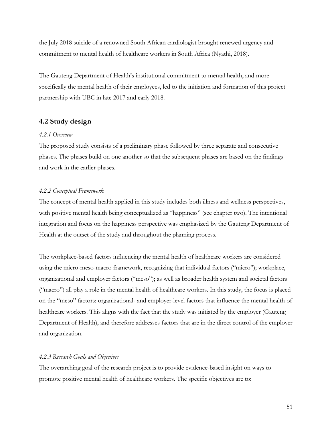the July 2018 suicide of a renowned South African cardiologist brought renewed urgency and commitment to mental health of healthcare workers in South Africa (Nyathi, 2018).

The Gauteng Department of Health's institutional commitment to mental health, and more specifically the mental health of their employees, led to the initiation and formation of this project partnership with UBC in late 2017 and early 2018.

# **4.2 Study design**

#### *4.2.1 Overview*

The proposed study consists of a preliminary phase followed by three separate and consecutive phases. The phases build on one another so that the subsequent phases are based on the findings and work in the earlier phases.

# *4.2.2 Conceptual Framework*

The concept of mental health applied in this study includes both illness and wellness perspectives, with positive mental health being conceptualized as "happiness" (see chapter two). The intentional integration and focus on the happiness perspective was emphasized by the Gauteng Department of Health at the outset of the study and throughout the planning process.

The workplace-based factors influencing the mental health of healthcare workers are considered using the micro-meso-macro framework, recognizing that individual factors ("micro"); workplace, organizational and employer factors ("meso"); as well as broader health system and societal factors ("macro") all play a role in the mental health of healthcare workers. In this study, the focus is placed on the "meso" factors: organizational- and employer-level factors that influence the mental health of healthcare workers. This aligns with the fact that the study was initiated by the employer (Gauteng Department of Health), and therefore addresses factors that are in the direct control of the employer and organization.

#### *4.2.3 Research Goals and Objectives*

The overarching goal of the research project is to provide evidence-based insight on ways to promote positive mental health of healthcare workers. The specific objectives are to: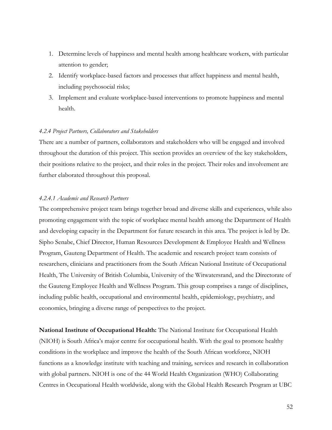- 1. Determine levels of happiness and mental health among healthcare workers, with particular attention to gender;
- 2. Identify workplace-based factors and processes that affect happiness and mental health, including psychosocial risks;
- 3. Implement and evaluate workplace-based interventions to promote happiness and mental health.

# *4.2.4 Project Partners, Collaborators and Stakeholders*

There are a number of partners, collaborators and stakeholders who will be engaged and involved throughout the duration of this project. This section provides an overview of the key stakeholders, their positions relative to the project, and their roles in the project. Their roles and involvement are further elaborated throughout this proposal.

# *4.2.4.1 Academic and Research Partners*

The comprehensive project team brings together broad and diverse skills and experiences, while also promoting engagement with the topic of workplace mental health among the Department of Health and developing capacity in the Department for future research in this area. The project is led by Dr. Sipho Senabe, Chief Director, Human Resources Development & Employee Health and Wellness Program, Gauteng Department of Health. The academic and research project team consists of researchers, clinicians and practitioners from the South African National Institute of Occupational Health, The University of British Columbia, University of the Witwatersrand, and the Directorate of the Gauteng Employee Health and Wellness Program. This group comprises a range of disciplines, including public health, occupational and environmental health, epidemiology, psychiatry, and economics, bringing a diverse range of perspectives to the project.

**National Institute of Occupational Health:** The National Institute for Occupational Health (NIOH) is South Africa's major centre for occupational health. With the goal to promote healthy conditions in the workplace and improve the health of the South African workforce, NIOH functions as a knowledge institute with teaching and training, services and research in collaboration with global partners. NIOH is one of the 44 World Health Organization (WHO) Collaborating Centres in Occupational Health worldwide, along with the Global Health Research Program at UBC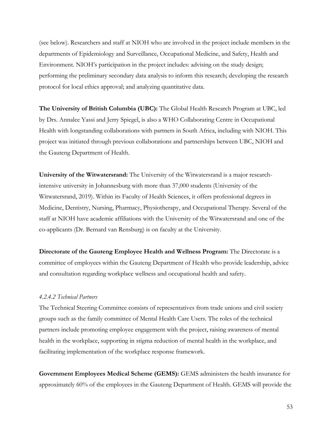(see below). Researchers and staff at NIOH who are involved in the project include members in the departments of Epidemiology and Surveillance, Occupational Medicine, and Safety, Health and Environment. NIOH's participation in the project includes: advising on the study design; performing the preliminary secondary data analysis to inform this research; developing the research protocol for local ethics approval; and analyzing quantitative data.

**The University of British Columbia (UBC):** The Global Health Research Program at UBC, led by Drs. Annalee Yassi and Jerry Spiegel, is also a WHO Collaborating Centre in Occupational Health with longstanding collaborations with partners in South Africa, including with NIOH. This project was initiated through previous collaborations and partnerships between UBC, NIOH and the Gauteng Department of Health.

**University of the Witwatersrand:** The University of the Witwatersrand is a major researchintensive university in Johannesburg with more than 37,000 students (University of the Witwatersrand, 2019). Within its Faculty of Health Sciences, it offers professional degrees in Medicine, Dentistry, Nursing, Pharmacy, Physiotherapy, and Occupational Therapy. Several of the staff at NIOH have academic affiliations with the University of the Witwatersrand and one of the co-applicants (Dr. Bernard van Rensburg) is on faculty at the University.

**Directorate of the Gauteng Employee Health and Wellness Program:** The Directorate is a committee of employees within the Gauteng Department of Health who provide leadership, advice and consultation regarding workplace wellness and occupational health and safety.

#### *4.2.4.2 Technical Partners*

The Technical Steering Committee consists of representatives from trade unions and civil society groups such as the family committee of Mental Health Care Users. The roles of the technical partners include promoting employee engagement with the project, raising awareness of mental health in the workplace, supporting in stigma reduction of mental health in the workplace, and facilitating implementation of the workplace response framework.

**Government Employees Medical Scheme (GEMS):** GEMS administers the health insurance for approximately 60% of the employees in the Gauteng Department of Health. GEMS will provide the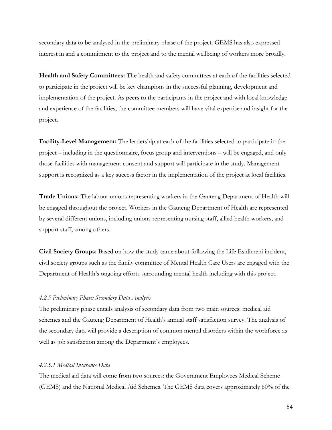secondary data to be analysed in the preliminary phase of the project. GEMS has also expressed interest in and a commitment to the project and to the mental wellbeing of workers more broadly.

**Health and Safety Committees:** The health and safety committees at each of the facilities selected to participate in the project will be key champions in the successful planning, development and implementation of the project. As peers to the participants in the project and with local knowledge and experience of the facilities, the committee members will have vital expertise and insight for the project.

**Facility-Level Management:** The leadership at each of the facilities selected to participate in the project – including in the questionnaire, focus group and interventions – will be engaged, and only those facilities with management consent and support will participate in the study. Management support is recognized as a key success factor in the implementation of the project at local facilities.

**Trade Unions:** The labour unions representing workers in the Gauteng Department of Health will be engaged throughout the project. Workers in the Gauteng Department of Health are represented by several different unions, including unions representing nursing staff, allied health workers, and support staff, among others.

**Civil Society Groups:** Based on how the study came about following the Life Esidimeni incident, civil society groups such as the family committee of Mental Health Care Users are engaged with the Department of Health's ongoing efforts surrounding mental health including with this project.

#### *4.2.5 Preliminary Phase: Secondary Data Analysis*

The preliminary phase entails analysis of secondary data from two main sources: medical aid schemes and the Gauteng Department of Health's annual staff satisfaction survey. The analysis of the secondary data will provide a description of common mental disorders within the workforce as well as job satisfaction among the Department's employees.

# *4.2.5.1 Medical Insurance Data*

The medical aid data will come from two sources: the Government Employees Medical Scheme (GEMS) and the National Medical Aid Schemes. The GEMS data covers approximately 60% of the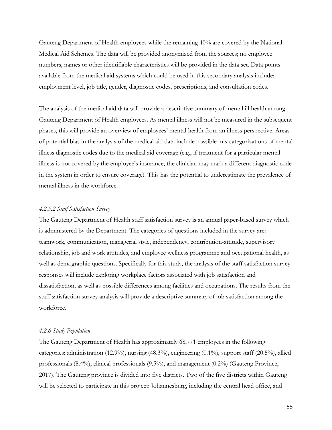Gauteng Department of Health employees while the remaining 40% are covered by the National Medical Aid Schemes. The data will be provided anonymized from the sources; no employee numbers, names or other identifiable characteristics will be provided in the data set. Data points available from the medical aid systems which could be used in this secondary analysis include: employment level, job title, gender, diagnostic codes, prescriptions, and consultation codes.

The analysis of the medical aid data will provide a descriptive summary of mental ill health among Gauteng Department of Health employees. As mental illness will not be measured in the subsequent phases, this will provide an overview of employees' mental health from an illness perspective. Areas of potential bias in the analysis of the medical aid data include possible mis-categorizations of mental illness diagnostic codes due to the medical aid coverage (e.g., if treatment for a particular mental illness is not covered by the employee's insurance, the clinician may mark a different diagnostic code in the system in order to ensure coverage). This has the potential to underestimate the prevalence of mental illness in the workforce.

# *4.2.5.2 Staff Satisfaction Survey*

The Gauteng Department of Health staff satisfaction survey is an annual paper-based survey which is administered by the Department. The categories of questions included in the survey are: teamwork, communication, managerial style, independency, contribution-attitude, supervisory relationship, job and work attitudes, and employee wellness programme and occupational health, as well as demographic questions. Specifically for this study, the analysis of the staff satisfaction survey responses will include exploring workplace factors associated with job satisfaction and dissatisfaction, as well as possible differences among facilities and occupations. The results from the staff satisfaction survey analysis will provide a descriptive summary of job satisfaction among the workforce.

#### *4.2.6 Study Population*

The Gauteng Department of Health has approximately 68,771 employees in the following categories: administration (12.9%), nursing (48.3%), engineering (0.1%), support staff (20.5%), allied professionals (8.4%), clinical professionals (9.5%), and management (0.2%) (Gauteng Province, 2017). The Gauteng province is divided into five districts. Two of the five districts within Gauteng will be selected to participate in this project: Johannesburg, including the central head office, and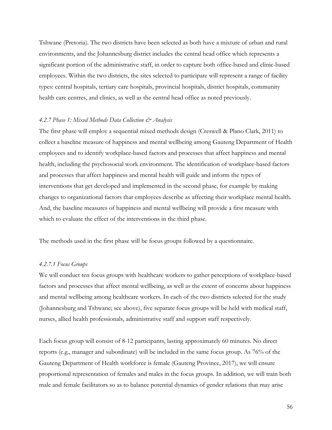Tshwane (Pretoria). The two districts have been selected as both have a mixture of urban and rural environments, and the Johannesburg district includes the central head office which represents a significant portion of the administrative staff, in order to capture both office-based and clinic-based employees. Within the two districts, the sites selected to participate will represent a range of facility types: central hospitals, tertiary care hospitals, provincial hospitals, district hospitals, community health care centres, and clinics, as well as the central head office as noted previously.

#### *4.2.7 Phase 1: Mixed Methods Data Collection & Analysis*

The first phase will employ a sequential mixed methods design (Creswell & Plano Clark, 2011) to collect a baseline measure of happiness and mental wellbeing among Gauteng Department of Health employees and to identify workplace-based factors and processes that affect happiness and mental health, including the psychosocial work environment. The identification of workplace-based factors and processes that affect happiness and mental health will guide and inform the types of interventions that get developed and implemented in the second phase, for example by making changes to organizational factors that employees describe as affecting their workplace mental health. And, the baseline measures of happiness and mental wellbeing will provide a first measure with which to evaluate the effect of the interventions in the third phase.

The methods used in the first phase will be focus groups followed by a questionnaire.

# *4.2.7.1 Focus Groups*

We will conduct ten focus groups with healthcare workers to gather perceptions of workplace-based factors and processes that affect mental wellbeing, as well as the extent of concerns about happiness and mental wellbeing among healthcare workers. In each of the two districts selected for the study (Johannesburg and Tshwane; see above), five separate focus groups will be held with medical staff, nurses, allied health professionals, administrative staff and support staff respectively.

Each focus group will consist of 8-12 participants, lasting approximately 60 minutes. No direct reports (e.g., manager and subordinate) will be included in the same focus group. As 76% of the Gauteng Department of Health workforce is female (Gauteng Province, 2017), we will ensure proportional representation of females and males in the focus groups. In addition, we will train both male and female facilitators so as to balance potential dynamics of gender relations that may arise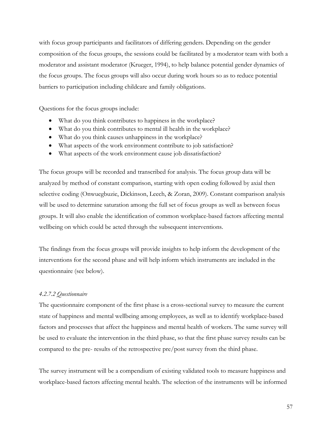with focus group participants and facilitators of differing genders. Depending on the gender composition of the focus groups, the sessions could be facilitated by a moderator team with both a moderator and assistant moderator (Krueger, 1994), to help balance potential gender dynamics of the focus groups. The focus groups will also occur during work hours so as to reduce potential barriers to participation including childcare and family obligations.

Questions for the focus groups include:

- What do you think contributes to happiness in the workplace?
- What do you think contributes to mental ill health in the workplace?
- What do you think causes unhappiness in the workplace?
- What aspects of the work environment contribute to job satisfaction?
- What aspects of the work environment cause job dissatisfaction?

The focus groups will be recorded and transcribed for analysis. The focus group data will be analyzed by method of constant comparison, starting with open coding followed by axial then selective coding (Onwuegbuzie, Dickinson, Leech, & Zoran, 2009). Constant comparison analysis will be used to determine saturation among the full set of focus groups as well as between focus groups. It will also enable the identification of common workplace-based factors affecting mental wellbeing on which could be acted through the subsequent interventions.

The findings from the focus groups will provide insights to help inform the development of the interventions for the second phase and will help inform which instruments are included in the questionnaire (see below).

# *4.2.7.2 Questionnaire*

The questionnaire component of the first phase is a cross-sectional survey to measure the current state of happiness and mental wellbeing among employees, as well as to identify workplace-based factors and processes that affect the happiness and mental health of workers. The same survey will be used to evaluate the intervention in the third phase, so that the first phase survey results can be compared to the pre- results of the retrospective pre/post survey from the third phase.

The survey instrument will be a compendium of existing validated tools to measure happiness and workplace-based factors affecting mental health. The selection of the instruments will be informed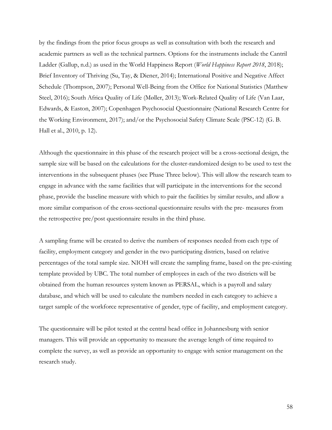by the findings from the prior focus groups as well as consultation with both the research and academic partners as well as the technical partners. Options for the instruments include the Cantril Ladder (Gallup, n.d.) as used in the World Happiness Report (*World Happiness Report 2018*, 2018); Brief Inventory of Thriving (Su, Tay, & Diener, 2014); International Positive and Negative Affect Schedule (Thompson, 2007); Personal Well-Being from the Office for National Statistics (Matthew Steel, 2016); South Africa Quality of Life (Møller, 2013); Work-Related Quality of Life (Van Laar, Edwards, & Easton, 2007); Copenhagen Psychosocial Questionnaire (National Research Centre for the Working Environment, 2017); and/or the Psychosocial Safety Climate Scale (PSC-12) (G. B. Hall et al., 2010, p. 12).

Although the questionnaire in this phase of the research project will be a cross-sectional design, the sample size will be based on the calculations for the cluster-randomized design to be used to test the interventions in the subsequent phases (see Phase Three below). This will allow the research team to engage in advance with the same facilities that will participate in the interventions for the second phase, provide the baseline measure with which to pair the facilities by similar results, and allow a more similar comparison of the cross-sectional questionnaire results with the pre- measures from the retrospective pre/post questionnaire results in the third phase.

A sampling frame will be created to derive the numbers of responses needed from each type of facility, employment category and gender in the two participating districts, based on relative percentages of the total sample size. NIOH will create the sampling frame, based on the pre-existing template provided by UBC. The total number of employees in each of the two districts will be obtained from the human resources system known as PERSAL, which is a payroll and salary database, and which will be used to calculate the numbers needed in each category to achieve a target sample of the workforce representative of gender, type of facility, and employment category.

The questionnaire will be pilot tested at the central head office in Johannesburg with senior managers. This will provide an opportunity to measure the average length of time required to complete the survey, as well as provide an opportunity to engage with senior management on the research study.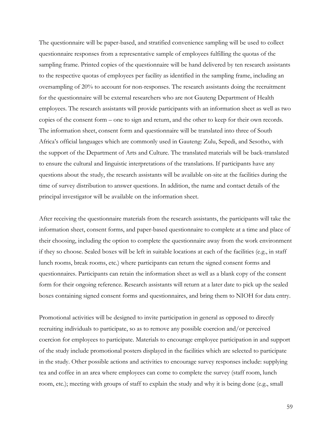The questionnaire will be paper-based, and stratified convenience sampling will be used to collect questionnaire responses from a representative sample of employees fulfilling the quotas of the sampling frame. Printed copies of the questionnaire will be hand delivered by ten research assistants to the respective quotas of employees per facility as identified in the sampling frame, including an oversampling of 20% to account for non-responses. The research assistants doing the recruitment for the questionnaire will be external researchers who are not Gauteng Department of Health employees. The research assistants will provide participants with an information sheet as well as two copies of the consent form – one to sign and return, and the other to keep for their own records. The information sheet, consent form and questionnaire will be translated into three of South Africa's official languages which are commonly used in Gauteng: Zulu, Sepedi, and Sesotho, with the support of the Department of Arts and Culture. The translated materials will be back-translated to ensure the cultural and linguistic interpretations of the translations. If participants have any questions about the study, the research assistants will be available on-site at the facilities during the time of survey distribution to answer questions. In addition, the name and contact details of the principal investigator will be available on the information sheet.

After receiving the questionnaire materials from the research assistants, the participants will take the information sheet, consent forms, and paper-based questionnaire to complete at a time and place of their choosing, including the option to complete the questionnaire away from the work environment if they so choose. Sealed boxes will be left in suitable locations at each of the facilities (e.g., in staff lunch rooms, break rooms, etc.) where participants can return the signed consent forms and questionnaires. Participants can retain the information sheet as well as a blank copy of the consent form for their ongoing reference. Research assistants will return at a later date to pick up the sealed boxes containing signed consent forms and questionnaires, and bring them to NIOH for data entry.

Promotional activities will be designed to invite participation in general as opposed to directly recruiting individuals to participate, so as to remove any possible coercion and/or perceived coercion for employees to participate. Materials to encourage employee participation in and support of the study include promotional posters displayed in the facilities which are selected to participate in the study. Other possible actions and activities to encourage survey responses include: supplying tea and coffee in an area where employees can come to complete the survey (staff room, lunch room, etc.); meeting with groups of staff to explain the study and why it is being done (e.g., small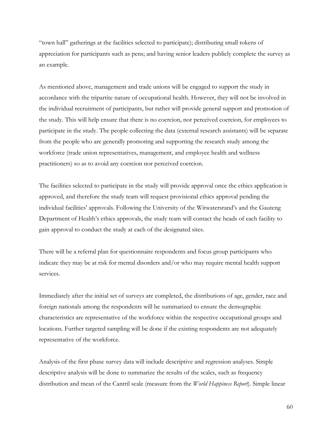"town hall" gatherings at the facilities selected to participate); distributing small tokens of appreciation for participants such as pens; and having senior leaders publicly complete the survey as an example.

As mentioned above, management and trade unions will be engaged to support the study in accordance with the tripartite nature of occupational health. However, they will not be involved in the individual recruitment of participants, but rather will provide general support and promotion of the study. This will help ensure that there is no coercion, nor perceived coercion, for employees to participate in the study. The people collecting the data (external research assistants) will be separate from the people who are generally promoting and supporting the research study among the workforce (trade union representatives, management, and employee health and wellness practitioners) so as to avoid any coercion nor perceived coercion.

The facilities selected to participate in the study will provide approval once the ethics application is approved, and therefore the study team will request provisional ethics approval pending the individual facilities' approvals. Following the University of the Witwatersrand's and the Gauteng Department of Health's ethics approvals, the study team will contact the heads of each facility to gain approval to conduct the study at each of the designated sites.

There will be a referral plan for questionnaire respondents and focus group participants who indicate they may be at risk for mental disorders and/or who may require mental health support services.

Immediately after the initial set of surveys are completed, the distributions of age, gender, race and foreign nationals among the respondents will be summarized to ensure the demographic characteristics are representative of the workforce within the respective occupational groups and locations. Further targeted sampling will be done if the existing respondents are not adequately representative of the workforce.

Analysis of the first phase survey data will include descriptive and regression analyses. Simple descriptive analysis will be done to summarize the results of the scales, such as frequency distribution and mean of the Cantril scale (measure from the *World Happiness Report*). Simple linear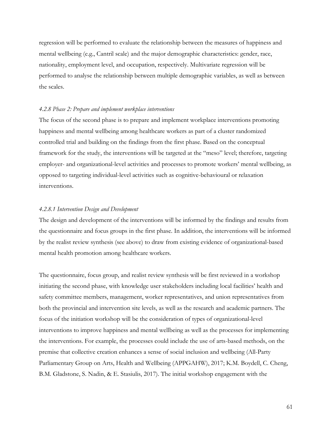regression will be performed to evaluate the relationship between the measures of happiness and mental wellbeing (e.g., Cantril scale) and the major demographic characteristics: gender, race, nationality, employment level, and occupation, respectively. Multivariate regression will be performed to analyse the relationship between multiple demographic variables, as well as between the scales.

### *4.2.8 Phase 2: Prepare and implement workplace interventions*

The focus of the second phase is to prepare and implement workplace interventions promoting happiness and mental wellbeing among healthcare workers as part of a cluster randomized controlled trial and building on the findings from the first phase. Based on the conceptual framework for the study, the interventions will be targeted at the "meso" level; therefore, targeting employer- and organizational-level activities and processes to promote workers' mental wellbeing, as opposed to targeting individual-level activities such as cognitive-behavioural or relaxation interventions.

### *4.2.8.1 Intervention Design and Development*

The design and development of the interventions will be informed by the findings and results from the questionnaire and focus groups in the first phase. In addition, the interventions will be informed by the realist review synthesis (see above) to draw from existing evidence of organizational-based mental health promotion among healthcare workers.

The questionnaire, focus group, and realist review synthesis will be first reviewed in a workshop initiating the second phase, with knowledge user stakeholders including local facilities' health and safety committee members, management, worker representatives, and union representatives from both the provincial and intervention site levels, as well as the research and academic partners. The focus of the initiation workshop will be the consideration of types of organizational-level interventions to improve happiness and mental wellbeing as well as the processes for implementing the interventions. For example, the processes could include the use of arts-based methods, on the premise that collective creation enhances a sense of social inclusion and wellbeing (All-Party Parliamentary Group on Arts, Health and Wellbeing (APPGAHW), 2017; K.M. Boydell, C. Cheng, B.M. Gladstone, S. Nadin, & E. Stasiulis, 2017). The initial workshop engagement with the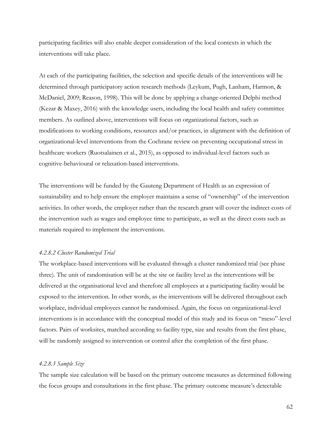participating facilities will also enable deeper consideration of the local contexts in which the interventions will take place.

At each of the participating facilities, the selection and specific details of the interventions will be determined through participatory action research methods (Leykum, Pugh, Lanham, Harmon, & McDaniel, 2009; Reason, 1998). This will be done by applying a change-oriented Delphi method (Kezar & Maxey, 2016) with the knowledge users, including the local health and safety committee members. As outlined above, interventions will focus on organizational factors, such as modifications to working conditions, resources and/or practices, in alignment with the definition of organizational-level interventions from the Cochrane review on preventing occupational stress in healthcare workers (Ruotsalainen et al., 2015), as opposed to individual-level factors such as cognitive-behavioural or relaxation-based interventions.

The interventions will be funded by the Gauteng Department of Health as an expression of sustainability and to help ensure the employer maintains a sense of "ownership" of the intervention activities. In other words, the employer rather than the research grant will cover the indirect costs of the intervention such as wages and employee time to participate, as well as the direct costs such as materials required to implement the interventions.

### *4.2.8.2 Cluster Randomized Trial*

The workplace-based interventions will be evaluated through a cluster randomized trial (see phase three). The unit of randomisation will be at the site or facility level as the interventions will be delivered at the organisational level and therefore all employees at a participating facility would be exposed to the intervention. In other words, as the interventions will be delivered throughout each workplace, individual employees cannot be randomised. Again, the focus on organizational-level interventions is in accordance with the conceptual model of this study and its focus on "meso"-level factors. Pairs of worksites, matched according to facility type, size and results from the first phase, will be randomly assigned to intervention or control after the completion of the first phase.

### *4.2.8.3 Sample Size*

The sample size calculation will be based on the primary outcome measures as determined following the focus groups and consultations in the first phase. The primary outcome measure's detectable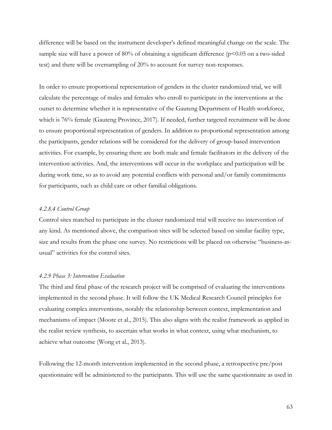difference will be based on the instrument developer's defined meaningful change on the scale. The sample size will have a power of 80% of obtaining a significant difference ( $p$ <0.05 on a two-sided test) and there will be oversampling of 20% to account for survey non-responses.

In order to ensure proportional representation of genders in the cluster randomized trial, we will calculate the percentage of males and females who enroll to participate in the interventions at the outset to determine whether it is representative of the Gauteng Department of Health workforce, which is 76% female (Gauteng Province, 2017). If needed, further targeted recruitment will be done to ensure proportional representation of genders. In addition to proportional representation among the participants, gender relations will be considered for the delivery of group-based intervention activities. For example, by ensuring there are both male and female facilitators in the delivery of the intervention activities. And, the interventions will occur in the workplace and participation will be during work time, so as to avoid any potential conflicts with personal and/or family commitments for participants, such as child care or other familial obligations.

### *4.2.8.4 Control Group*

Control sites matched to participate in the cluster randomized trial will receive no intervention of any kind. As mentioned above, the comparison sites will be selected based on similar facility type, size and results from the phase one survey. No restrictions will be placed on otherwise "business-asusual" activities for the control sites.

#### *4.2.9 Phase 3: Intervention Evaluation*

The third and final phase of the research project will be comprised of evaluating the interventions implemented in the second phase. It will follow the UK Medical Research Council principles for evaluating complex interventions, notably the relationship between context, implementation and mechanisms of impact (Moore et al., 2015). This also aligns with the realist framework as applied in the realist review synthesis, to ascertain what works in what context, using what mechanism, to achieve what outcome (Wong et al., 2013).

Following the 12-month intervention implemented in the second phase, a retrospective pre/post questionnaire will be administered to the participants. This will use the same questionnaire as used in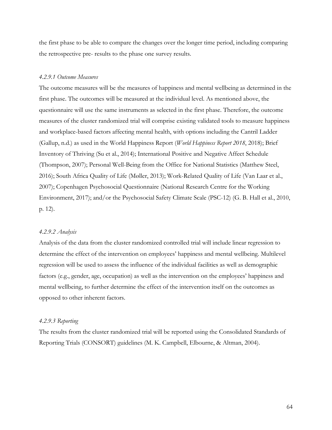the first phase to be able to compare the changes over the longer time period, including comparing the retrospective pre- results to the phase one survey results.

### *4.2.9.1 Outcome Measures*

The outcome measures will be the measures of happiness and mental wellbeing as determined in the first phase. The outcomes will be measured at the individual level. As mentioned above, the questionnaire will use the same instruments as selected in the first phase. Therefore, the outcome measures of the cluster randomized trial will comprise existing validated tools to measure happiness and workplace-based factors affecting mental health, with options including the Cantril Ladder (Gallup, n.d.) as used in the World Happiness Report (*World Happiness Report 2018*, 2018); Brief Inventory of Thriving (Su et al., 2014); International Positive and Negative Affect Schedule (Thompson, 2007); Personal Well-Being from the Office for National Statistics (Matthew Steel, 2016); South Africa Quality of Life (Møller, 2013); Work-Related Quality of Life (Van Laar et al., 2007); Copenhagen Psychosocial Questionnaire (National Research Centre for the Working Environment, 2017); and/or the Psychosocial Safety Climate Scale (PSC-12) (G. B. Hall et al., 2010, p. 12).

### *4.2.9.2 Analysis*

Analysis of the data from the cluster randomized controlled trial will include linear regression to determine the effect of the intervention on employees' happiness and mental wellbeing. Multilevel regression will be used to assess the influence of the individual facilities as well as demographic factors (e.g., gender, age, occupation) as well as the intervention on the employees' happiness and mental wellbeing, to further determine the effect of the intervention itself on the outcomes as opposed to other inherent factors.

### *4.2.9.3 Reporting*

The results from the cluster randomized trial will be reported using the Consolidated Standards of Reporting Trials (CONSORT) guidelines (M. K. Campbell, Elbourne, & Altman, 2004).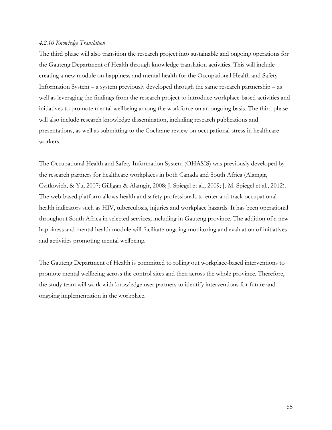### *4.2.10 Knowledge Translation*

The third phase will also transition the research project into sustainable and ongoing operations for the Gauteng Department of Health through knowledge translation activities. This will include creating a new module on happiness and mental health for the Occupational Health and Safety Information System – a system previously developed through the same research partnership – as well as leveraging the findings from the research project to introduce workplace-based activities and initiatives to promote mental wellbeing among the workforce on an ongoing basis. The third phase will also include research knowledge dissemination, including research publications and presentations, as well as submitting to the Cochrane review on occupational stress in healthcare workers.

The Occupational Health and Safety Information System (OHASIS) was previously developed by the research partners for healthcare workplaces in both Canada and South Africa (Alamgir, Cvitkovich, & Yu, 2007; Gilligan & Alamgir, 2008; J. Spiegel et al., 2009; J. M. Spiegel et al., 2012). The web-based platform allows health and safety professionals to enter and track occupational health indicators such as HIV, tuberculosis, injuries and workplace hazards. It has been operational throughout South Africa in selected services, including in Gauteng province. The addition of a new happiness and mental health module will facilitate ongoing monitoring and evaluation of initiatives and activities promoting mental wellbeing.

The Gauteng Department of Health is committed to rolling out workplace-based interventions to promote mental wellbeing across the control sites and then across the whole province. Therefore, the study team will work with knowledge user partners to identify interventions for future and ongoing implementation in the workplace.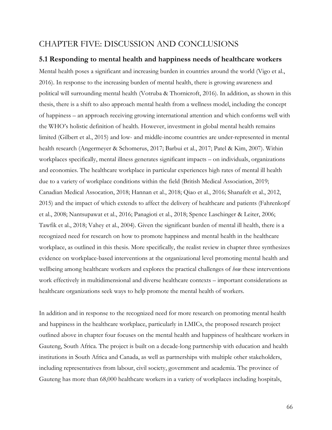## CHAPTER FIVE: DISCUSSION AND CONCLUSIONS

### **5.1 Responding to mental health and happiness needs of healthcare workers**

Mental health poses a significant and increasing burden in countries around the world (Vigo et al., 2016). In response to the increasing burden of mental health, there is growing awareness and political will surrounding mental health (Votruba & Thornicroft, 2016). In addition, as shown in this thesis, there is a shift to also approach mental health from a wellness model, including the concept of happiness – an approach receiving growing international attention and which conforms well with the WHO's holistic definition of health. However, investment in global mental health remains limited (Gilbert et al., 2015) and low- and middle-income countries are under-represented in mental health research (Angermeyer & Schomerus, 2017; Barbui et al., 2017; Patel & Kim, 2007). Within workplaces specifically, mental illness generates significant impacts – on individuals, organizations and economies. The healthcare workplace in particular experiences high rates of mental ill health due to a variety of workplace conditions within the field (British Medical Association, 2019; Canadian Medical Assocation, 2018; Hannan et al., 2018; Qiao et al., 2016; Shanafelt et al., 2012, 2015) and the impact of which extends to affect the delivery of healthcare and patients (Fahrenkopf et al., 2008; Nantsupawat et al., 2016; Panagioti et al., 2018; Spence Laschinger & Leiter, 2006; Tawfik et al., 2018; Vahey et al., 2004). Given the significant burden of mental ill health, there is a recognized need for research on how to promote happiness and mental health in the healthcare workplace, as outlined in this thesis. More specifically, the realist review in chapter three synthesizes evidence on workplace-based interventions at the organizational level promoting mental health and wellbeing among healthcare workers and explores the practical challenges of *how* these interventions work effectively in multidimensional and diverse healthcare contexts – important considerations as healthcare organizations seek ways to help promote the mental health of workers.

In addition and in response to the recognized need for more research on promoting mental health and happiness in the healthcare workplace, particularly in LMICs, the proposed research project outlined above in chapter four focuses on the mental health and happiness of healthcare workers in Gauteng, South Africa. The project is built on a decade-long partnership with education and health institutions in South Africa and Canada, as well as partnerships with multiple other stakeholders, including representatives from labour, civil society, government and academia. The province of Gauteng has more than 68,000 healthcare workers in a variety of workplaces including hospitals,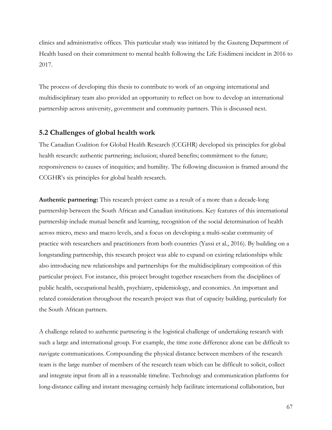clinics and administrative offices. This particular study was initiated by the Gauteng Department of Health based on their commitment to mental health following the Life Esidimeni incident in 2016 to 2017.

The process of developing this thesis to contribute to work of an ongoing international and multidisciplinary team also provided an opportunity to reflect on how to develop an international partnership across university, government and community partners. This is discussed next.

## **5.2 Challenges of global health work**

The Canadian Coalition for Global Health Research (CCGHR) developed six principles for global health research: authentic partnering; inclusion; shared benefits; commitment to the future; responsiveness to causes of inequities; and humility. The following discussion is framed around the CCGHR's six principles for global health research.

**Authentic partnering:** This research project came as a result of a more than a decade-long partnership between the South African and Canadian institutions. Key features of this international partnership include mutual benefit and learning, recognition of the social determination of health across micro, meso and macro levels, and a focus on developing a multi-scalar community of practice with researchers and practitioners from both countries (Yassi et al., 2016). By building on a longstanding partnership, this research project was able to expand on existing relationships while also introducing new relationships and partnerships for the multidisciplinary composition of this particular project. For instance, this project brought together researchers from the disciplines of public health, occupational health, psychiatry, epidemiology, and economics. An important and related consideration throughout the research project was that of capacity building, particularly for the South African partners.

A challenge related to authentic partnering is the logistical challenge of undertaking research with such a large and international group. For example, the time zone difference alone can be difficult to navigate communications. Compounding the physical distance between members of the research team is the large number of members of the research team which can be difficult to solicit, collect and integrate input from all in a reasonable timeline. Technology and communication platforms for long-distance calling and instant messaging certainly help facilitate international collaboration, but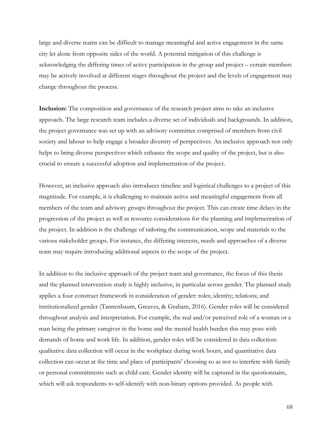large and diverse teams can be difficult to manage meaningful and active engagement in the same city let alone from opposite sides of the world. A potential mitigation of this challenge is acknowledging the differing times of active participation in the group and project – certain members may be actively involved at different stages throughout the project and the levels of engagement may change throughout the process.

**Inclusion:** The composition and governance of the research project aims to take an inclusive approach. The large research team includes a diverse set of individuals and backgrounds. In addition, the project governance was set up with an advisory committee comprised of members from civil society and labour to help engage a broader diversity of perspectives. An inclusive approach not only helps to bring diverse perspectives which enhance the scope and quality of the project, but is also crucial to ensure a successful adoption and implementation of the project.

However, an inclusive approach also introduces timeline and logistical challenges to a project of this magnitude. For example, it is challenging to maintain active and meaningful engagement from all members of the team and advisory groups throughout the project. This can create time delays in the progression of the project as well as resource considerations for the planning and implementation of the project. In addition is the challenge of tailoring the communication, scope and materials to the various stakeholder groups. For instance, the differing interests, needs and approaches of a diverse team may require introducing additional aspects to the scope of the project.

In addition to the inclusive approach of the project team and governance, the focus of this thesis and the planned intervention study is highly inclusive, in particular across gender. The planned study applies a four construct framework in consideration of gender: roles; identity; relations; and institutionalized gender (Tannenbaum, Greaves, & Graham, 2016). Gender roles will be considered throughout analysis and interpretation. For example, the real and/or perceived role of a woman or a man being the primary caregiver in the home and the mental health burden this may pose with demands of home and work life. In addition, gender roles will be considered in data collection: qualitative data collection will occur in the workplace during work hours, and quantitative data collection can occur at the time and place of participants' choosing so as not to interfere with family or personal commitments such as child care. Gender identity will be captured in the questionnaire, which will ask respondents to self-identify with non-binary options provided. As people with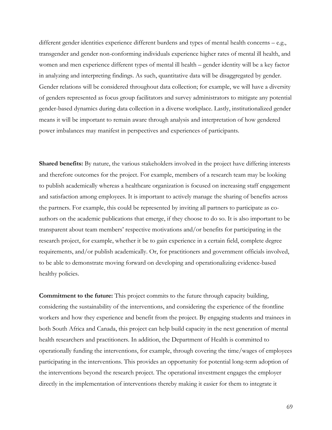different gender identities experience different burdens and types of mental health concerns – e.g., transgender and gender non-conforming individuals experience higher rates of mental ill health, and women and men experience different types of mental ill health – gender identity will be a key factor in analyzing and interpreting findings. As such, quantitative data will be disaggregated by gender. Gender relations will be considered throughout data collection; for example, we will have a diversity of genders represented as focus group facilitators and survey administrators to mitigate any potential gender-based dynamics during data collection in a diverse workplace. Lastly, institutionalized gender means it will be important to remain aware through analysis and interpretation of how gendered power imbalances may manifest in perspectives and experiences of participants.

**Shared benefits:** By nature, the various stakeholders involved in the project have differing interests and therefore outcomes for the project. For example, members of a research team may be looking to publish academically whereas a healthcare organization is focused on increasing staff engagement and satisfaction among employees. It is important to actively manage the sharing of benefits across the partners. For example, this could be represented by inviting all partners to participate as coauthors on the academic publications that emerge, if they choose to do so. It is also important to be transparent about team members' respective motivations and/or benefits for participating in the research project, for example, whether it be to gain experience in a certain field, complete degree requirements, and/or publish academically. Or, for practitioners and government officials involved, to be able to demonstrate moving forward on developing and operationalizing evidence-based healthy policies.

**Commitment to the future:** This project commits to the future through capacity building, considering the sustainability of the interventions, and considering the experience of the frontline workers and how they experience and benefit from the project. By engaging students and trainees in both South Africa and Canada, this project can help build capacity in the next generation of mental health researchers and practitioners. In addition, the Department of Health is committed to operationally funding the interventions, for example, through covering the time/wages of employees participating in the interventions. This provides an opportunity for potential long-term adoption of the interventions beyond the research project. The operational investment engages the employer directly in the implementation of interventions thereby making it easier for them to integrate it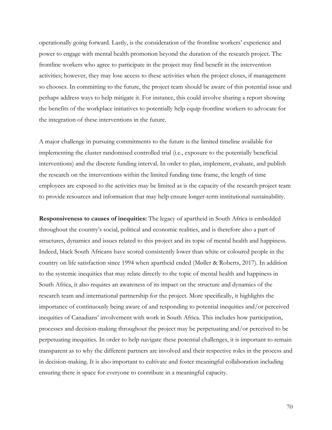operationally going forward. Lastly, is the consideration of the frontline workers' experience and power to engage with mental health promotion beyond the duration of the research project. The frontline workers who agree to participate in the project may find benefit in the intervention activities; however, they may lose access to these activities when the project closes, if management so chooses. In committing to the future, the project team should be aware of this potential issue and perhaps address ways to help mitigate it. For instance, this could involve sharing a report showing the benefits of the workplace initiatives to potentially help equip frontline workers to advocate for the integration of these interventions in the future.

A major challenge in pursuing commitments to the future is the limited timeline available for implementing the cluster randomised controlled trial (i.e., exposure to the potentially beneficial interventions) and the discrete funding interval. In order to plan, implement, evaluate, and publish the research on the interventions within the limited funding time frame, the length of time employees are exposed to the activities may be limited as is the capacity of the research project team to provide resources and information that may help ensure longer-term institutional sustainability.

**Responsiveness to causes of inequities:** The legacy of apartheid in South Africa is embedded throughout the country's social, political and economic realities, and is therefore also a part of structures, dynamics and issues related to this project and its topic of mental health and happiness. Indeed, black South Africans have scored consistently lower than white or coloured people in the country on life satisfaction since 1994 when apartheid ended (Møller & Roberts, 2017). In addition to the systemic inequities that may relate directly to the topic of mental health and happiness in South Africa, it also requires an awareness of its impact on the structure and dynamics of the research team and international partnership for the project. More specifically, it highlights the importance of continuously being aware of and responding to potential inequities and/or perceived inequities of Canadians' involvement with work in South Africa. This includes how participation, processes and decision-making throughout the project may be perpetuating and/or perceived to be perpetuating inequities. In order to help navigate these potential challenges, it is important to remain transparent as to why the different partners are involved and their respective roles in the process and in decision-making. It is also important to cultivate and foster meaningful collaboration including ensuring there is space for everyone to contribute in a meaningful capacity.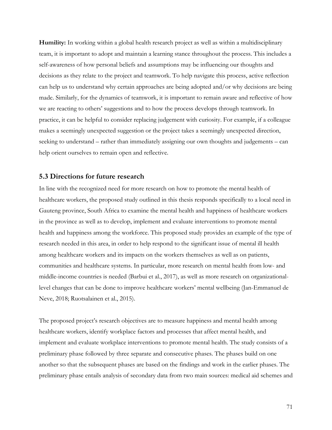**Humility:** In working within a global health research project as well as within a multidisciplinary team, it is important to adopt and maintain a learning stance throughout the process. This includes a self-awareness of how personal beliefs and assumptions may be influencing our thoughts and decisions as they relate to the project and teamwork. To help navigate this process, active reflection can help us to understand why certain approaches are being adopted and/or why decisions are being made. Similarly, for the dynamics of teamwork, it is important to remain aware and reflective of how we are reacting to others' suggestions and to how the process develops through teamwork. In practice, it can be helpful to consider replacing judgement with curiosity. For example, if a colleague makes a seemingly unexpected suggestion or the project takes a seemingly unexpected direction, seeking to understand – rather than immediately assigning our own thoughts and judgements – can help orient ourselves to remain open and reflective.

### **5.3 Directions for future research**

In line with the recognized need for more research on how to promote the mental health of healthcare workers, the proposed study outlined in this thesis responds specifically to a local need in Gauteng province, South Africa to examine the mental health and happiness of healthcare workers in the province as well as to develop, implement and evaluate interventions to promote mental health and happiness among the workforce. This proposed study provides an example of the type of research needed in this area, in order to help respond to the significant issue of mental ill health among healthcare workers and its impacts on the workers themselves as well as on patients, communities and healthcare systems. In particular, more research on mental health from low- and middle-income countries is needed (Barbui et al., 2017), as well as more research on organizationallevel changes that can be done to improve healthcare workers' mental wellbeing (Jan-Emmanuel de Neve, 2018; Ruotsalainen et al., 2015).

The proposed project's research objectives are to measure happiness and mental health among healthcare workers, identify workplace factors and processes that affect mental health, and implement and evaluate workplace interventions to promote mental health. The study consists of a preliminary phase followed by three separate and consecutive phases. The phases build on one another so that the subsequent phases are based on the findings and work in the earlier phases. The preliminary phase entails analysis of secondary data from two main sources: medical aid schemes and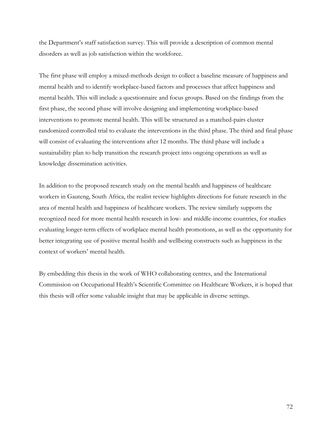the Department's staff satisfaction survey. This will provide a description of common mental disorders as well as job satisfaction within the workforce.

The first phase will employ a mixed-methods design to collect a baseline measure of happiness and mental health and to identify workplace-based factors and processes that affect happiness and mental health. This will include a questionnaire and focus groups. Based on the findings from the first phase, the second phase will involve designing and implementing workplace-based interventions to promote mental health. This will be structured as a matched-pairs cluster randomized controlled trial to evaluate the interventions in the third phase. The third and final phase will consist of evaluating the interventions after 12 months. The third phase will include a sustainability plan to help transition the research project into ongoing operations as well as knowledge dissemination activities.

In addition to the proposed research study on the mental health and happiness of healthcare workers in Gauteng, South Africa, the realist review highlights directions for future research in the area of mental health and happiness of healthcare workers. The review similarly supports the recognized need for more mental health research in low- and middle-income countries, for studies evaluating longer-term effects of workplace mental health promotions, as well as the opportunity for better integrating use of positive mental health and wellbeing constructs such as happiness in the context of workers' mental health.

By embedding this thesis in the work of WHO collaborating centres, and the International Commission on Occupational Health's Scientific Committee on Healthcare Workers, it is hoped that this thesis will offer some valuable insight that may be applicable in diverse settings.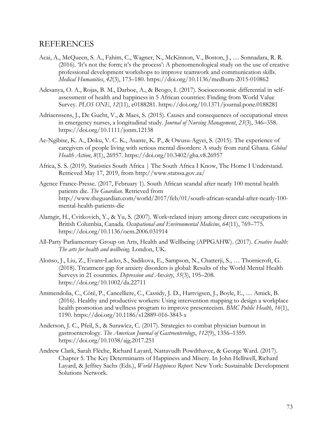## REFERENCES

- Acai, A., McQueen, S. A., Fahim, C., Wagner, N., McKinnon, V., Boston, J., … Sonnadara, R. R. (2016). 'It's not the form; it's the process': A phenomenological study on the use of creative professional development workshops to improve teamwork and communication skills. *Medical Humanities*, *42*(3), 173–180. https://doi.org/10.1136/medhum-2015-010862
- Adesanya, O. A., Rojas, B. M., Darboe, A., & Beogo, I. (2017). Socioeconomic differential in selfassessment of health and happiness in 5 African countries: Finding from World Value Survey. *PLOS ONE*, *12*(11), e0188281. https://doi.org/10.1371/journal.pone.0188281
- Adriaenssens, J., De Gucht, V., & Maes, S. (2015). Causes and consequences of occupational stress in emergency nurses, a longitudinal study. *Journal of Nursing Management*, *23*(3), 346–358. https://doi.org/10.1111/jonm.12138
- Ae-Ngibise, K. A., Doku, V. C. K., Asante, K. P., & Owusu-Agyei, S. (2015). The experience of caregivers of people living with serious mental disorders: A study from rural Ghana. *Global Health Action*, *8*(1), 26957. https://doi.org/10.3402/gha.v8.26957
- Africa, S. S. (2019). Statistics South Africa | The South Africa I Know, The Home I Understand. Retrieved May 17, 2019, from http://www.statssa.gov.za/
- Agence France-Presse. (2017, February 1). South African scandal after nearly 100 mental health patients die. *The Guardian*. Retrieved from http://www.theguardian.com/world/2017/feb/01/south-african-scandal-after-nearly-100 mental-health-patients-die
- Alamgir, H., Cvitkovich, Y., & Yu, S. (2007). Work-related injury among direct care occupations in British Columbia, Canada. *Occupational and Environmental Medicine*, *64*(11), 769–775. https://doi.org/10.1136/oem.2006.031914
- All-Party Parliamentary Group on Arts, Health and Wellbeing (APPGAHW). (2017). *Creative health: The arts for health and wellbeing*. London, UK.
- Alonso, J., Liu, Z., Evans-Lacko, S., Sadikova, E., Sampson, N., Chatterji, S., … Thornicroft, G. (2018). Treatment gap for anxiety disorders is global: Results of the World Mental Health Surveys in 21 countries. *Depression and Anxiety*, *35*(3), 195–208. https://doi.org/10.1002/da.22711
- Ammendolia, C., Côté, P., Cancelliere, C., Cassidy, J. D., Hartvigsen, J., Boyle, E., … Amick, B. (2016). Healthy and productive workers: Using intervention mapping to design a workplace health promotion and wellness program to improve presenteeism. *BMC Public Health*, *16*(1), 1190. https://doi.org/10.1186/s12889-016-3843-x
- Anderson, J. C., Pfeil, S., & Surawicz, C. (2017). Strategies to combat physician burnout in gastroenterology. *The American Journal of Gastroenterology*, *112*(9), 1356–1359. https://doi.org/10.1038/ajg.2017.251
- Andrew Clark, Sarah Flèche, Richard Layard, Nattavudh Powdthavee, & George Ward. (2017). Chapter 5. The Key Determinants of Happiness and Misery. In John Helliwell, Richard Layard, & Jeffrey Sachs (Eds.), *World Happiness Report*. New York: Sustainable Development Solutions Network.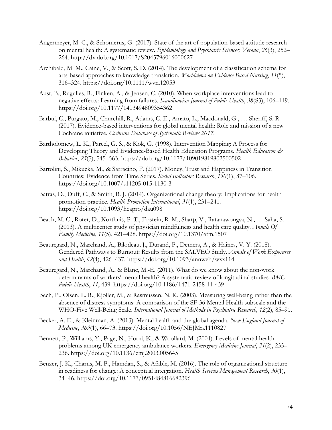- Angermeyer, M. C., & Schomerus, G. (2017). State of the art of population-based attitude research on mental health: A systematic review. *Epidemiology and Psychiatric Sciences; Verona*, *26*(3), 252– 264. http://dx.doi.org/10.1017/S2045796016000627
- Archibald, M. M., Caine, V., & Scott, S. D. (2014). The development of a classification schema for arts-based approaches to knowledge translation. *Worldviews on Evidence-Based Nursing*, *11*(5), 316–324. https://doi.org/10.1111/wvn.12053
- Aust, B., Rugulies, R., Finken, A., & Jensen, C. (2010). When workplace interventions lead to negative effects: Learning from failures. *Scandinavian Journal of Public Health*, *38*(S3), 106–119. https://doi.org/10.1177/1403494809354362
- Barbui, C., Purgato, M., Churchill, R., Adams, C. E., Amato, L., Macdonald, G., … Sheriff, S. R. (2017). Evidence-based interventions for global mental health: Role and mission of a new Cochrane initiative. *Cochrane Database of Systematic Reviews 2017*.
- Bartholomew, L. K., Parcel, G. S., & Kok, G. (1998). Intervention Mapping: A Process for Developing Theory and Evidence-Based Health Education Programs. *Health Education & Behavior*, *25*(5), 545–563. https://doi.org/10.1177/109019819802500502
- Bartolini, S., Mikucka, M., & Sarracino, F. (2017). Money, Trust and Happiness in Transition Countries: Evidence from Time Series. *Social Indicators Research*, *130*(1), 87–106. https://doi.org/10.1007/s11205-015-1130-3
- Batras, D., Duff, C., & Smith, B. J. (2014). Organizational change theory: Implications for health promotion practice. *Health Promotion International*, *31*(1), 231–241. https://doi.org/10.1093/heapro/dau098
- Beach, M. C., Roter, D., Korthuis, P. T., Epstein, R. M., Sharp, V., Ratanawongsa, N., … Saha, S. (2013). A multicenter study of physician mindfulness and health care quality. *Annals Of Family Medicine*, *11*(5), 421–428. https://doi.org/10.1370/afm.1507
- Beauregard, N., Marchand, A., Bilodeau, J., Durand, P., Demers, A., & Haines, V. Y. (2018). Gendered Pathways to Burnout: Results from the SALVEO Study. *Annals of Work Exposures and Health*, *62*(4), 426–437. https://doi.org/10.1093/annweh/wxx114
- Beauregard, N., Marchand, A., & Blanc, M.-E. (2011). What do we know about the non-work determinants of workers' mental health? A systematic review of longitudinal studies. *BMC Public Health*, *11*, 439. https://doi.org/10.1186/1471-2458-11-439
- Bech, P., Olsen, L. R., Kjoller, M., & Rasmussen, N. K. (2003). Measuring well-being rather than the absence of distress symptoms: A comparison of the SF-36 Mental Health subscale and the WHO-Five Well-Being Scale. *International Journal of Methods in Psychiatric Research*, *12*(2), 85–91.
- Becker, A. E., & Kleinman, A. (2013). Mental health and the global agenda. *New England Journal of Medicine*, *369*(1), 66–73. https://doi.org/10.1056/NEJMra1110827
- Bennett, P., Williams, Y., Page, N., Hood, K., & Woollard, M. (2004). Levels of mental health problems among UK emergency ambulance workers. *Emergency Medicine Journal*, *21*(2), 235– 236. https://doi.org/10.1136/emj.2003.005645
- Benzer, J. K., Charns, M. P., Hamdan, S., & Afable, M. (2016). The role of organizational structure in readiness for change: A conceptual integration. *Health Services Management Research*, *30*(1), 34–46. https://doi.org/10.1177/0951484816682396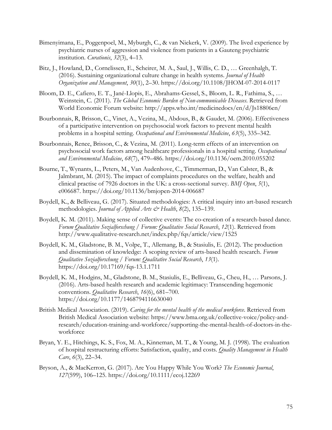- Bimenyimana, E., Poggenpoel, M., Myburgh, C., & van Niekerk, V. (2009). The lived experience by psychiatric nurses of aggression and violence from patients in a Gauteng psychiatric institution. *Curationis*, *32*(3), 4–13.
- Bitz, J., Howland, D., Cornelissen, E., Scheirer, M. A., Saul, J., Willis, C. D., … Greenhalgh, T. (2016). Sustaining organizational culture change in health systems. *Journal of Health Organization and Management*, *30*(1), 2–30. https://doi.org/10.1108/JHOM-07-2014-0117
- Bloom, D. E., Cafiero, E. T., Jané-Llopis, E., Abrahams-Gessel, S., Bloom, L. R., Fathima, S., … Weinstein, C. (2011). *The Global Economic Burden of Non-communicable Diseases*. Retrieved from World Economic Forum website: http://apps.who.int/medicinedocs/en/d/Js18806en/
- Bourbonnais, R, Brisson, C., Vinet, A., Vezina, M., Abdous, B., & Gaudet, M. (2006). Effectiveness of a participative intervention on psychosocial work factors to prevent mental health problems in a hospital setting. *Occupational and Environmental Medicine*, *63*(5), 335–342.
- Bourbonnais, Renee, Brisson, C., & Vezina, M. (2011). Long-term effects of an intervention on psychosocial work factors among healthcare professionals in a hospital setting. *Occupational and Environmental Medicine*, *68*(7), 479–486. https://doi.org/10.1136/oem.2010.055202
- Bourne, T., Wynants, L., Peters, M., Van Audenhove, C., Timmerman, D., Van Calster, B., & Jalmbrant, M. (2015). The impact of complaints procedures on the welfare, health and clinical practise of 7926 doctors in the UK: a cross-sectional survey. *BMJ Open*, *5*(1), e006687. https://doi.org/10.1136/bmjopen-2014-006687
- Boydell, K., & Belliveau, G. (2017). Situated methodologies: A critical inquiry into art-based research methodologies. *Journal of Applied Arts & Health*, *8*(2), 135–139.
- Boydell, K. M. (2011). Making sense of collective events: The co-creation of a research-based dance. *Forum Qualitative Sozialforschung / Forum: Qualitative Social Research*, *12*(1). Retrieved from http://www.qualitative-research.net/index.php/fqs/article/view/1525
- Boydell, K. M., Gladstone, B. M., Volpe, T., Allemang, B., & Stasiulis, E. (2012). The production and dissemination of knowledge: A scoping review of arts-based health research. *Forum Qualitative Sozialforschung / Forum: Qualitative Social Research*, *13*(1). https://doi.org/10.17169/fqs-13.1.1711
- Boydell, K. M., Hodgins, M., Gladstone, B. M., Stasiulis, E., Belliveau, G., Cheu, H., … Parsons, J. (2016). Arts-based health research and academic legitimacy: Transcending hegemonic conventions. *Qualitative Research*, *16*(6), 681–700. https://doi.org/10.1177/1468794116630040
- British Medical Association. (2019). *Caring for the mental health of the medical workforce*. Retrieved from British Medical Association website: https://www.bma.org.uk/collective-voice/policy-andresearch/education-training-and-workforce/supporting-the-mental-health-of-doctors-in-theworkforce
- Bryan, Y. E., Hitchings, K. S., Fox, M. A., Kinneman, M. T., & Young, M. J. (1998). The evaluation of hospital restructuring efforts: Satisfaction, quality, and costs. *Quality Management in Health Care*, *6*(3), 22–34.
- Bryson, A., & MacKerron, G. (2017). Are You Happy While You Work? *The Economic Journal*, *127*(599), 106–125. https://doi.org/10.1111/ecoj.12269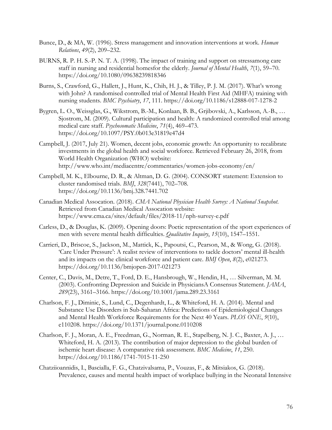- Bunce, D., & MA, W. (1996). Stress management and innovation interventions at work. *Human Relations*, *49*(2), 209–232.
- BURNS, R. P. H. S.-P. N. T. A. (1998). The impact of training and support on stressamong care staff in nursing and residential homesfor the elderly. *Journal of Mental Health*, *7*(1), 59–70. https://doi.org/10.1080/09638239818346
- Burns, S., Crawford, G., Hallett, J., Hunt, K., Chih, H. J., & Tilley, P. J. M. (2017). What's wrong with John? A randomised controlled trial of Mental Health First Aid (MHFA) training with nursing students. *BMC Psychiatry*, *17*, 111. https://doi.org/10.1186/s12888-017-1278-2
- Bygren, L. O., Weissglas, G., Wikstrom, B.-M., Konlaan, B. B., Grjibovski, A., Karlsson, A.-B., … Sjostrom, M. (2009). Cultural participation and health: A randomized controlled trial among medical care staff. *Psychosomatic Medicine*, *71*(4), 469–473. https://doi.org/10.1097/PSY.0b013e31819e47d4
- Campbell, J. (2017, July 21). Women, decent jobs, economic growth: An opportunity to recalibrate investments in the global health and social workforce. Retrieved February 26, 2018, from World Health Organization (WHO) website: http://www.who.int/mediacentre/commentaries/women-jobs-economy/en/
- Campbell, M. K., Elbourne, D. R., & Altman, D. G. (2004). CONSORT statement: Extension to cluster randomised trials. *BMJ*, *328*(7441), 702–708. https://doi.org/10.1136/bmj.328.7441.702
- Canadian Medical Assocation. (2018). *CMA National Physician Health Survey: A National Snapshot*. Retrieved from Canadian Medical Assocation website: https://www.cma.ca/sites/default/files/2018-11/nph-survey-e.pdf
- Carless, D., & Douglas, K. (2009). Opening doors: Poetic representation of the sport experiences of men with severe mental health difficulties. *Qualitative Inquiry*, *15*(10), 1547–1551.
- Carrieri, D., Briscoe, S., Jackson, M., Mattick, K., Papoutsi, C., Pearson, M., & Wong, G. (2018). 'Care Under Pressure': A realist review of interventions to tackle doctors' mental ill-health and its impacts on the clinical workforce and patient care. *BMJ Open*, *8*(2), e021273. https://doi.org/10.1136/bmjopen-2017-021273
- Center, C., Davis, M., Detre, T., Ford, D. E., Hansbrough, W., Hendin, H., … Silverman, M. M. (2003). Confronting Depression and Suicide in PhysiciansA Consensus Statement. *JAMA*, *289*(23), 3161–3166. https://doi.org/10.1001/jama.289.23.3161
- Charlson, F. J., Diminic, S., Lund, C., Degenhardt, L., & Whiteford, H. A. (2014). Mental and Substance Use Disorders in Sub-Saharan Africa: Predictions of Epidemiological Changes and Mental Health Workforce Requirements for the Next 40 Years. *PLOS ONE*, *9*(10), e110208. https://doi.org/10.1371/journal.pone.0110208
- Charlson, F. J., Moran, A. E., Freedman, G., Norman, R. E., Stapelberg, N. J. C., Baxter, A. J., … Whiteford, H. A. (2013). The contribution of major depression to the global burden of ischemic heart disease: A comparative risk assessment. *BMC Medicine*, *11*, 250. https://doi.org/10.1186/1741-7015-11-250
- Chatziioannidis, I., Bascialla, F. G., Chatzivalsama, P., Vouzas, F., & Mitsiakos, G. (2018). Prevalence, causes and mental health impact of workplace bullying in the Neonatal Intensive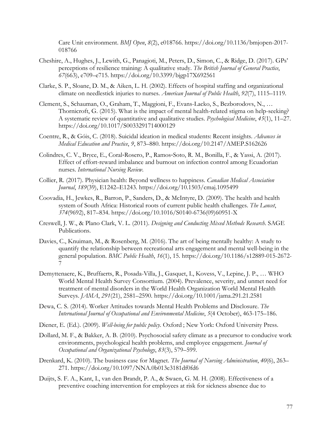Care Unit environment. *BMJ Open*, *8*(2), e018766. https://doi.org/10.1136/bmjopen-2017- 018766

- Cheshire, A., Hughes, J., Lewith, G., Panagioti, M., Peters, D., Simon, C., & Ridge, D. (2017). GPs' perceptions of resilience training: A qualitative study. *The British Journal of General Practice*, *67*(663), e709–e715. https://doi.org/10.3399/bjgp17X692561
- Clarke, S. P., Sloane, D. M., & Aiken, L. H. (2002). Effects of hospital staffing and organizational climate on needlestick injuries to nurses. *American Journal of Public Health*, *92*(7), 1115–1119.
- Clement, S., Schauman, O., Graham, T., Maggioni, F., Evans-Lacko, S., Bezborodovs, N., … Thornicroft, G. (2015). What is the impact of mental health-related stigma on help-seeking? A systematic review of quantitative and qualitative studies. *Psychological Medicine*, *45*(1), 11–27. https://doi.org/10.1017/S0033291714000129
- Coentre, R., & Góis, C. (2018). Suicidal ideation in medical students: Recent insights. *Advances in Medical Education and Practice*, *9*, 873–880. https://doi.org/10.2147/AMEP.S162626
- Colindres, C. V., Bryce, E., Coral-Rosero, P., Ramos-Soto, R. M., Bonilla, F., & Yassi, A. (2017). Effect of effort-reward imbalance and burnout on infection control among Ecuadorian nurses. *International Nursing Review*.
- Collier, R. (2017). Physician health: Beyond wellness to happiness. *Canadian Medical Association Journal*, *189*(39), E1242–E1243. https://doi.org/10.1503/cmaj.1095499
- Coovadia, H., Jewkes, R., Barron, P., Sanders, D., & McIntyre, D. (2009). The health and health system of South Africa: Historical roots of current public health challenges. *The Lancet*, *374*(9692), 817–834. https://doi.org/10.1016/S0140-6736(09)60951-X
- Creswell, J. W., & Plano Clark, V. L. (2011). *Designing and Conducting Mixed Methods Research*. SAGE Publications.
- Davies, C., Knuiman, M., & Rosenberg, M. (2016). The art of being mentally healthy: A study to quantify the relationship between recreational arts engagement and mental well-being in the general population. *BMC Public Health*, *16*(1), 15. https://doi.org/10.1186/s12889-015-2672- 7
- Demyttenaere, K., Bruffaerts, R., Posada-Villa, J., Gasquet, I., Kovess, V., Lepine, J. P., … WHO World Mental Health Survey Consortium. (2004). Prevalence, severity, and unmet need for treatment of mental disorders in the World Health Organization World Mental Health Surveys. *JAMA*, *291*(21), 2581–2590. https://doi.org/10.1001/jama.291.21.2581
- Dewa, C. S. (2014). Worker Attitudes towards Mental Health Problems and Disclosure. *The International Journal of Occupational and Environmental Medicine*, *5*(4 October), 463-175–186.
- Diener, E. (Ed.). (2009). *Well-being for public policy*. Oxford ; New York: Oxford University Press.
- Dollard, M. F., & Bakker, A. B. (2010). Psychosocial safety climate as a precursor to conducive work environments, psychological health problems, and employee engagement. *Journal of Occupational and Organizational Psychology*, *83*(3), 579–599.
- Drenkard, K. (2010). The business case for Magnet. *The Journal of Nursing Administration*, *40*(6), 263– 271. https://doi.org/10.1097/NNA.0b013e3181df0fd6
- Duijts, S. F. A., Kant, I., van den Brandt, P. A., & Swaen, G. M. H. (2008). Effectiveness of a preventive coaching intervention for employees at risk for sickness absence due to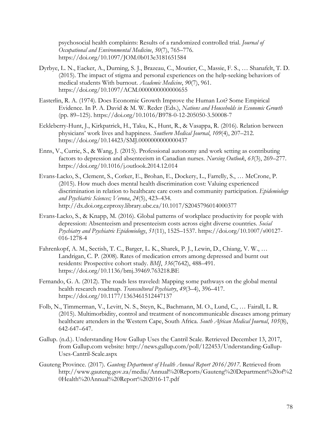psychosocial health complaints: Results of a randomized controlled trial. *Journal of Occupational and Environmental Medicine*, *50*(7), 765–776. https://doi.org/10.1097/JOM.0b013e3181651584

- Dyrbye, L. N., Eacker, A., Durning, S. J., Brazeau, C., Moutier, C., Massie, F. S., … Shanafelt, T. D. (2015). The impact of stigma and personal experiences on the help-seeking behaviors of medical students With burnout. *Academic Medicine*, *90*(7), 961. https://doi.org/10.1097/ACM.0000000000000655
- Easterlin, R. A. (1974). Does Economic Growth Improve the Human Lot? Some Empirical Evidence. In P. A. David & M. W. Reder (Eds.), *Nations and Households in Economic Growth* (pp. 89–125). https://doi.org/10.1016/B978-0-12-205050-3.50008-7
- Eckleberry-Hunt, J., Kirkpatrick, H., Taku, K., Hunt, R., & Vasappa, R. (2016). Relation between physicians' work lives and happiness. *Southern Medical Journal*, *109*(4), 207–212. https://doi.org/10.14423/SMJ.0000000000000437
- Enns, V., Currie, S., & Wang, J. (2015). Professional autonomy and work setting as contributing factors to depression and absenteeism in Canadian nurses. *Nursing Outlook*, *63*(3), 269–277. https://doi.org/10.1016/j.outlook.2014.12.014
- Evans-Lacko, S., Clement, S., Corker, E., Brohan, E., Dockery, L., Farrelly, S., … McCrone, P. (2015). How much does mental health discrimination cost: Valuing experienced discrimination in relation to healthcare care costs and community participation. *Epidemiology and Psychiatric Sciences; Verona*, *24*(5), 423–434. http://dx.doi.org.ezproxy.library.ubc.ca/10.1017/S2045796014000377
- Evans-Lacko, S., & Knapp, M. (2016). Global patterns of workplace productivity for people with depression: Absenteeism and presenteeism costs across eight diverse countries. *Social Psychiatry and Psychiatric Epidemiology*, *51*(11), 1525–1537. https://doi.org/10.1007/s00127- 016-1278-4
- Fahrenkopf, A. M., Sectish, T. C., Barger, L. K., Sharek, P. J., Lewin, D., Chiang, V. W., … Landrigan, C. P. (2008). Rates of medication errors among depressed and burnt out residents: Prospective cohort study. *BMJ*, *336*(7642), 488–491. https://doi.org/10.1136/bmj.39469.763218.BE
- Fernando, G. A. (2012). The roads less traveled: Mapping some pathways on the global mental health research roadmap. *Transcultural Psychiatry*, *49*(3–4), 396–417. https://doi.org/10.1177/1363461512447137
- Folb, N., Timmerman, V., Levitt, N. S., Steyn, K., Bachmann, M. O., Lund, C., … Fairall, L. R. (2015). Multimorbidity, control and treatment of noncommunicable diseases among primary healthcare attenders in the Western Cape, South Africa. *South African Medical Journal*, *105*(8), 642-647–647.
- Gallup. (n.d.). Understanding How Gallup Uses the Cantril Scale. Retrieved December 13, 2017, from Gallup.com website: http://news.gallup.com/poll/122453/Understanding-Gallup-Uses-Cantril-Scale.aspx
- Gauteng Province. (2017). *Gauteng Department of Health Annual Report 2016/2017*. Retrieved from http://www.gauteng.gov.za/media/Annual%20Reports/Gauteng%20Department%20of%2 0Health%20Annual%20Report%202016-17.pdf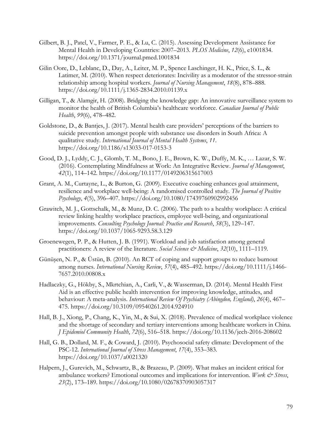- Gilbert, B. J., Patel, V., Farmer, P. E., & Lu, C. (2015). Assessing Development Assistance for Mental Health in Developing Countries: 2007–2013. *PLOS Medicine*, *12*(6), e1001834. https://doi.org/10.1371/journal.pmed.1001834
- Gilin Oore, D., Leblanc, D., Day, A., Leiter, M. P., Spence Laschinger, H. K., Price, S. L., & Latimer, M. (2010). When respect deteriorates: Incivility as a moderator of the stressor-strain relationship among hospital workers. *Journal of Nursing Management*, *18*(8), 878–888. https://doi.org/10.1111/j.1365-2834.2010.01139.x
- Gilligan, T., & Alamgir, H. (2008). Bridging the knowledge gap: An innovative surveillance system to monitor the health of British Columbia's healthcare workforce. *Canadian Journal of Public Health*, *99*(6), 478–482.
- Goldstone, D., & Bantjes, J. (2017). Mental health care providers' perceptions of the barriers to suicide prevention amongst people with substance use disorders in South Africa: A qualitative study. *International Journal of Mental Health Systems*, *11*. https://doi.org/10.1186/s13033-017-0153-3
- Good, D. J., Lyddy, C. J., Glomb, T. M., Bono, J. E., Brown, K. W., Duffy, M. K., … Lazar, S. W. (2016). Contemplating Mindfulness at Work: An Integrative Review. *Journal of Management*, *42*(1), 114–142. https://doi.org/10.1177/0149206315617003
- Grant, A. M., Curtayne, L., & Burton, G. (2009). Executive coaching enhances goal attainment, resilience and workplace well-being: A randomised controlled study. *The Journal of Positive Psychology*, *4*(5), 396–407. https://doi.org/10.1080/17439760902992456
- Grawitch, M. J., Gottschalk, M., & Munz, D. C. (2006). The path to a healthy workplace: A critical review linking healthy workplace practices, employee well-being, and organizational improvements. *Consulting Psychology Journal: Practice and Research*, *58*(3), 129–147. https://doi.org/10.1037/1065-9293.58.3.129
- Groenewegen, P. P., & Hutten, J. B. (1991). Workload and job satisfaction among general practitioners: A review of the literature. *Social Science & Medicine*, *32*(10), 1111–1119.
- Günüşen, N. P., & Üstün, B. (2010). An RCT of coping and support groups to reduce burnout among nurses. *International Nursing Review*, *57*(4), 485–492. https://doi.org/10.1111/j.1466- 7657.2010.00808.x
- Hadlaczky, G., Hökby, S., Mkrtchian, A., Carli, V., & Wasserman, D. (2014). Mental Health First Aid is an effective public health intervention for improving knowledge, attitudes, and behaviour: A meta-analysis. *International Review Of Psychiatry (Abingdon, England)*, *26*(4), 467– 475. https://doi.org/10.3109/09540261.2014.924910
- Hall, B. J., Xiong, P., Chang, K., Yin, M., & Sui, X. (2018). Prevalence of medical workplace violence and the shortage of secondary and tertiary interventions among healthcare workers in China. *J Epidemiol Community Health*, *72*(6), 516–518. https://doi.org/10.1136/jech-2016-208602
- Hall, G. B., Dollard, M. F., & Coward, J. (2010). Psychosocial safety climate: Development of the PSC-12. *International Journal of Stress Management*, *17*(4), 353–383. https://doi.org/10.1037/a0021320
- Halpern, J., Gurevich, M., Schwartz, B., & Brazeau, P. (2009). What makes an incident critical for ambulance workers? Emotional outcomes and implications for intervention. *Work & Stress*, *23*(2), 173–189. https://doi.org/10.1080/02678370903057317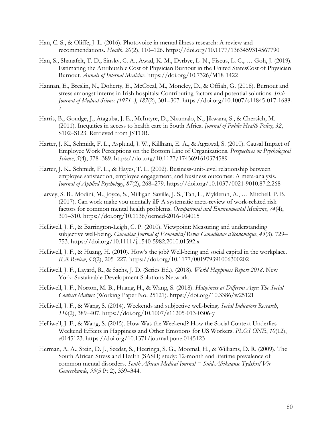- Han, C. S., & Oliffe, J. L. (2016). Photovoice in mental illness research: A review and recommendations. *Health*, *20*(2), 110–126. https://doi.org/10.1177/1363459314567790
- Han, S., Shanafelt, T. D., Sinsky, C. A., Awad, K. M., Dyrbye, L. N., Fiscus, L. C., … Goh, J. (2019). Estimating the Attributable Cost of Physician Burnout in the United StatesCost of Physician Burnout. *Annals of Internal Medicine*. https://doi.org/10.7326/M18-1422
- Hannan, E., Breslin, N., Doherty, E., McGreal, M., Moneley, D., & Offiah, G. (2018). Burnout and stress amongst interns in Irish hospitals: Contributing factors and potential solutions. *Irish Journal of Medical Science (1971 -)*, *187*(2), 301–307. https://doi.org/10.1007/s11845-017-1688- 7
- Harris, B., Goudge, J., Ataguba, J. E., McIntyre, D., Nxumalo, N., Jikwana, S., & Chersich, M. (2011). Inequities in access to health care in South Africa. *Journal of Public Health Policy*, *32*, S102–S123. Retrieved from JSTOR.
- Harter, J. K., Schmidt, F. L., Asplund, J. W., Killham, E. A., & Agrawal, S. (2010). Causal Impact of Employee Work Perceptions on the Bottom Line of Organizations. *Perspectives on Psychological Science*, *5*(4), 378–389. https://doi.org/10.1177/1745691610374589
- Harter, J. K., Schmidt, F. L., & Hayes, T. L. (2002). Business-unit-level relationship between employee satisfaction, employee engagement, and business outcomes: A meta-analysis. *Journal of Applied Psychology*, *87*(2), 268–279. https://doi.org/10.1037/0021-9010.87.2.268
- Harvey, S. B., Modini, M., Joyce, S., Milligan-Saville, J. S., Tan, L., Mykletun, A., … Mitchell, P. B. (2017). Can work make you mentally ill? A systematic meta-review of work-related risk factors for common mental health problems. *Occupational and Environmental Medicine*, *74*(4), 301–310. https://doi.org/10.1136/oemed-2016-104015
- Helliwell, J. F., & Barrington-Leigh, C. P. (2010). Viewpoint: Measuring and understanding subjective well-being. *Canadian Journal of Economics/Revue Canadienne d'économique*, *43*(3), 729– 753. https://doi.org/10.1111/j.1540-5982.2010.01592.x
- Helliwell, J. F., & Huang, H. (2010). How's the job? Well-being and social capital in the workplace. *ILR Review*, *63*(2), 205–227. https://doi.org/10.1177/001979391006300202
- Helliwell, J. F., Layard, R., & Sachs, J. D. (Series Ed.). (2018). *World Happiness Report 2018*. New York: Sustainable Development Solutions Network.
- Helliwell, J. F., Norton, M. B., Huang, H., & Wang, S. (2018). *Happiness at Different Ages: The Social Context Matters* (Working Paper No. 25121). https://doi.org/10.3386/w25121
- Helliwell, J. F., & Wang, S. (2014). Weekends and subjective well-being. *Social Indicators Research*, *116*(2), 389–407. https://doi.org/10.1007/s11205-013-0306-y
- Helliwell, J. F., & Wang, S. (2015). How Was the Weekend? How the Social Context Underlies Weekend Effects in Happiness and Other Emotions for US Workers. *PLOS ONE*, *10*(12), e0145123. https://doi.org/10.1371/journal.pone.0145123
- Herman, A. A., Stein, D. J., Seedat, S., Heeringa, S. G., Moomal, H., & Williams, D. R. (2009). The South African Stress and Health (SASH) study: 12-month and lifetime prevalence of common mental disorders. *South African Medical Journal = Suid-Afrikaanse Tydskrif Vir Geneeskunde*, *99*(5 Pt 2), 339–344.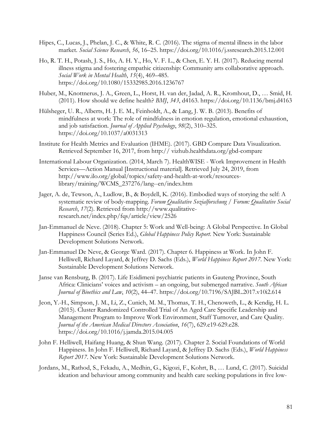- Hipes, C., Lucas, J., Phelan, J. C., & White, R. C. (2016). The stigma of mental illness in the labor market. *Social Science Research*, *56*, 16–25. https://doi.org/10.1016/j.ssresearch.2015.12.001
- Ho, R. T. H., Potash, J. S., Ho, A. H. Y., Ho, V. F. L., & Chen, E. Y. H. (2017). Reducing mental illness stigma and fostering empathic citizenship: Community arts collaborative approach. *Social Work in Mental Health*, *15*(4), 469–485. https://doi.org/10.1080/15332985.2016.1236767
- Huber, M., Knottnerus, J. A., Green, L., Horst, H. van der, Jadad, A. R., Kromhout, D., … Smid, H. (2011). How should we define health? *BMJ*, *343*, d4163. https://doi.org/10.1136/bmj.d4163
- Hülsheger, U. R., Alberts, H. J. E. M., Feinholdt, A., & Lang, J. W. B. (2013). Benefits of mindfulness at work: The role of mindfulness in emotion regulation, emotional exhaustion, and job satisfaction. *Journal of Applied Psychology*, *98*(2), 310–325. https://doi.org/10.1037/a0031313
- Institute for Health Metrics and Evaluation (IHME). (2017). GBD Compare Data Visualization. Retrieved September 16, 2017, from http:// vizhub.healthdata.org/gbd-compare
- International Labour Organization. (2014, March 7). HealthWISE Work Improvement in Health Services—Action Manual [Instructional material]. Retrieved July 24, 2019, from http://www.ilo.org/global/topics/safety-and-health-at-work/resourceslibrary/training/WCMS\_237276/lang--en/index.htm
- Jager, A. de, Tewson, A., Ludlow, B., & Boydell, K. (2016). Embodied ways of storying the self: A systematic review of body-mapping. *Forum Qualitative Sozialforschung / Forum: Qualitative Social Research*, *17*(2). Retrieved from http://www.qualitativeresearch.net/index.php/fqs/article/view/2526
- Jan-Emmanuel de Neve. (2018). Chapter 5: Work and Well-being: A Global Perspective. In Global Happiness Council (Series Ed.), *Global Happiness Policy Report*. New York: Sustainable Development Solutions Network.
- Jan-Emmanuel De Neve, & George Ward. (2017). Chapter 6. Happiness at Work. In John F. Helliwell, Richard Layard, & Jeffrey D. Sachs (Eds.), *World Happiness Report 2017*. New York: Sustainable Development Solutions Network.
- Janse van Rensburg, B. (2017). Life Esidimeni psychiatric patients in Gauteng Province, South Africa: Clinicians' voices and activism – an ongoing, but submerged narrative. *South African Journal of Bioethics and Law*, *10*(2), 44–47. https://doi.org/10.7196/SAJBL.2017.v10i2.614
- Jeon, Y.-H., Simpson, J. M., Li, Z., Cunich, M. M., Thomas, T. H., Chenoweth, L., & Kendig, H. L. (2015). Cluster Randomized Controlled Trial of An Aged Care Specific Leadership and Management Program to Improve Work Environment, Staff Turnover, and Care Quality. *Journal of the American Medical Directors Association*, *16*(7), 629.e19-629.e28. https://doi.org/10.1016/j.jamda.2015.04.005
- John F. Helliwell, Haifang Huang, & Shun Wang. (2017). Chapter 2. Social Foundations of World Happiness. In John F. Helliwell, Richard Layard, & Jeffrey D. Sachs (Eds.), *World Happiness Report 2017*. New York: Sustainable Development Solutions Network.
- Jordans, M., Rathod, S., Fekadu, A., Medhin, G., Kigozi, F., Kohrt, B., … Lund, C. (2017). Suicidal ideation and behaviour among community and health care seeking populations in five low-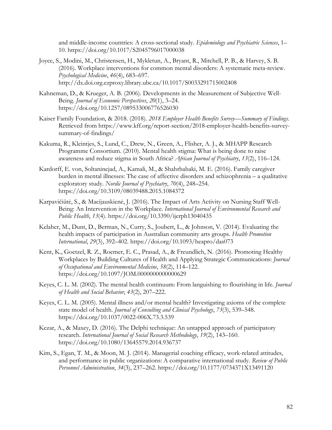and middle-income countries: A cross-sectional study. *Epidemiology and Psychiatric Sciences*, 1– 10. https://doi.org/10.1017/S2045796017000038

- Joyce, S., Modini, M., Christensen, H., Mykletun, A., Bryant, R., Mitchell, P. B., & Harvey, S. B. (2016). Workplace interventions for common mental disorders: A systematic meta-review. *Psychological Medicine*, *46*(4), 683–697. http://dx.doi.org.ezproxy.library.ubc.ca/10.1017/S0033291715002408
- Kahneman, D., & Krueger, A. B. (2006). Developments in the Measurement of Subjective Well-Being. *Journal of Economic Perspectives*, *20*(1), 3–24. https://doi.org/10.1257/089533006776526030
- Kaiser Family Foundation, & 2018. (2018). *2018 Employer Health Benefits Survey—Summary of Findings*. Retrieved from https://www.kff.org/report-section/2018-employer-health-benefits-surveysummary-of-findings/
- Kakuma, R., Kleintjes, S., Lund, C., Drew, N., Green, A., Flisher, A. J., & MHAPP Research Programme Consortium. (2010). Mental health stigma: What is being done to raise awareness and reduce stigma in South Africa? *African Journal of Psychiatry*, *13*(2), 116–124.
- Kardorff, E. von, Soltaninejad, A., Kamali, M., & Shahrbabaki, M. E. (2016). Family caregiver burden in mental illnesses: The case of affective disorders and schizophrenia – a qualitative exploratory study. *Nordic Journal of Psychiatry*, *70*(4), 248–254. https://doi.org/10.3109/08039488.2015.1084372
- Karpavičiūtė, S., & Macijauskienė, J. (2016). The Impact of Arts Activity on Nursing Staff Well-Being: An Intervention in the Workplace. *International Journal of Environmental Research and Public Health*, *13*(4). https://doi.org/10.3390/ijerph13040435
- Kelaher, M., Dunt, D., Berman, N., Curry, S., Joubert, L., & Johnson, V. (2014). Evaluating the health impacts of participation in Australian community arts groups. *Health Promotion International*, *29*(3), 392–402. https://doi.org/10.1093/heapro/das073
- Kent, K., Goetzel, R. Z., Roemer, E. C., Prasad, A., & Freundlich, N. (2016). Promoting Healthy Workplaces by Building Cultures of Health and Applying Strategic Communications: *Journal of Occupational and Environmental Medicine*, *58*(2), 114–122. https://doi.org/10.1097/JOM.0000000000000629
- Keyes, C. L. M. (2002). The mental health continuum: From languishing to flourishing in life. *Journal of Health and Social Behavior*, *43*(2), 207–222.
- Keyes, C. L. M. (2005). Mental illness and/or mental health? Investigating axioms of the complete state model of health. *Journal of Consulting and Clinical Psychology*, *73*(3), 539–548. https://doi.org/10.1037/0022-006X.73.3.539
- Kezar, A., & Maxey, D. (2016). The Delphi technique: An untapped approach of participatory research. *International Journal of Social Research Methodology*, *19*(2), 143–160. https://doi.org/10.1080/13645579.2014.936737
- Kim, S., Egan, T. M., & Moon, M. J. (2014). Managerial coaching efficacy, work-related attitudes, and performance in public organizations: A comparative international study. *Review of Public Personnel Administration*, *34*(3), 237–262. https://doi.org/10.1177/0734371X13491120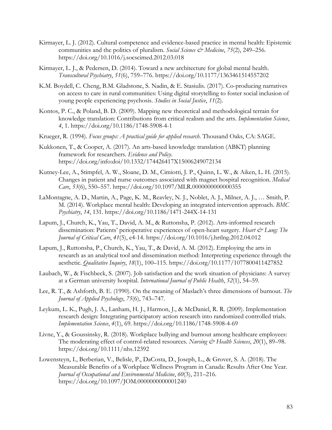- Kirmayer, L. J. (2012). Cultural competence and evidence-based practice in mental health: Epistemic communities and the politics of pluralism. *Social Science & Medicine*, *75*(2), 249–256. https://doi.org/10.1016/j.socscimed.2012.03.018
- Kirmayer, L. J., & Pedersen, D. (2014). Toward a new architecture for global mental health. *Transcultural Psychiatry*, *51*(6), 759–776. https://doi.org/10.1177/1363461514557202
- K.M. Boydell, C. Cheng, B.M. Gladstone, S. Nadin, & E. Stasiulis. (2017). Co-producing narratives on access to care in rural communities: Using digital storytelling to foster social inclusion of young people experiencing psychosis. *Studies in Social Justice*, *11*(2).
- Kontos, P. C., & Poland, B. D. (2009). Mapping new theoretical and methodological terrain for knowledge translation: Contributions from critical realism and the arts. *Implementation Science*, *4*, 1. https://doi.org/10.1186/1748-5908-4-1
- Krueger, R. (1994). *Focus groups: A practical guide for applied research*. Thousand Oaks, CA: SAGE.
- Kukkonen, T., & Cooper, A. (2017). An arts-based knowledge translation (ABKT) planning framework for researchers. *Evidence and Policy*. https://doi.org/info:doi/10.1332/174426417X15006249072134
- Kutney-Lee, A., Stimpfel, A. W., Sloane, D. M., Cimiotti, J. P., Quinn, L. W., & Aiken, L. H. (2015). Changes in patient and nurse outcomes associated with magnet hospital recognition. *Medical Care*, *53*(6), 550–557. https://doi.org/10.1097/MLR.0000000000000355
- LaMontagne, A. D., Martin, A., Page, K. M., Reavley, N. J., Noblet, A. J., Milner, A. J., … Smith, P. M. (2014). Workplace mental health: Developing an integrated intervention approach. *BMC Psychiatry*, *14*, 131. https://doi.org/10.1186/1471-244X-14-131
- Lapum, J., Church, K., Yau, T., David, A. M., & Ruttonsha, P. (2012). Arts-informed research dissemination: Patients' perioperative experiences of open-heart surgery. *Heart & Lung: The Journal of Critical Care*, *41*(5), e4-14. https://doi.org/10.1016/j.hrtlng.2012.04.012
- Lapum, J., Ruttonsha, P., Church, K., Yau, T., & David, A. M. (2012). Employing the arts in research as an analytical tool and dissemination method: Interpreting experience through the aesthetic. *Qualitative Inquiry*, *18*(1), 100–115. https://doi.org/10.1177/1077800411427852
- Laubach, W., & Fischbeck, S. (2007). Job satisfaction and the work situation of physicians: A survey at a German university hospital. *International Journal of Public Health*, *52*(1), 54–59.
- Lee, R. T., & Ashforth, B. E. (1990). On the meaning of Maslach's three dimensions of burnout. *The Journal of Applied Psychology*, *75*(6), 743–747.
- Leykum, L. K., Pugh, J. A., Lanham, H. J., Harmon, J., & McDaniel, R. R. (2009). Implementation research design: Integrating participatory action research into randomized controlled trials. *Implementation Science*, *4*(1), 69. https://doi.org/10.1186/1748-5908-4-69
- Livne, Y., & Goussinsky, R. (2018). Workplace bullying and burnout among healthcare employees: The moderating effect of control-related resources. *Nursing & Health Sciences*, 20(1), 89–98. https://doi.org/10.1111/nhs.12392
- Lowensteyn, I., Berberian, V., Belisle, P., DaCosta, D., Joseph, L., & Grover, S. A. (2018). The Measurable Benefits of a Workplace Wellness Program in Canada: Results After One Year. *Journal of Occupational and Environmental Medicine*, *60*(3), 211–216. https://doi.org/10.1097/JOM.0000000000001240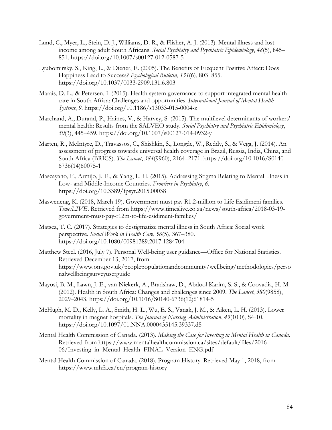- Lund, C., Myer, L., Stein, D. J., Williams, D. R., & Flisher, A. J. (2013). Mental illness and lost income among adult South Africans. *Social Psychiatry and Psychiatric Epidemiology*, *48*(5), 845– 851. https://doi.org/10.1007/s00127-012-0587-5
- Lyubomirsky, S., King, L., & Diener, E. (2005). The Benefits of Frequent Positive Affect: Does Happiness Lead to Success? *Psychological Bulletin*, *131*(6), 803–855. https://doi.org/10.1037/0033-2909.131.6.803
- Marais, D. L., & Petersen, I. (2015). Health system governance to support integrated mental health care in South Africa: Challenges and opportunities. *International Journal of Mental Health Systems*, *9*. https://doi.org/10.1186/s13033-015-0004-z
- Marchand, A., Durand, P., Haines, V., & Harvey, S. (2015). The multilevel determinants of workers' mental health: Results from the SALVEO study. *Social Psychiatry and Psychiatric Epidemiology*, *50*(3), 445–459. https://doi.org/10.1007/s00127-014-0932-y
- Marten, R., McIntyre, D., Travassos, C., Shishkin, S., Longde, W., Reddy, S., & Vega, J. (2014). An assessment of progress towards universal health coverage in Brazil, Russia, India, China, and South Africa (BRICS). *The Lancet*, *384*(9960), 2164–2171. https://doi.org/10.1016/S0140- 6736(14)60075-1
- Mascayano, F., Armijo, J. E., & Yang, L. H. (2015). Addressing Stigma Relating to Mental Illness in Low- and Middle-Income Countries. *Frontiers in Psychiatry*, *6*. https://doi.org/10.3389/fpsyt.2015.00038
- Masweneng, K. (2018, March 19). Government must pay R1.2-million to Life Esidimeni families. *TimesLIVE*. Retrieved from https://www.timeslive.co.za/news/south-africa/2018-03-19 government-must-pay-r12m-to-life-esidimeni-families/
- Matsea, T. C. (2017). Strategies to destigmatize mental illness in South Africa: Social work perspective. *Social Work in Health Care*, *56*(5), 367–380. https://doi.org/10.1080/00981389.2017.1284704
- Matthew Steel. (2016, July 7). Personal Well-being user guidance—Office for National Statistics. Retrieved December 13, 2017, from https://www.ons.gov.uk/peoplepopulationandcommunity/wellbeing/methodologies/perso nalwellbeingsurveyuserguide
- Mayosi, B. M., Lawn, J. E., van Niekerk, A., Bradshaw, D., Abdool Karim, S. S., & Coovadia, H. M. (2012). Health in South Africa: Changes and challenges since 2009. *The Lancet*, *380*(9858), 2029–2043. https://doi.org/10.1016/S0140-6736(12)61814-5
- McHugh, M. D., Kelly, L. A., Smith, H. L., Wu, E. S., Vanak, J. M., & Aiken, L. H. (2013). Lower mortality in magnet hospitals. *The Journal of Nursing Administration*, *43*(10 0), S4-10. https://doi.org/10.1097/01.NNA.0000435145.39337.d5
- Mental Health Commission of Canada. (2013). *Making the Case for Investing in Mental Health in Canada*. Retrieved from https://www.mentalhealthcommission.ca/sites/default/files/2016- 06/Investing\_in\_Mental\_Health\_FINAL\_Version\_ENG.pdf
- Mental Health Commission of Canada. (2018). Program History. Retrieved May 1, 2018, from https://www.mhfa.ca/en/program-history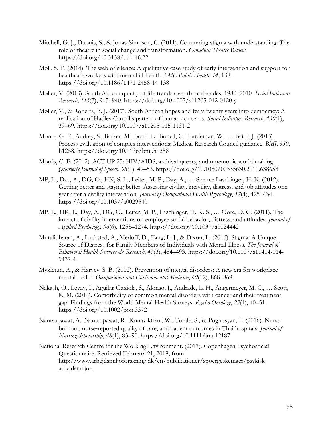- Mitchell, G. J., Dupuis, S., & Jonas-Simpson, C. (2011). Countering stigma with understanding: The role of theatre in social change and transformation. *Canadian Theatre Review*. https://doi.org/10.3138/ctr.146.22
- Moll, S. E. (2014). The web of silence: A qualitative case study of early intervention and support for healthcare workers with mental ill-health. *BMC Public Health*, *14*, 138. https://doi.org/10.1186/1471-2458-14-138
- Møller, V. (2013). South African quality of life trends over three decades, 1980–2010. *Social Indicators Research*, *113*(3), 915–940. https://doi.org/10.1007/s11205-012-0120-y
- Møller, V., & Roberts, B. J. (2017). South African hopes and fears twenty years into democracy: A replication of Hadley Cantril's pattern of human concerns. *Social Indicators Research*, *130*(1), 39–69. https://doi.org/10.1007/s11205-015-1131-2
- Moore, G. F., Audrey, S., Barker, M., Bond, L., Bonell, C., Hardeman, W., … Baird, J. (2015). Process evaluation of complex interventions: Medical Research Council guidance. *BMJ*, *350*, h1258. https://doi.org/10.1136/bmj.h1258
- Morris, C. E. (2012). ACT UP 25: HIV/AIDS, archival queers, and mnemonic world making. *Quarterly Journal of Speech*, *98*(1), 49–53. https://doi.org/10.1080/00335630.2011.638658
- MP, L., Day, A., DG, O., HK, S. L., Leiter, M. P., Day, A., … Spence Laschinger, H. K. (2012). Getting better and staying better: Assessing civility, incivility, distress, and job attitudes one year after a civility intervention. *Journal of Occupational Health Psychology*, *17*(4), 425–434. https://doi.org/10.1037/a0029540
- MP, L., HK, L., Day, A., DG, O., Leiter, M. P., Laschinger, H. K. S., … Oore, D. G. (2011). The impact of civility interventions on employee social behavior, distress, and attitudes. *Journal of Applied Psychology*, *96*(6), 1258–1274. https://doi.org/10.1037/a0024442
- Muralidharan, A., Lucksted, A., Medoff, D., Fang, L. J., & Dixon, L. (2016). Stigma: A Unique Source of Distress for Family Members of Individuals with Mental Illness. *The Journal of Behavioral Health Services & Research*, *43*(3), 484–493. https://doi.org/10.1007/s11414-014- 9437-4
- Mykletun, A., & Harvey, S. B. (2012). Prevention of mental disorders: A new era for workplace mental health. *Occupational and Environmental Medicine*, *69*(12), 868–869.
- Nakash, O., Levav, I., Aguilar-Gaxiola, S., Alonso, J., Andrade, L. H., Angermeyer, M. C., … Scott, K. M. (2014). Comorbidity of common mental disorders with cancer and their treatment gap: Findings from the World Mental Health Surveys. *Psycho-Oncology*, *23*(1), 40–51. https://doi.org/10.1002/pon.3372
- Nantsupawat, A., Nantsupawat, R., Kunaviktikul, W., Turale, S., & Poghosyan, L. (2016). Nurse burnout, nurse-reported quality of care, and patient outcomes in Thai hospitals. *Journal of Nursing Scholarship*, *48*(1), 83–90. https://doi.org/10.1111/jnu.12187
- National Research Centre for the Working Environment. (2017). Copenhagen Psychosocial Questionnaire. Retrieved February 21, 2018, from http://www.arbejdsmiljoforskning.dk/en/publikationer/spoergeskemaer/psykiskarbejdsmiljoe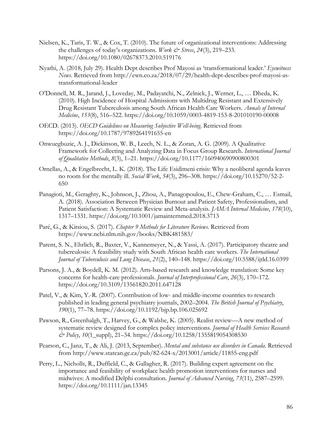- Nielsen, K., Taris, T. W., & Cox, T. (2010). The future of organizational interventions: Addressing the challenges of today's organizations. *Work & Stress*, *24*(3), 219–233. https://doi.org/10.1080/02678373.2010.519176
- Nyathi, A. (2018, July 29). Health Dept describes Prof Mayosi as 'transformational leader.' *Eyewitness News*. Retrieved from http://ewn.co.za/2018/07/29/health-dept-describes-prof-mayosi-astransformational-leader
- O'Donnell, M. R., Jarand, J., Loveday, M., Padayatchi, N., Zelnick, J., Werner, L., … Dheda, K. (2010). High Incidence of Hospital Admissions with Multidrug Resistant and Extensively Drug Resistant Tuberculosis among South African Health Care Workers. *Annals of Internal Medicine*, *153*(8), 516–522. https://doi.org/10.1059/0003-4819-153-8-201010190-00008
- OECD. (2013). *OECD Guidelines on Measuring Subjective Well-being*. Retrieved from https://doi.org/10.1787/9789264191655-en
- Onwuegbuzie, A. J., Dickinson, W. B., Leech, N. L., & Zoran, A. G. (2009). A Qualitative Framework for Collecting and Analyzing Data in Focus Group Research. *International Journal of Qualitative Methods*, *8*(3), 1–21. https://doi.org/10.1177/160940690900800301
- Ornellas, A., & Engelbrecht, L. K. (2018). The Life Esidimeni crisis: Why a neoliberal agenda leaves no room for the mentally ill. *Social Work*, *54*(3), 296–308. https://doi.org/10.15270/52-2- 650
- Panagioti, M., Geraghty, K., Johnson, J., Zhou, A., Panagopoulou, E., Chew-Graham, C., … Esmail, A. (2018). Association Between Physician Burnout and Patient Safety, Professionalism, and Patient Satisfaction: A Systematic Review and Meta-analysis. *JAMA Internal Medicine*, *178*(10), 1317–1331. https://doi.org/10.1001/jamainternmed.2018.3713
- Paré, G., & Kitsiou, S. (2017). *Chapter 9 Methods for Literature Reviews*. Retrieved from https://www.ncbi.nlm.nih.gov/books/NBK481583/
- Parent, S. N., Ehrlich, R., Baxter, V., Kannemeyer, N., & Yassi, A. (2017). Participatory theatre and tuberculosis: A feasibility study with South African health care workers. *The International Journal of Tuberculosis and Lung Disease*, *21*(2), 140–148. https://doi.org/10.5588/ijtld.16.0399
- Parsons, J. A., & Boydell, K. M. (2012). Arts-based research and knowledge translation: Some key concerns for health-care professionals. *Journal of Interprofessional Care*, *26*(3), 170–172. https://doi.org/10.3109/13561820.2011.647128
- Patel, V., & Kim, Y.-R. (2007). Contribution of low- and middle-income countries to research published in leading general psychiatry journals, 2002–2004. *The British Journal of Psychiatry*, *190*(1), 77–78. https://doi.org/10.1192/bjp.bp.106.025692
- Pawson, R., Greenhalgh, T., Harvey, G., & Walshe, K. (2005). Realist review—A new method of systematic review designed for complex policy interventions. *Journal of Health Services Research & Policy*, *10*(1\_suppl), 21–34. https://doi.org/10.1258/1355819054308530
- Pearson, C., Janz, T., & Ali, J. (2013, September). *Mental and substance use disorders in Canada*. Retrieved from http://www.statcan.gc.ca/pub/82-624-x/2013001/article/11855-eng.pdf
- Perry, L., Nicholls, R., Duffield, C., & Gallagher, R. (2017). Building expert agreement on the importance and feasibility of workplace health promotion interventions for nurses and midwives: A modified Delphi consultation. *Journal of Advanced Nursing*, *73*(11), 2587–2599. https://doi.org/10.1111/jan.13345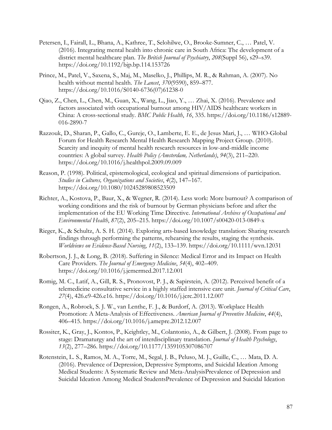- Petersen, I., Fairall, L., Bhana, A., Kathree, T., Selohilwe, O., Brooke-Sumner, C., … Patel, V. (2016). Integrating mental health into chronic care in South Africa: The development of a district mental healthcare plan. *The British Journal of Psychiatry*, *208*(Suppl 56), s29–s39. https://doi.org/10.1192/bjp.bp.114.153726
- Prince, M., Patel, V., Saxena, S., Maj, M., Maselko, J., Phillips, M. R., & Rahman, A. (2007). No health without mental health. *The Lancet*, *370*(9590), 859–877. https://doi.org/10.1016/S0140-6736(07)61238-0
- Qiao, Z., Chen, L., Chen, M., Guan, X., Wang, L., Jiao, Y., … Zhai, X. (2016). Prevalence and factors associated with occupational burnout among HIV/AIDS healthcare workers in China: A cross-sectional study. *BMC Public Health*, *16*, 335. https://doi.org/10.1186/s12889- 016-2890-7
- Razzouk, D., Sharan, P., Gallo, C., Gureje, O., Lamberte, E. E., de Jesus Mari, J., … WHO-Global Forum for Health Research Mental Health Research Mapping Project Group. (2010). Scarcity and inequity of mental health research resources in low-and-middle income countries: A global survey. *Health Policy (Amsterdam, Netherlands)*, *94*(3), 211–220. https://doi.org/10.1016/j.healthpol.2009.09.009
- Reason, P. (1998). Political, epistemological, ecological and spiritual dimensions of participation. *Studies in Cultures, Organizations and Societies*, *4*(2), 147–167. https://doi.org/10.1080/10245289808523509
- Richter, A., Kostova, P., Baur, X., & Wegner, R. (2014). Less work: More burnout? A comparison of working conditions and the risk of burnout by German physicians before and after the implementation of the EU Working Time Directive. *International Archives of Occupational and Environmental Health*, *87*(2), 205–215. https://doi.org/10.1007/s00420-013-0849-x
- Rieger, K., & Schultz, A. S. H. (2014). Exploring arts-based knowledge translation: Sharing research findings through performing the patterns, rehearsing the results, staging the synthesis. *Worldviews on Evidence-Based Nursing*, *11*(2), 133–139. https://doi.org/10.1111/wvn.12031
- Robertson, J. J., & Long, B. (2018). Suffering in Silence: Medical Error and its Impact on Health Care Providers. *The Journal of Emergency Medicine*, *54*(4), 402–409. https://doi.org/10.1016/j.jemermed.2017.12.001
- Romig, M. C., Latif, A., Gill, R. S., Pronovost, P. J., & Sapirstein, A. (2012). Perceived benefit of a telemedicine consultative service in a highly staffed intensive care unit. *Journal of Critical Care*, *27*(4), 426.e9-426.e16. https://doi.org/10.1016/j.jcrc.2011.12.007
- Rongen, A., Robroek, S. J. W., van Lenthe, F. J., & Burdorf, A. (2013). Workplace Health Promotion: A Meta-Analysis of Effectiveness. *American Journal of Preventive Medicine*, *44*(4), 406–415. https://doi.org/10.1016/j.amepre.2012.12.007
- Rossiter, K., Gray, J., Kontos, P., Keightley, M., Colantonio, A., & Gilbert, J. (2008). From page to stage: Dramaturgy and the art of interdisciplinary translation. *Journal of Health Psychology*, *13*(2), 277–286. https://doi.org/10.1177/1359105307086707
- Rotenstein, L. S., Ramos, M. A., Torre, M., Segal, J. B., Peluso, M. J., Guille, C., … Mata, D. A. (2016). Prevalence of Depression, Depressive Symptoms, and Suicidal Ideation Among Medical Students: A Systematic Review and Meta-AnalysisPrevalence of Depression and Suicidal Ideation Among Medical StudentsPrevalence of Depression and Suicidal Ideation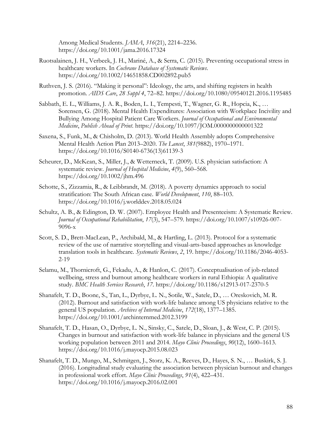Among Medical Students. *JAMA*, *316*(21), 2214–2236. https://doi.org/10.1001/jama.2016.17324

- Ruotsalainen, J. H., Verbeek, J. H., Mariné, A., & Serra, C. (2015). Preventing occupational stress in healthcare workers. In *Cochrane Database of Systematic Reviews*. https://doi.org/10.1002/14651858.CD002892.pub5
- Ruthven, J. S. (2016). "Making it personal": Ideology, the arts, and shifting registers in health promotion. *AIDS Care*, *28 Suppl 4*, 72–82. https://doi.org/10.1080/09540121.2016.1195485
- Sabbath, E. L., Williams, J. A. R., Boden, L. I., Tempesti, T., Wagner, G. R., Hopcia, K., … Sorensen, G. (2018). Mental Health Expenditures: Association with Workplace Incivility and Bullying Among Hospital Patient Care Workers. *Journal of Occupational and Environmental Medicine*, *Publish Ahead of Print*. https://doi.org/10.1097/JOM.0000000000001322
- Saxena, S., Funk, M., & Chisholm, D. (2013). World Health Assembly adopts Comprehensive Mental Health Action Plan 2013–2020. *The Lancet*, *381*(9882), 1970–1971. https://doi.org/10.1016/S0140-6736(13)61139-3
- Scheurer, D., McKean, S., Miller, J., & Wetterneck, T. (2009). U.S. physician satisfaction: A systematic review. *Journal of Hospital Medicine*, *4*(9), 560–568. https://doi.org/10.1002/jhm.496
- Schotte, S., Zizzamia, R., & Leibbrandt, M. (2018). A poverty dynamics approach to social stratification: The South African case. *World Development*, *110*, 88–103. https://doi.org/10.1016/j.worlddev.2018.05.024
- Schultz, A. B., & Edington, D. W. (2007). Employee Health and Presenteeism: A Systematic Review. *Journal of Occupational Rehabilitation*, *17*(3), 547–579. https://doi.org/10.1007/s10926-007- 9096-x
- Scott, S. D., Brett-MacLean, P., Archibald, M., & Hartling, L. (2013). Protocol for a systematic review of the use of narrative storytelling and visual-arts-based approaches as knowledge translation tools in healthcare. *Systematic Reviews*, *2*, 19. https://doi.org/10.1186/2046-4053- 2-19
- Selamu, M., Thornicroft, G., Fekadu, A., & Hanlon, C. (2017). Conceptualisation of job-related wellbeing, stress and burnout among healthcare workers in rural Ethiopia: A qualitative study. *BMC Health Services Research*, *17*. https://doi.org/10.1186/s12913-017-2370-5
- Shanafelt, T. D., Boone, S., Tan, L., Dyrbye, L. N., Sotile, W., Satele, D., … Oreskovich, M. R. (2012). Burnout and satisfaction with work-life balance among US physicians relative to the general US population. *Archives of Internal Medicine*, *172*(18), 1377–1385. https://doi.org/10.1001/archinternmed.2012.3199
- Shanafelt, T. D., Hasan, O., Dyrbye, L. N., Sinsky, C., Satele, D., Sloan, J., & West, C. P. (2015). Changes in burnout and satisfaction with work-life balance in physicians and the general US working population between 2011 and 2014. *Mayo Clinic Proceedings*, *90*(12), 1600–1613. https://doi.org/10.1016/j.mayocp.2015.08.023
- Shanafelt, T. D., Mungo, M., Schmitgen, J., Storz, K. A., Reeves, D., Hayes, S. N., … Buskirk, S. J. (2016). Longitudinal study evaluating the association between physician burnout and changes in professional work effort. *Mayo Clinic Proceedings*, *91*(4), 422–431. https://doi.org/10.1016/j.mayocp.2016.02.001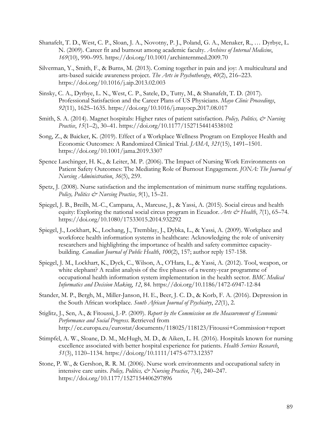- Shanafelt, T. D., West, C. P., Sloan, J. A., Novotny, P. J., Poland, G. A., Menaker, R., … Dyrbye, L. N. (2009). Career fit and burnout among academic faculty. *Archives of Internal Medicine*, *169*(10), 990–995. https://doi.org/10.1001/archinternmed.2009.70
- Silverman, Y., Smith, F., & Burns, M. (2013). Coming together in pain and joy: A multicultural and arts-based suicide awareness project. *The Arts in Psychotherapy*, *40*(2), 216–223. https://doi.org/10.1016/j.aip.2013.02.003
- Sinsky, C. A., Dyrbye, L. N., West, C. P., Satele, D., Tutty, M., & Shanafelt, T. D. (2017). Professional Satisfaction and the Career Plans of US Physicians. *Mayo Clinic Proceedings*, *92*(11), 1625–1635. https://doi.org/10.1016/j.mayocp.2017.08.017
- Smith, S. A. (2014). Magnet hospitals: Higher rates of patient satisfaction. *Policy, Politics, & Nursing Practice*, *15*(1–2), 30–41. https://doi.org/10.1177/1527154414538102
- Song, Z., & Baicker, K. (2019). Effect of a Workplace Wellness Program on Employee Health and Economic Outcomes: A Randomized Clinical Trial. *JAMA*, *321*(15), 1491–1501. https://doi.org/10.1001/jama.2019.3307
- Spence Laschinger, H. K., & Leiter, M. P. (2006). The Impact of Nursing Work Environments on Patient Safety Outcomes: The Mediating Role of Burnout Engagement. *JONA: The Journal of Nursing Administration*, *36*(5), 259.
- Spetz, J. (2008). Nurse satisfaction and the implementation of minimum nurse staffing regulations. *Policy, Politics & Nursing Practice*, *9*(1), 15–21.
- Spiegel, J. B., Breilh, M.-C., Campana, A., Marcuse, J., & Yassi, A. (2015). Social circus and health equity: Exploring the national social circus program in Ecuador. *Arts & Health*, 7(1), 65–74. https://doi.org/10.1080/17533015.2014.932292
- Spiegel, J., Lockhart, K., Lochang, J., Tremblay, J., Dybka, L., & Yassi, A. (2009). Workplace and workforce health information systems in healthcare: Acknowledging the role of university researchers and highlighting the importance of health and safety committee capacitybuilding. *Canadian Journal of Public Health*, *100*(2), 157; author reply 157-158.
- Spiegel, J. M., Lockhart, K., Dyck, C., Wilson, A., O'Hara, L., & Yassi, A. (2012). Tool, weapon, or white elephant? A realist analysis of the five phases of a twenty-year programme of occupational health information system implementation in the health sector. *BMC Medical Informatics and Decision Making*, *12*, 84. https://doi.org/10.1186/1472-6947-12-84
- Stander, M. P., Bergh, M., Miller-Janson, H. E., Beer, J. C. D., & Korb, F. A. (2016). Depression in the South African workplace. *South African Journal of Psychiatry*, *22*(1), 2.
- Stiglitz, J., Sen, A., & Fitoussi, J.-P. (2009). *Report by the Commission on the Measurement of Economic Performance and Social Progress*. Retrieved from http://ec.europa.eu/eurostat/documents/118025/118123/Fitoussi+Commission+report
- Stimpfel, A. W., Sloane, D. M., McHugh, M. D., & Aiken, L. H. (2016). Hospitals known for nursing excellence associated with better hospital experience for patients. *Health Services Research*, *51*(3), 1120–1134. https://doi.org/10.1111/1475-6773.12357
- Stone, P. W., & Gershon, R. R. M. (2006). Nurse work environments and occupational safety in intensive care units. *Policy, Politics, & Nursing Practice*, *7*(4), 240–247. https://doi.org/10.1177/1527154406297896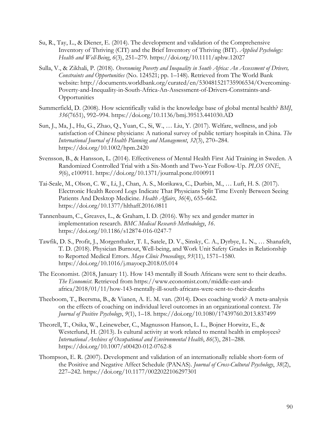- Su, R., Tay, L., & Diener, E. (2014). The development and validation of the Comprehensive Inventory of Thriving (CIT) and the Brief Inventory of Thriving (BIT). *Applied Psychology: Health and Well-Being*, *6*(3), 251–279. https://doi.org/10.1111/aphw.12027
- Sulla, V., & Zikhali, P. (2018). *Overcoming Poverty and Inequality in South Africa: An Assessment of Drivers, Constraints and Opportunities* (No. 124521; pp. 1–148). Retrieved from The World Bank website: http://documents.worldbank.org/curated/en/530481521735906534/Overcoming-Poverty-and-Inequality-in-South-Africa-An-Assessment-of-Drivers-Constraints-and-**Opportunities**
- Summerfield, D. (2008). How scientifically valid is the knowledge base of global mental health? *BMJ*, *336*(7651), 992–994. https://doi.org/10.1136/bmj.39513.441030.AD
- Sun, J., Ma, J., Hu, G., Zhao, Q., Yuan, C., Si, W., … Liu, Y. (2017). Welfare, wellness, and job satisfaction of Chinese physicians: A national survey of public tertiary hospitals in China. *The International Journal of Health Planning and Management*, *32*(3), 270–284. https://doi.org/10.1002/hpm.2420
- Svensson, B., & Hansson, L. (2014). Effectiveness of Mental Health First Aid Training in Sweden. A Randomized Controlled Trial with a Six-Month and Two-Year Follow-Up. *PLOS ONE*, *9*(6), e100911. https://doi.org/10.1371/journal.pone.0100911
- Tai-Seale, M., Olson, C. W., Li, J., Chan, A. S., Morikawa, C., Durbin, M., … Luft, H. S. (2017). Electronic Health Record Logs Indicate That Physicians Split Time Evenly Between Seeing Patients And Desktop Medicine. *Health Affairs*, *36*(4), 655–662. https://doi.org/10.1377/hlthaff.2016.0811
- Tannenbaum, C., Greaves, L., & Graham, I. D. (2016). Why sex and gender matter in implementation research. *BMC Medical Research Methodology*, *16*. https://doi.org/10.1186/s12874-016-0247-7
- Tawfik, D. S., Profit, J., Morgenthaler, T. I., Satele, D. V., Sinsky, C. A., Dyrbye, L. N., … Shanafelt, T. D. (2018). Physician Burnout, Well-being, and Work Unit Safety Grades in Relationship to Reported Medical Errors. *Mayo Clinic Proceedings*, *93*(11), 1571–1580. https://doi.org/10.1016/j.mayocp.2018.05.014
- The Economist. (2018, January 11). How 143 mentally ill South Africans were sent to their deaths. *The Economist*. Retrieved from https://www.economist.com/middle-east-andafrica/2018/01/11/how-143-mentally-ill-south-africans-were-sent-to-their-deaths
- Theeboom, T., Beersma, B., & Vianen, A. E. M. van. (2014). Does coaching work? A meta-analysis on the effects of coaching on individual level outcomes in an organizational context. *The Journal of Positive Psychology*, *9*(1), 1–18. https://doi.org/10.1080/17439760.2013.837499
- Theorell, T., Osika, W., Leineweber, C., Magnusson Hanson, L. L., Bojner Horwitz, E., & Westerlund, H. (2013). Is cultural activity at work related to mental health in employees? *International Archives of Occupational and Environmental Health*, *86*(3), 281–288. https://doi.org/10.1007/s00420-012-0762-8
- Thompson, E. R. (2007). Development and validation of an internationally reliable short-form of the Positive and Negative Affect Schedule (PANAS). *Journal of Cross-Cultural Psychology*, *38*(2), 227–242. https://doi.org/10.1177/0022022106297301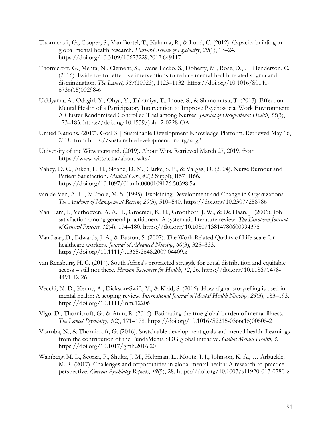- Thornicroft, G., Cooper, S., Van Bortel, T., Kakuma, R., & Lund, C. (2012). Capacity building in global mental health research. *Harvard Review of Psychiatry*, *20*(1), 13–24. https://doi.org/10.3109/10673229.2012.649117
- Thornicroft, G., Mehta, N., Clement, S., Evans-Lacko, S., Doherty, M., Rose, D., … Henderson, C. (2016). Evidence for effective interventions to reduce mental-health-related stigma and discrimination. *The Lancet*, *387*(10023), 1123–1132. https://doi.org/10.1016/S0140- 6736(15)00298-6
- Uchiyama, A., Odagiri, Y., Ohya, Y., Takamiya, T., Inoue, S., & Shimomitsu, T. (2013). Effect on Mental Health of a Participatory Intervention to Improve Psychosocial Work Environment: A Cluster Randomized Controlled Trial among Nurses. *Journal of Occupational Health*, *55*(3), 173–183. https://doi.org/10.1539/joh.12-0228-OA
- United Nations. (2017). Goal 3 | Sustainable Development Knowledge Platform. Retrieved May 16, 2018, from https://sustainabledevelopment.un.org/sdg3
- University of the Witwatersrand. (2019). About Wits. Retrieved March 27, 2019, from https://www.wits.ac.za/about-wits/
- Vahey, D. C., Aiken, L. H., Sloane, D. M., Clarke, S. P., & Vargas, D. (2004). Nurse Burnout and Patient Satisfaction. *Medical Care*, *42*(2 Suppl), II57–II66. https://doi.org/10.1097/01.mlr.0000109126.50398.5a
- van de Ven, A. H., & Poole, M. S. (1995). Explaining Development and Change in Organizations. *The Academy of Management Review*, *20*(3), 510–540. https://doi.org/10.2307/258786
- Van Ham, I., Verhoeven, A. A. H., Groenier, K. H., Groothoff, J. W., & De Haan, J. (2006). Job satisfaction among general practitioners: A systematic literature review. *The European Journal of General Practice*, *12*(4), 174–180. https://doi.org/10.1080/13814780600994376
- Van Laar, D., Edwards, J. A., & Easton, S. (2007). The Work-Related Quality of Life scale for healthcare workers. *Journal of Advanced Nursing*, *60*(3), 325–333. https://doi.org/10.1111/j.1365-2648.2007.04409.x
- van Rensburg, H. C. (2014). South Africa's protracted struggle for equal distribution and equitable access – still not there. *Human Resources for Health*, *12*, 26. https://doi.org/10.1186/1478- 4491-12-26
- Vecchi, N. D., Kenny, A., Dickson-Swift, V., & Kidd, S. (2016). How digital storytelling is used in mental health: A scoping review. *International Journal of Mental Health Nursing*, *25*(3), 183–193. https://doi.org/10.1111/inm.12206
- Vigo, D., Thornicroft, G., & Atun, R. (2016). Estimating the true global burden of mental illness. *The Lancet Psychiatry*, *3*(2), 171–178. https://doi.org/10.1016/S2215-0366(15)00505-2
- Votruba, N., & Thornicroft, G. (2016). Sustainable development goals and mental health: Learnings from the contribution of the FundaMentalSDG global initiative. *Global Mental Health*, *3*. https://doi.org/10.1017/gmh.2016.20
- Wainberg, M. L., Scorza, P., Shultz, J. M., Helpman, L., Mootz, J. J., Johnson, K. A., … Arbuckle, M. R. (2017). Challenges and opportunities in global mental health: A research-to-practice perspective. *Current Psychiatry Reports*, *19*(5), 28. https://doi.org/10.1007/s11920-017-0780-z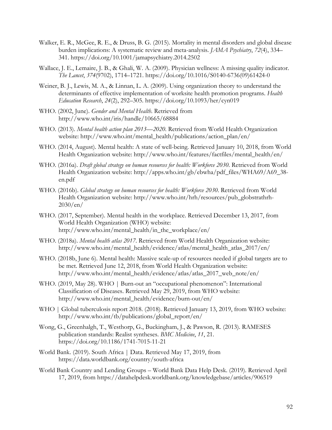- Walker, E. R., McGee, R. E., & Druss, B. G. (2015). Mortality in mental disorders and global disease burden implications: A systematic review and meta-analysis. *JAMA Psychiatry*, *72*(4), 334– 341. https://doi.org/10.1001/jamapsychiatry.2014.2502
- Wallace, J. E., Lemaire, J. B., & Ghali, W. A. (2009). Physician wellness: A missing quality indicator. *The Lancet*, *374*(9702), 1714–1721. https://doi.org/10.1016/S0140-6736(09)61424-0
- Weiner, B. J., Lewis, M. A., & Linnan, L. A. (2009). Using organization theory to understand the determinants of effective implementation of worksite health promotion programs. *Health Education Research*, *24*(2), 292–305. https://doi.org/10.1093/her/cyn019
- WHO. (2002, June). *Gender and Mental Health*. Retrieved from http://www.who.int/iris/handle/10665/68884
- WHO. (2013). *Mental health action plan 2013—2020*. Retrieved from World Health Organization website: http://www.who.int/mental\_health/publications/action\_plan/en/
- WHO. (2014, August). Mental health: A state of well-being. Retrieved January 10, 2018, from World Health Organization website: http://www.who.int/features/factfiles/mental\_health/en/
- WHO. (2016a). *Draft global strategy on human resources for health: Workforce 2030*. Retrieved from World Health Organization website: http://apps.who.int/gb/ebwha/pdf\_files/WHA69/A69\_38 en.pdf
- WHO. (2016b). *Global strategy on human resources for health: Workforce 2030*. Retrieved from World Health Organization website: http://www.who.int/hrh/resources/pub\_globstrathrh-2030/en/
- WHO. (2017, September). Mental health in the workplace. Retrieved December 13, 2017, from World Health Organization (WHO) website: http://www.who.int/mental\_health/in\_the\_workplace/en/
- WHO. (2018a). *Mental health atlas 2017*. Retrieved from World Health Organization website: http://www.who.int/mental\_health/evidence/atlas/mental\_health\_atlas\_2017/en/
- WHO. (2018b, June 6). Mental health: Massive scale-up of resources needed if global targets are to be met. Retrieved June 12, 2018, from World Health Organization website: http://www.who.int/mental\_health/evidence/atlas/atlas\_2017\_web\_note/en/
- WHO. (2019, May 28). WHO | Burn-out an "occupational phenomenon": International Classification of Diseases. Retrieved May 29, 2019, from WHO website: http://www.who.int/mental\_health/evidence/burn-out/en/
- WHO | Global tuberculosis report 2018. (2018). Retrieved January 13, 2019, from WHO website: http://www.who.int/tb/publications/global\_report/en/
- Wong, G., Greenhalgh, T., Westhorp, G., Buckingham, J., & Pawson, R. (2013). RAMESES publication standards: Realist syntheses. *BMC Medicine*, *11*, 21. https://doi.org/10.1186/1741-7015-11-21
- World Bank. (2019). South Africa | Data. Retrieved May 17, 2019, from https://data.worldbank.org/country/south-africa
- World Bank Country and Lending Groups World Bank Data Help Desk. (2019). Retrieved April 17, 2019, from https://datahelpdesk.worldbank.org/knowledgebase/articles/906519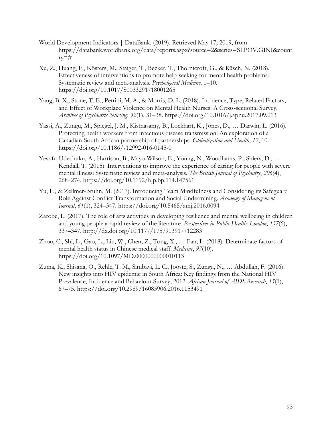- World Development Indicators | DataBank. (2019). Retrieved May 17, 2019, from https://databank.worldbank.org/data/reports.aspx?source=2&series=SI.POV.GINI&count ry=#
- Xu, Z., Huang, F., Kösters, M., Staiger, T., Becker, T., Thornicroft, G., & Rüsch, N. (2018). Effectiveness of interventions to promote help-seeking for mental health problems: Systematic review and meta-analysis. *Psychological Medicine*, 1–10. https://doi.org/10.1017/S0033291718001265
- Yang, B. X., Stone, T. E., Petrini, M. A., & Morris, D. L. (2018). Incidence, Type, Related Factors, and Effect of Workplace Violence on Mental Health Nurses: A Cross-sectional Survey. *Archives of Psychiatric Nursing*, *32*(1), 31–38. https://doi.org/10.1016/j.apnu.2017.09.013
- Yassi, A., Zungu, M., Spiegel, J. M., Kistnasamy, B., Lockhart, K., Jones, D., … Darwin, L. (2016). Protecting health workers from infectious disease transmission: An exploration of a Canadian-South African partnership of partnerships. *Globalization and Health*, *12*, 10. https://doi.org/10.1186/s12992-016-0145-0
- Yesufu-Udechuku, A., Harrison, B., Mayo-Wilson, E., Young, N., Woodhams, P., Shiers, D., … Kendall, T. (2015). Interventions to improve the experience of caring for people with severe mental illness: Systematic review and meta-analysis. *The British Journal of Psychiatry*, *206*(4), 268–274. https://doi.org/10.1192/bjp.bp.114.147561
- Yu, L., & Zellmer-Bruhn, M. (2017). Introducing Team Mindfulness and Considering its Safeguard Role Against Conflict Transformation and Social Undermining. *Academy of Management Journal*, *61*(1), 324–347. https://doi.org/10.5465/amj.2016.0094
- Zarobe, L. (2017). The role of arts activities in developing resilience and mental wellbeing in children and young people a rapid review of the literature. *Perspectives in Public Health; London*, *137*(6), 337–347. http://dx.doi.org/10.1177/1757913917712283
- Zhou, C., Shi, L., Gao, L., Liu, W., Chen, Z., Tong, X., … Fan, L. (2018). Determinate factors of mental health status in Chinese medical staff. *Medicine*, *97*(10). https://doi.org/10.1097/MD.0000000000010113
- Zuma, K., Shisana, O., Rehle, T. M., Simbayi, L. C., Jooste, S., Zungu, N., … Abdullah, F. (2016). New insights into HIV epidemic in South Africa: Key findings from the National HIV Prevalence, Incidence and Behaviour Survey, 2012. *African Journal of AIDS Research*, *15*(1), 67–75. https://doi.org/10.2989/16085906.2016.1153491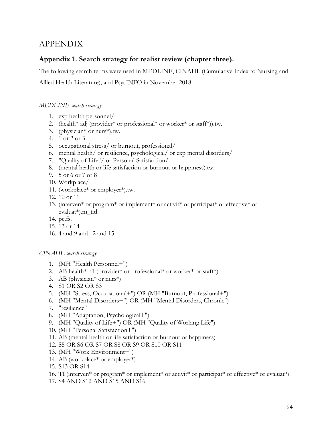# APPENDIX

## **Appendix 1. Search strategy for realist review (chapter three).**

The following search terms were used in MEDLINE, CINAHL (Cumulative Index to Nursing and Allied Health Literature), and PsycINFO in November 2018.

## *MEDLINE search strategy*

- 1. exp health personnel/
- 2. (health\* adj (provider\* or professional\* or worker\* or staff\*)).tw.
- 3. (physician\* or nurs\*).tw.
- 4. 1 or 2 or 3
- 5. occupational stress/ or burnout, professional/
- 6. mental health/ or resilience, psychological/ or exp mental disorders/
- 7. "Quality of Life"/ or Personal Satisfaction/
- 8. (mental health or life satisfaction or burnout or happiness).tw.
- 9. 5 or 6 or 7 or 8
- 10. Workplace/
- 11. (workplace\* or employer\*).tw.
- 12. 10 or 11
- 13. (interven\* or program\* or implement\* or activit\* or participat\* or effective\* or evaluat\*).m\_titl.
- 14. pc.fs.
- 15. 13 or 14
- 16. 4 and 9 and 12 and 15

### *CINAHL search strategy*

- 1. (MH "Health Personnel+")
- 2. AB health\* n1 (provider\* or professional\* or worker\* or staff\*)
- 3. AB (physician<sup>\*</sup> or nurs<sup>\*</sup>)
- 4. S1 OR S2 OR S3
- 5. (MH "Stress, Occupational+") OR (MH "Burnout, Professional+")
- 6. (MH "Mental Disorders+") OR (MH "Mental Disorders, Chronic")
- 7. "resilience"
- 8. (MH "Adaptation, Psychological+")
- 9. (MH "Quality of Life+") OR (MH "Quality of Working Life")
- 10. (MH "Personal Satisfaction+")
- 11. AB (mental health or life satisfaction or burnout or happiness)
- 12. S5 OR S6 OR S7 OR S8 OR S9 OR S10 OR S11
- 13. (MH "Work Environment+")
- 14. AB (workplace\* or employer\*)
- 15. S13 OR S14
- 16. TI (interven\* or program\* or implement\* or activit\* or participat\* or effective\* or evaluat\*)
- 17. S4 AND S12 AND S15 AND S16